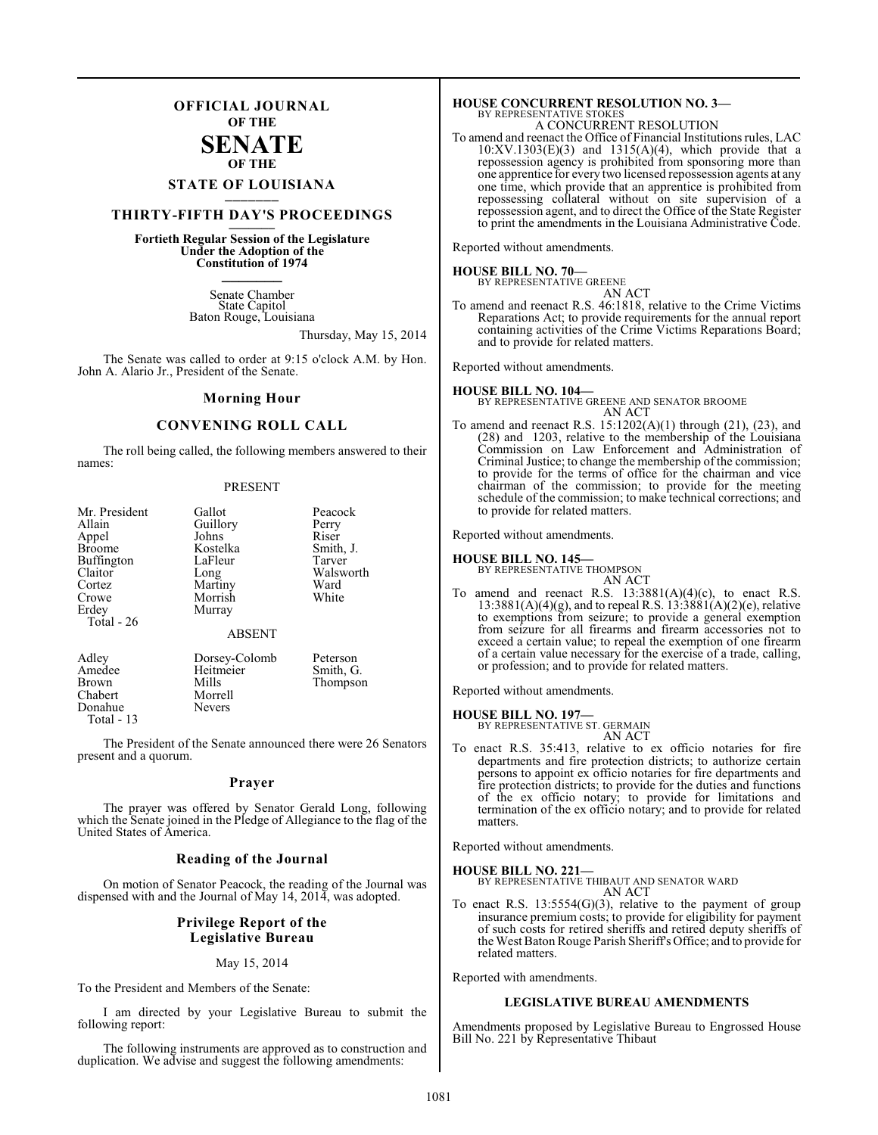## **OFFICIAL JOURNAL OF THE**

## **SENATE OF THE**

# **STATE OF LOUISIANA \_\_\_\_\_\_\_**

## **THIRTY-FIFTH DAY'S PROCEEDINGS \_\_\_\_\_\_\_**

## **Fortieth Regular Session of the Legislature Under the Adoption of the Constitution of 1974 \_\_\_\_\_\_\_**

Senate Chamber State Capitol Baton Rouge, Louisiana

Thursday, May 15, 2014

The Senate was called to order at 9:15 o'clock A.M. by Hon. John A. Alario Jr., President of the Senate.

#### **Morning Hour**

#### **CONVENING ROLL CALL**

The roll being called, the following members answered to their names:

#### PRESENT

| Mr. President | Gallot        | Peacock   |
|---------------|---------------|-----------|
| Allain        | Guillory      | Perry     |
| Appel         | Johns         | Riser     |
| <b>Broome</b> | Kostelka      | Smith, J. |
| Buffington    | LaFleur       | Tarver    |
| Claitor       | Long          | Walsworth |
| Cortez        | Martiny       | Ward      |
| Crowe         | Morrish       | White     |
| Erdey         | Murray        |           |
| Total - 26    |               |           |
|               | <b>ABSENT</b> |           |
| Adley         | Dorsey-Colomb | Peterson  |
| Amedee        | Heitmeier     | Smith, G. |
| <b>Brown</b>  | Mills         | Thompson  |
| Chabert       | Morrell       |           |
| Donahue       | Nevers        |           |

The President of the Senate announced there were 26 Senators present and a quorum.

#### **Prayer**

The prayer was offered by Senator Gerald Long, following which the Senate joined in the Pledge of Allegiance to the flag of the United States of America.

#### **Reading of the Journal**

On motion of Senator Peacock, the reading of the Journal was dispensed with and the Journal of May 14, 2014, was adopted.

#### **Privilege Report of the Legislative Bureau**

#### May 15, 2014

To the President and Members of the Senate:

Donahue Total - 13

I am directed by your Legislative Bureau to submit the following report:

The following instruments are approved as to construction and duplication. We advise and suggest the following amendments:

## **HOUSE CONCURRENT RESOLUTION NO. 3—** BY REPRESENTATIVE STOKES A CONCURRENT RESOLUTION

To amend and reenact the Office of Financial Institutions rules, LAC 10:XV.1303(E)(3) and 1315(A)(4), which provide that a repossession agency is prohibited from sponsoring more than one apprentice for every two licensed repossession agents at any one time, which provide that an apprentice is prohibited from repossessing collateral without on site supervision of a repossession agent, and to direct the Office of the State Register to print the amendments in the Louisiana Administrative Code.

Reported without amendments.

## **HOUSE BILL NO. 70—**

BY REPRESENTATIVE GREENE AN ACT

To amend and reenact R.S. 46:1818, relative to the Crime Victims Reparations Act; to provide requirements for the annual report containing activities of the Crime Victims Reparations Board; and to provide for related matters.

Reported without amendments.

**HOUSE BILL NO. 104—** BY REPRESENTATIVE GREENE AND SENATOR BROOME AN ACT

To amend and reenact R.S. 15:1202(A)(1) through (21), (23), and (28) and 1203, relative to the membership of the Louisiana Commission on Law Enforcement and Administration of Criminal Justice; to change the membership of the commission; to provide for the terms of office for the chairman and vice chairman of the commission; to provide for the meeting schedule of the commission; to make technical corrections; and to provide for related matters.

Reported without amendments.

# **HOUSE BILL NO. 145—** BY REPRESENTATIVE THOMPSON

AN ACT

To amend and reenact R.S.  $13:3881(A)(4)(c)$ , to enact R.S. 13:3881(A)(4)(g), and to repeal R.S. 13:3881(A)(2)(e), relative to exemptions from seizure; to provide a general exemption from seizure for all firearms and firearm accessories not to exceed a certain value; to repeal the exemption of one firearm of a certain value necessary for the exercise of a trade, calling, or profession; and to provide for related matters.

Reported without amendments.

#### **HOUSE BILL NO. 197—**

BY REPRESENTATIVE ST. GERMAIN AN ACT

To enact R.S. 35:413, relative to ex officio notaries for fire departments and fire protection districts; to authorize certain persons to appoint ex officio notaries for fire departments and fire protection districts; to provide for the duties and functions of the ex officio notary; to provide for limitations and termination of the ex officio notary; and to provide for related matters.

Reported without amendments.

#### **HOUSE BILL NO. 221—**

BY REPRESENTATIVE THIBAUT AND SENATOR WARD AN ACT

To enact R.S. 13:5554(G)(3), relative to the payment of group insurance premium costs; to provide for eligibility for payment of such costs for retired sheriffs and retired deputy sheriffs of the West Baton Rouge Parish Sheriff's Office; and to provide for related matters.

Reported with amendments.

#### **LEGISLATIVE BUREAU AMENDMENTS**

Amendments proposed by Legislative Bureau to Engrossed House Bill No. 221 by Representative Thibaut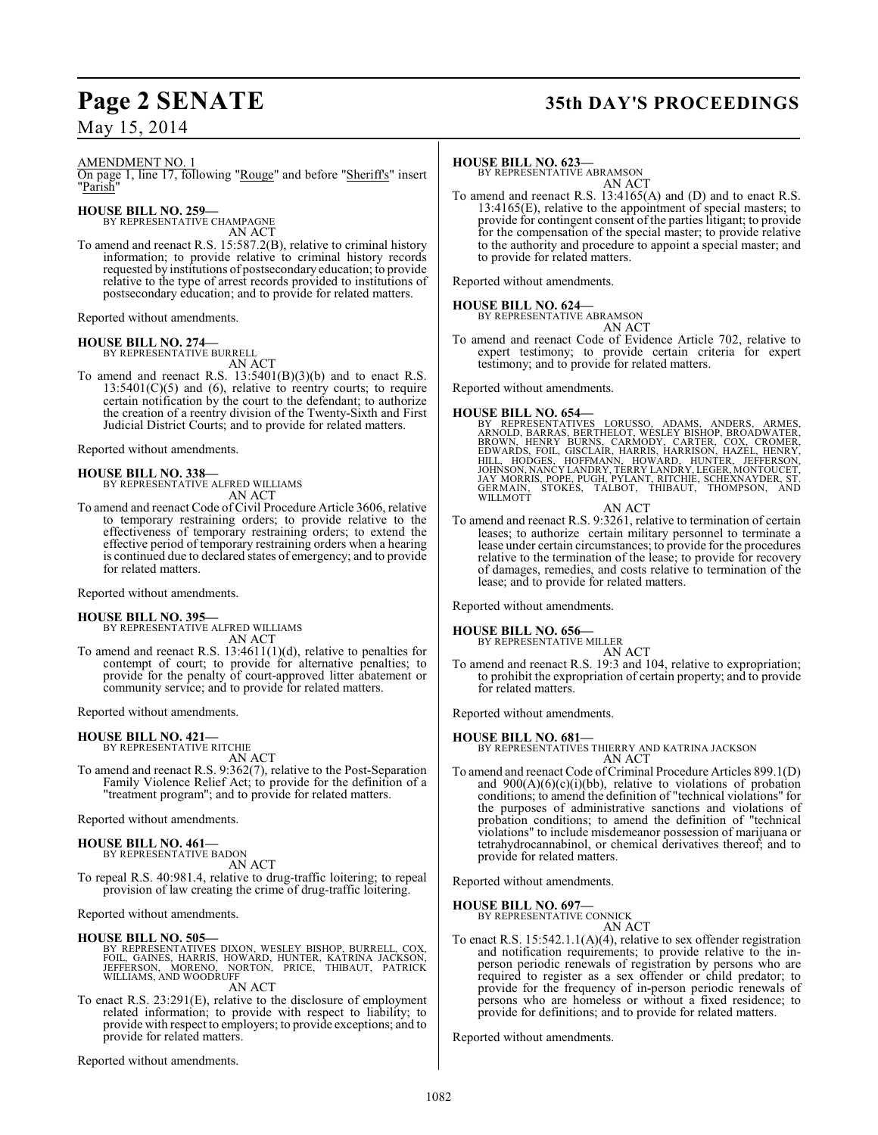# **Page 2 SENATE 35th DAY'S PROCEEDINGS**

AMENDMENT NO. 1

On page 1, line 17, following "Rouge" and before "Sheriff's" insert "<u>Parish</u>'

**HOUSE BILL NO. 259—** BY REPRESENTATIVE CHAMPAGNE

AN ACT

To amend and reenact R.S. 15:587.2(B), relative to criminal history information; to provide relative to criminal history records requested by institutions of postsecondary education; to provide relative to the type of arrest records provided to institutions of postsecondary education; and to provide for related matters.

Reported without amendments.

#### **HOUSE BILL NO. 274—**

BY REPRESENTATIVE BURRELL AN ACT

To amend and reenact R.S.  $13:5401(B)(3)(b)$  and to enact R.S.  $13:5401(C)(5)$  and (6), relative to reentry courts; to require certain notification by the court to the defendant; to authorize the creation of a reentry division of the Twenty-Sixth and First Judicial District Courts; and to provide for related matters.

Reported without amendments.

**HOUSE BILL NO. 338—** BY REPRESENTATIVE ALFRED WILLIAMS AN ACT

To amend and reenact Code of Civil Procedure Article 3606, relative to temporary restraining orders; to provide relative to the effectiveness of temporary restraining orders; to extend the effective period of temporary restraining orders when a hearing is continued due to declared states of emergency; and to provide for related matters.

Reported without amendments.

#### **HOUSE BILL NO. 395—**

BY REPRESENTATIVE ALFRED WILLIAMS AN ACT

To amend and reenact R.S. 13:4611(1)(d), relative to penalties for contempt of court; to provide for alternative penalties; to provide for the penalty of court-approved litter abatement or community service; and to provide for related matters.

Reported without amendments.

#### **HOUSE BILL NO. 421—**

BY REPRESENTATIVE RITCHIE AN ACT

To amend and reenact R.S. 9:362(7), relative to the Post-Separation Family Violence Relief Act; to provide for the definition of a "treatment program"; and to provide for related matters.

Reported without amendments.

#### **HOUSE BILL NO. 461—**

BY REPRESENTATIVE BADON AN ACT

To repeal R.S. 40:981.4, relative to drug-traffic loitering; to repeal provision of law creating the crime of drug-traffic loitering.

Reported without amendments.

#### **HOUSE BILL NO. 505—**

BY REPRESENTATIVES DIXON, WESLEY BISHOP, BURRELL, COX,<br>FOIL, GAINES, HARRIS, HOWARD, HUNTER, KATRINA JACKSON,<br>JEFFERSON, MORENO, NORTON, PRICE, THIBAUT, PATRICK<br>WILLIAMS, AND WOODRUFF AN ACT

To enact R.S. 23:291(E), relative to the disclosure of employment related information; to provide with respect to liability; to provide with respect to employers; to provide exceptions; and to provide for related matters.

Reported without amendments.

#### **HOUSE BILL NO. 623—**

BY REPRESENTATIVE ABRAMSON AN ACT

To amend and reenact R.S. 13:4165(A) and (D) and to enact R.S. 13:4165(E), relative to the appointment of special masters; to provide for contingent consent of the parties litigant; to provide for the compensation of the special master; to provide relative to the authority and procedure to appoint a special master; and to provide for related matters.

Reported without amendments.

#### **HOUSE BILL NO. 624—**

BY REPRESENTATIVE ABRAMSON AN ACT

To amend and reenact Code of Evidence Article 702, relative to expert testimony; to provide certain criteria for expert testimony; and to provide for related matters.

Reported without amendments.

#### **HOUSE BILL NO. 654—**

- BY REPRESENTATIVES LORUSSO, ADAMS, ANDERS, ARMES, ARNOLD, BARRAS, BERTHELOT, WESLEY BISHOP, BROADWATER, BROWN, HENRY BURNS, CARMODY, CARTER, COX, CROMER,<br>BROWN, HENRY BURNS, CARMODY, CARTER, COX, CROMER,<br>EDWARDS, FOIL, GIS
- AN ACT To amend and reenact R.S. 9:3261, relative to termination of certain leases; to authorize certain military personnel to terminate a lease under certain circumstances; to provide for the procedures relative to the termination of the lease; to provide for recovery of damages, remedies, and costs relative to termination of the lease; and to provide for related matters.

Reported without amendments.

#### **HOUSE BILL NO. 656—**

BY REPRESENTATIVE MILLER AN ACT

To amend and reenact R.S. 19:3 and 104, relative to expropriation; to prohibit the expropriation of certain property; and to provide for related matters.

Reported without amendments.

#### **HOUSE BILL NO. 681—**

BY REPRESENTATIVES THIERRY AND KATRINA JACKSON AN ACT

To amend and reenact Code of Criminal Procedure Articles 899.1(D) and  $900(A)(6)(c)(i)(bb)$ , relative to violations of probation conditions; to amend the definition of "technical violations" for the purposes of administrative sanctions and violations of probation conditions; to amend the definition of "technical violations" to include misdemeanor possession of marijuana or tetrahydrocannabinol, or chemical derivatives thereof; and to provide for related matters.

Reported without amendments.

**HOUSE BILL NO. 697—**

BY REPRESENTATIVE CONNICK AN ACT

To enact R.S. 15:542.1.1(A)(4), relative to sex offender registration and notification requirements; to provide relative to the inperson periodic renewals of registration by persons who are required to register as a sex offender or child predator; to provide for the frequency of in-person periodic renewals of persons who are homeless or without a fixed residence; to provide for definitions; and to provide for related matters.

Reported without amendments.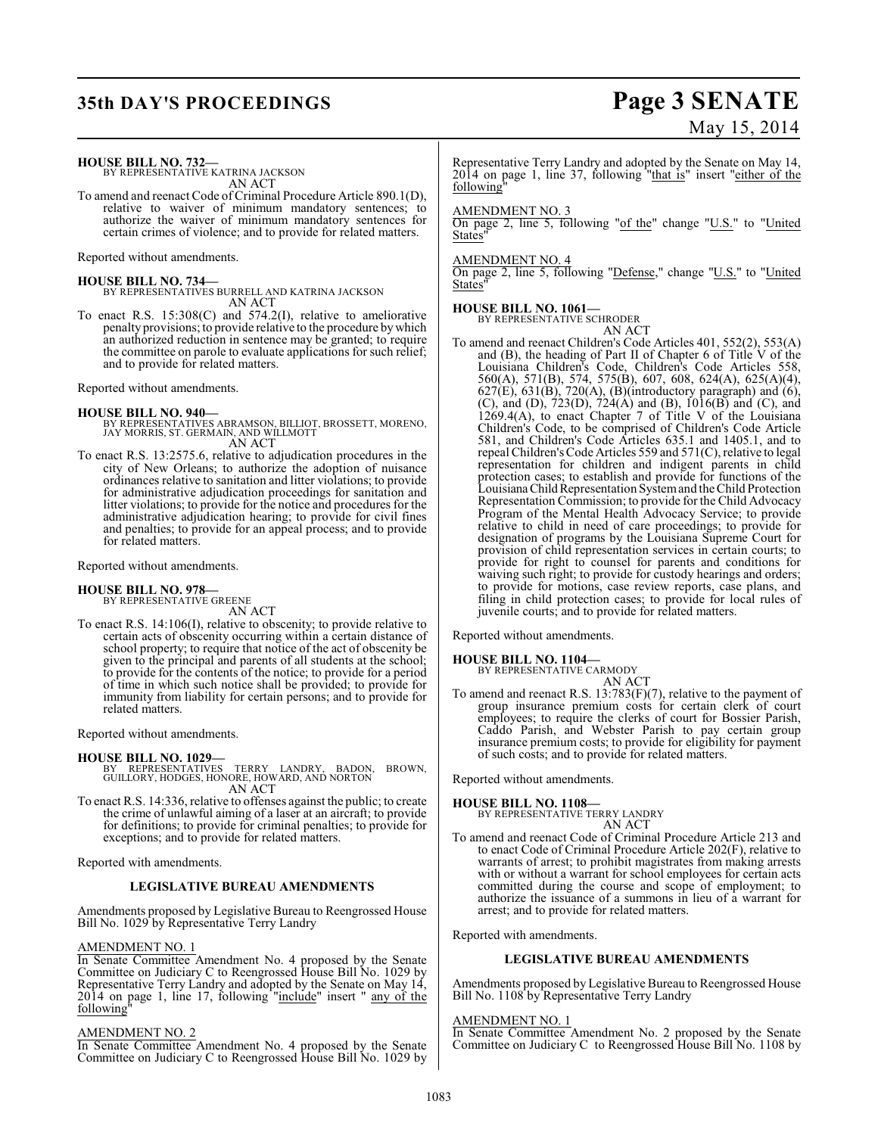# **35th DAY'S PROCEEDINGS Page 3 SENATE**

# May 15, 2014

**HOUSE BILL NO. 732—** BY REPRESENTATIVE KATRINA JACKSON

AN ACT

To amend and reenact Code of Criminal Procedure Article 890.1(D), relative to waiver of minimum mandatory sentences; to authorize the waiver of minimum mandatory sentences for certain crimes of violence; and to provide for related matters.

Reported without amendments.

**HOUSE BILL NO. 734—** BY REPRESENTATIVES BURRELL AND KATRINA JACKSON AN ACT

To enact R.S. 15:308(C) and 574.2(I), relative to ameliorative penalty provisions; to provide relative to the procedure by which an authorized reduction in sentence may be granted; to require the committee on parole to evaluate applications for such relief; and to provide for related matters.

Reported without amendments.

#### **HOUSE BILL NO. 940—**

BY REPRESENTATIVES ABRAMSON, BILLIOT, BROSSETT, MORENO, JAY MORRIS, ST. GERMAIN, AND WILLMOTT AN ACT

To enact R.S. 13:2575.6, relative to adjudication procedures in the city of New Orleans; to authorize the adoption of nuisance ordinances relative to sanitation and litter violations; to provide for administrative adjudication proceedings for sanitation and litter violations; to provide for the notice and procedures for the administrative adjudication hearing; to provide for civil fines and penalties; to provide for an appeal process; and to provide for related matters.

Reported without amendments.

#### **HOUSE BILL NO. 978—**

BY REPRESENTATIVE GREENE AN ACT

To enact R.S. 14:106(I), relative to obscenity; to provide relative to certain acts of obscenity occurring within a certain distance of school property; to require that notice of the act of obscenity be given to the principal and parents of all students at the school; to provide for the contents of the notice; to provide for a period of time in which such notice shall be provided; to provide for immunity from liability for certain persons; and to provide for related matters.

Reported without amendments.

**HOUSE BILL NO. 1029—** BY REPRESENTATIVES TERRY LANDRY, BADON, BROWN, GUILLORY, HODGES, HONORE, HOWARD, AND NORTON AN ACT

To enact R.S. 14:336, relative to offenses against the public; to create the crime of unlawful aiming of a laser at an aircraft; to provide for definitions; to provide for criminal penalties; to provide for exceptions; and to provide for related matters.

Reported with amendments.

## **LEGISLATIVE BUREAU AMENDMENTS**

Amendments proposed by Legislative Bureau to Reengrossed House Bill No. 1029 by Representative Terry Landry

#### AMENDMENT NO. 1

In Senate Committee Amendment No. 4 proposed by the Senate Committee on Judiciary C to Reengrossed House Bill No. 1029 by Representative Terry Landry and adopted by the Senate on May 14, 2014 on page 1, line 17, following "include" insert " any of the following"

#### AMENDMENT NO. 2

In Senate Committee Amendment No. 4 proposed by the Senate Committee on Judiciary C to Reengrossed House Bill No. 1029 by

Representative Terry Landry and adopted by the Senate on May 14, 2014 on page 1, line 37, following "that is" insert "either of the following"

#### AMENDMENT NO. 3

On page 2, line 5, following "of the" change "U.S." to "United **States** 

#### AMENDMENT NO. 4

On page 2, line 5, following "Defense," change "U.S." to "United **States** 

#### **HOUSE BILL NO. 1061—**

BY REPRESENTATIVE SCHRODER

AN ACT To amend and reenact Children's Code Articles 401, 552(2), 553(A) and (B), the heading of Part II of Chapter 6 of Title V of the Louisiana Children's Code, Children's Code Articles 558, 560(A), 571(B), 574, 575(B), 607, 608, 624(A), 625(A)(4),  $627(E)$ ,  $631(B)$ ,  $720(A)$ ,  $(B)$ (introductory paragraph) and  $(6)$ , (C), and (D), 723(D), 724(A) and (B), 1016(B) and (C), and 1269.4(A), to enact Chapter 7 of Title V of the Louisiana Children's Code, to be comprised of Children's Code Article 581, and Children's Code Articles 635.1 and 1405.1, and to repeal Children's Code Articles 559 and 571(C), relative to legal representation for children and indigent parents in child protection cases; to establish and provide for functions of the Louisiana Child Representation System and the Child Protection Representation Commission; to provide for the Child Advocacy Program of the Mental Health Advocacy Service; to provide relative to child in need of care proceedings; to provide for designation of programs by the Louisiana Supreme Court for provision of child representation services in certain courts; to provide for right to counsel for parents and conditions for waiving such right; to provide for custody hearings and orders; to provide for motions, case review reports, case plans, and filing in child protection cases; to provide for local rules of juvenile courts; and to provide for related matters.

Reported without amendments.

# **HOUSE BILL NO. 1104—** BY REPRESENTATIVE CARMODY

AN ACT

To amend and reenact R.S. 13:783(F)(7), relative to the payment of group insurance premium costs for certain clerk of court employees; to require the clerks of court for Bossier Parish, Caddo Parish, and Webster Parish to pay certain group insurance premium costs; to provide for eligibility for payment of such costs; and to provide for related matters.

Reported without amendments.

**HOUSE BILL NO. 1108—** BY REPRESENTATIVE TERRY LANDRY AN ACT

$$
\mathop{\rm AN}_{\rm CG} \mathop{\rm ACT}
$$

To amend and reenact Code of Criminal Procedure Article 213 and to enact Code of Criminal Procedure Article 202(F), relative to warrants of arrest; to prohibit magistrates from making arrests with or without a warrant for school employees for certain acts committed during the course and scope of employment; to authorize the issuance of a summons in lieu of a warrant for arrest; and to provide for related matters.

Reported with amendments.

## **LEGISLATIVE BUREAU AMENDMENTS**

Amendments proposed by Legislative Bureau to Reengrossed House Bill No. 1108 by Representative Terry Landry

## AMENDMENT NO. 1

In Senate Committee Amendment No. 2 proposed by the Senate Committee on Judiciary C to Reengrossed House Bill No. 1108 by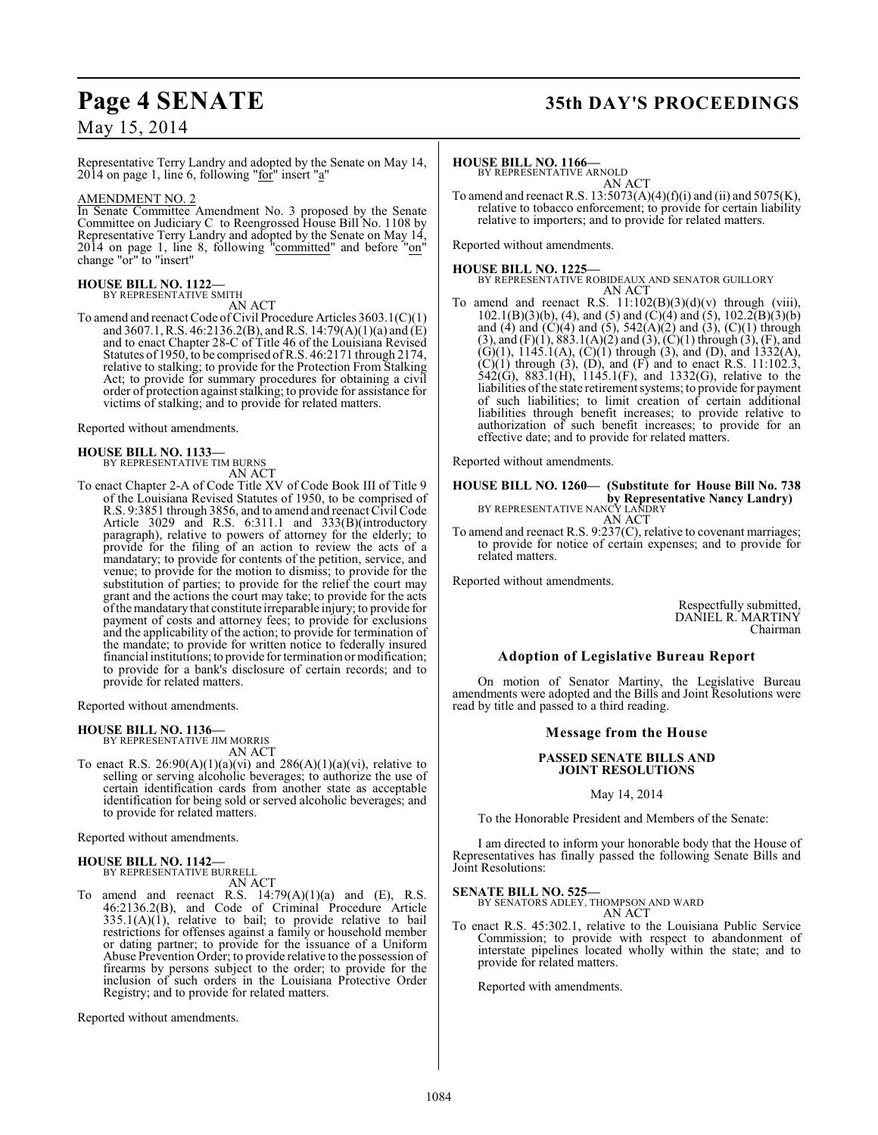# **Page 4 SENATE 35th DAY'S PROCEEDINGS**

May 15, 2014

Representative Terry Landry and adopted by the Senate on May 14, 2014 on page 1, line 6, following " $f$ for" insert "a"

#### AMENDMENT NO. 2

In Senate Committee Amendment No. 3 proposed by the Senate Committee on Judiciary C to Reengrossed House Bill No. 1108 by Representative Terry Landry and adopted by the Senate on May 14, 2014 on page 1, line 8, following "committed" and before "on" change "or" to "insert"

#### **HOUSE BILL NO. 1122—**

BY REPRESENTATIVE SMITH AN ACT

To amend and reenact Code of Civil Procedure Articles 3603.1(C)(1) and 3607.1, R.S. 46:2136.2(B), and R.S. 14:79(A)(1)(a) and (E) and to enact Chapter 28-C of Title 46 of the Louisiana Revised Statutes of 1950, to be comprised of R.S. 46:2171 through 2174, relative to stalking; to provide for the Protection From Stalking Act; to provide for summary procedures for obtaining a civil order of protection against stalking; to provide for assistance for victims of stalking; and to provide for related matters.

Reported without amendments.

#### **HOUSE BILL NO. 1133—**

BY REPRESENTATIVE TIM BURNS

- AN ACT
- To enact Chapter 2-A of Code Title XV of Code Book III of Title 9 of the Louisiana Revised Statutes of 1950, to be comprised of R.S. 9:3851 through 3856, and to amend and reenact Civil Code Article 3029 and R.S. 6:311.1 and 333(B)(introductory paragraph), relative to powers of attorney for the elderly; to provide for the filing of an action to review the acts of a mandatary; to provide for contents of the petition, service, and venue; to provide for the motion to dismiss; to provide for the substitution of parties; to provide for the relief the court may grant and the actions the court may take; to provide for the acts of the mandatary that constitute irreparable injury; to provide for payment of costs and attorney fees; to provide for exclusions and the applicability of the action; to provide for termination of the mandate; to provide for written notice to federally insured financial institutions; to provide for termination or modification; to provide for a bank's disclosure of certain records; and to provide for related matters.

Reported without amendments.

**HOUSE BILL NO. 1136—** BY REPRESENTATIVE JIM MORRIS AN ACT

To enact R.S. 26:90(A)(1)(a)(vi) and 286(A)(1)(a)(vi), relative to selling or serving alcoholic beverages; to authorize the use of certain identification cards from another state as acceptable identification for being sold or served alcoholic beverages; and to provide for related matters.

Reported without amendments.

#### **HOUSE BILL NO. 1142—** BY REPRESENTATIVE BURRELL

AN ACT

To amend and reenact R.S.  $14:79(A)(1)(a)$  and  $(E)$ , R.S. 46:2136.2(B), and Code of Criminal Procedure Article  $335.1(A)(1)$ , relative to bail; to provide relative to bail restrictions for offenses against a family or household member or dating partner; to provide for the issuance of a Uniform Abuse Prevention Order; to provide relative to the possession of firearms by persons subject to the order; to provide for the inclusion of such orders in the Louisiana Protective Order Registry; and to provide for related matters.

Reported without amendments.

#### **HOUSE BILL NO. 1166—**

BY REPRESENTATIVE ARNOLD AN ACT

To amend and reenact R.S.  $13:5073(A)(4)(f)(i)$  and (ii) and  $5075(K)$ , relative to tobacco enforcement; to provide for certain liability relative to importers; and to provide for related matters.

Reported without amendments.

#### **HOUSE BILL NO. 1225—**

BY REPRESENTATIVE ROBIDEAUX AND SENATOR GUILLORY AN ACT

To amend and reenact R.S.  $11:102(B)(3)(d)(v)$  through (viii),  $102.1(B)(3)(b)$ , (4), and (5) and (C)(4) and (5),  $102.2(B)(3)(b)$ and (4) and  $(C)(4)$  and  $(5)$ , 542 $(A)(2)$  and  $(3)$ ,  $(C)(1)$  through  $(3)$ , and  $(F)(1)$ ,  $883.1(A)(2)$  and  $(3)$ ,  $(C)(1)$  through  $(3)$ ,  $(F)$ , and  $(G)(1)$ ,  $1145.1(A)$ ,  $(C)(1)$  through  $(3)$ , and  $(D)$ , and  $1332(A)$ ,  $(C)(1)$  through  $(3)$ ,  $(D)$ , and  $(F)$  and to enact R.S. 11:102.3, 542(G), 883.1(H), 1145.1(F), and 1332(G), relative to the liabilities of the state retirement systems; to provide for payment of such liabilities; to limit creation of certain additional liabilities through benefit increases; to provide relative to authorization of such benefit increases; to provide for an effective date; and to provide for related matters.

Reported without amendments.

**HOUSE BILL NO. 1260— (Substitute for House Bill No. 738 by Representative Nancy Landry)**<br>BY REPRESENTATIVE NANCY LANDRY

AN ACT To amend and reenact R.S. 9:237(C), relative to covenant marriages; to provide for notice of certain expenses; and to provide for related matters.

Reported without amendments.

Respectfully submitted, DANIEL R. MARTINY Chairman

#### **Adoption of Legislative Bureau Report**

On motion of Senator Martiny, the Legislative Bureau amendments were adopted and the Bills and Joint Resolutions were read by title and passed to a third reading.

#### **Message from the House**

#### **PASSED SENATE BILLS AND JOINT RESOLUTIONS**

### May 14, 2014

To the Honorable President and Members of the Senate:

I am directed to inform your honorable body that the House of Representatives has finally passed the following Senate Bills and Joint Resolutions:

#### **SENATE BILL NO. 525—**

BY SENATORS ADLEY, THOMPSON AND WARD AN ACT

To enact R.S. 45:302.1, relative to the Louisiana Public Service Commission; to provide with respect to abandonment of interstate pipelines located wholly within the state; and to provide for related matters.

Reported with amendments.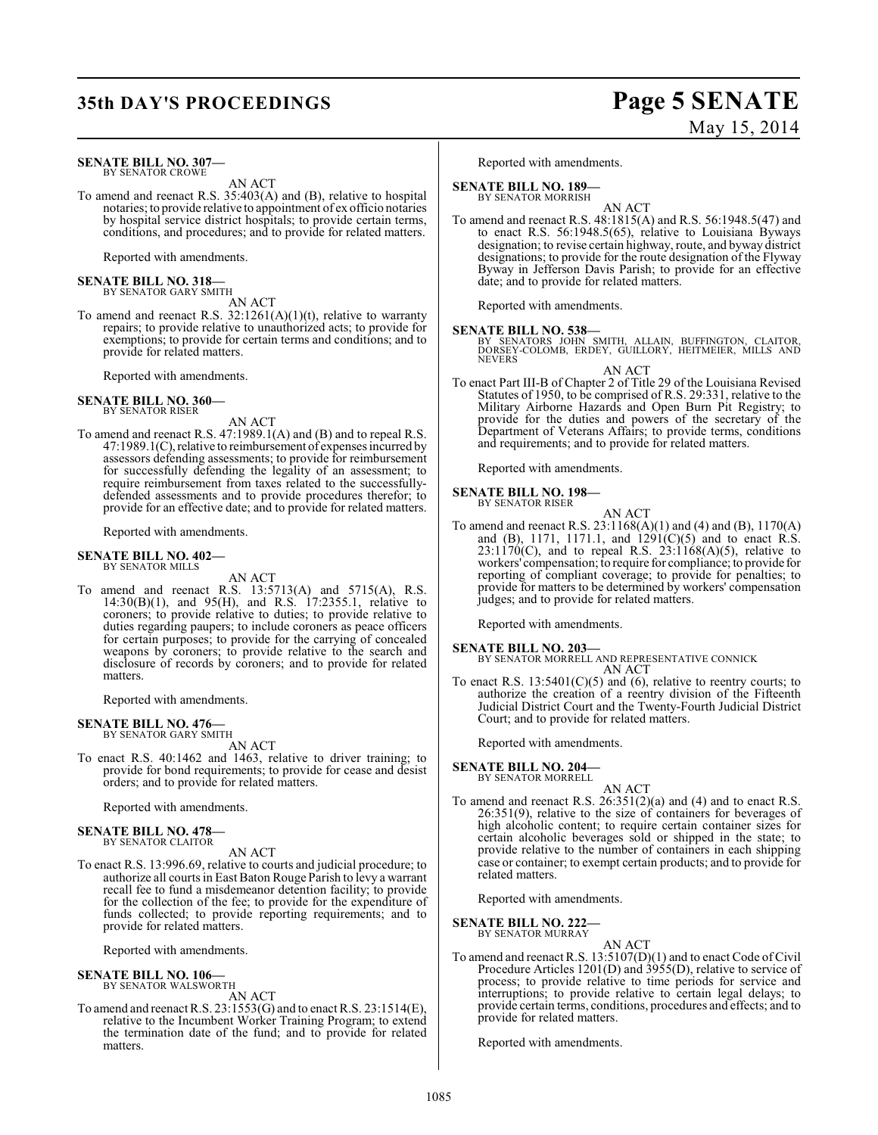# **35th DAY'S PROCEEDINGS Page 5 SENATE**

#### **SENATE BILL NO. 307—** BY SENATOR CROWE

AN ACT

To amend and reenact R.S. 35:403(A) and (B), relative to hospital notaries; to provide relative to appointment of ex officio notaries by hospital service district hospitals; to provide certain terms, conditions, and procedures; and to provide for related matters.

Reported with amendments.

# **SENATE BILL NO. 318—** BY SENATOR GARY SMITH

- AN ACT To amend and reenact R.S.  $32:1261(A)(1)(t)$ , relative to warranty
- repairs; to provide relative to unauthorized acts; to provide for exemptions; to provide for certain terms and conditions; and to provide for related matters.

Reported with amendments.

#### **SENATE BILL NO. 360—** BY SENATOR RISER

AN ACT

To amend and reenact R.S. 47:1989.1(A) and (B) and to repeal R.S. 47:1989.1(C), relative to reimbursement of expenses incurred by assessors defending assessments; to provide for reimbursement for successfully defending the legality of an assessment; to require reimbursement from taxes related to the successfullydefended assessments and to provide procedures therefor; to provide for an effective date; and to provide for related matters.

Reported with amendments.

#### **SENATE BILL NO. 402—** BY SENATOR MILLS

AN ACT

To amend and reenact R.S. 13:5713(A) and 5715(A), R.S. 14:30(B)(1), and 95(H), and R.S. 17:2355.1, relative to coroners; to provide relative to duties; to provide relative to duties regarding paupers; to include coroners as peace officers for certain purposes; to provide for the carrying of concealed weapons by coroners; to provide relative to the search and disclosure of records by coroners; and to provide for related matters.

Reported with amendments.

#### **SENATE BILL NO. 476—** BY SENATOR GARY SMITH

AN ACT

To enact R.S. 40:1462 and 1463, relative to driver training; to provide for bond requirements; to provide for cease and desist orders; and to provide for related matters.

Reported with amendments.

#### **SENATE BILL NO. 478—**

BY SENATOR CLAITOR AN ACT

To enact R.S. 13:996.69, relative to courts and judicial procedure; to authorize all courts in East Baton Rouge Parish to levy a warrant recall fee to fund a misdemeanor detention facility; to provide for the collection of the fee; to provide for the expenditure of funds collected; to provide reporting requirements; and to provide for related matters.

Reported with amendments.

#### **SENATE BILL NO. 106—** BY SENATOR WALSWORTH

AN ACT

To amend and reenactR.S. 23:1553(G) and to enact R.S. 23:1514(E), relative to the Incumbent Worker Training Program; to extend the termination date of the fund; and to provide for related matters.

Reported with amendments.

## **SENATE BILL NO. 189—**

BY SENATOR MORRISH AN ACT

To amend and reenact R.S. 48:1815(A) and R.S. 56:1948.5(47) and to enact R.S. 56:1948.5(65), relative to Louisiana Byways designation; to revise certain highway, route, and byway district designations; to provide for the route designation of the Flyway Byway in Jefferson Davis Parish; to provide for an effective date; and to provide for related matters.

Reported with amendments.

**SENATE BILL NO. 538—** BY SENATORS JOHN SMITH, ALLAIN, BUFFINGTON, CLAITOR, DORSEY-COLOMB, ERDEY, GUILLORY, HEITMEIER, MILLS AND NEVERS

AN ACT To enact Part III-B of Chapter 2 of Title 29 of the Louisiana Revised Statutes of 1950, to be comprised of R.S. 29:331, relative to the Military Airborne Hazards and Open Burn Pit Registry; to provide for the duties and powers of the secretary of the Department of Veterans Affairs; to provide terms, conditions

and requirements; and to provide for related matters.

Reported with amendments.

#### **SENATE BILL NO. 198—** BY SENATOR RISER

AN ACT

To amend and reenact R.S. 23:1168(A)(1) and (4) and (B), 1170(A) and (B), 1171, 1171.1, and  $1291(C)(5)$  and to enact R.S.  $23:1170(C)$ , and to repeal R.S.  $23:1168(A)(5)$ , relative to workers' compensation; to require for compliance; to provide for reporting of compliant coverage; to provide for penalties; to provide for matters to be determined by workers' compensation judges; and to provide for related matters.

Reported with amendments.

**SENATE BILL NO. 203—** BY SENATOR MORRELL AND REPRESENTATIVE CONNICK AN ACT

To enact R.S.  $13:5401(C)(5)$  and (6), relative to reentry courts; to authorize the creation of a reentry division of the Fifteenth Judicial District Court and the Twenty-Fourth Judicial District Court; and to provide for related matters.

Reported with amendments.

**SENATE BILL NO. 204—**

BY SENATOR MORRELL

AN ACT To amend and reenact R.S. 26:351(2)(a) and (4) and to enact R.S. 26:351(9), relative to the size of containers for beverages of high alcoholic content; to require certain container sizes for certain alcoholic beverages sold or shipped in the state; to provide relative to the number of containers in each shipping case or container; to exempt certain products; and to provide for related matters.

Reported with amendments.

**SENATE BILL NO. 222** BY SENATOR MURRAY

AN ACT

To amend and reenact R.S. 13:5107(D)(1) and to enact Code of Civil Procedure Articles 1201(D) and 3955(D), relative to service of process; to provide relative to time periods for service and interruptions; to provide relative to certain legal delays; to provide certain terms, conditions, procedures and effects; and to provide for related matters.

Reported with amendments.

# May 15, 2014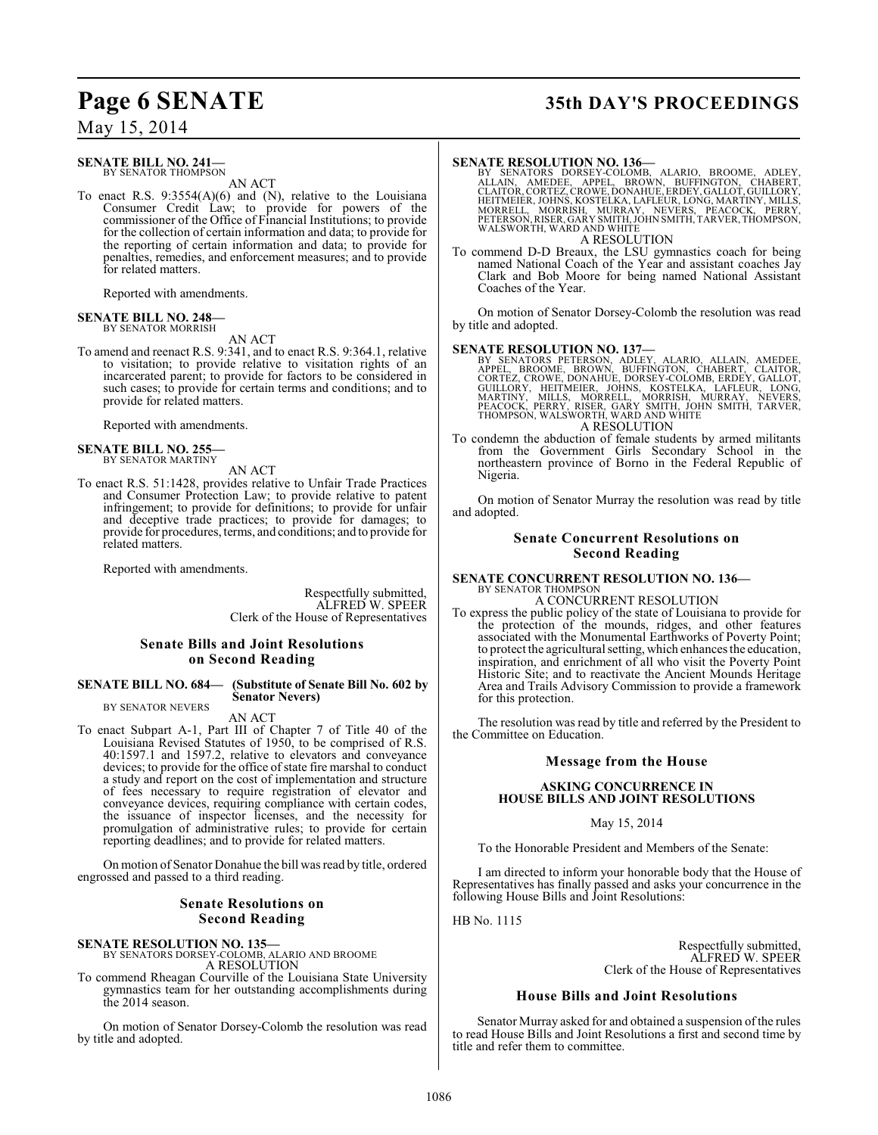#### **SENATE BILL NO. 241—** BY SENATOR THOMPSON

AN ACT

To enact R.S. 9:3554(A)(6) and (N), relative to the Louisiana Consumer Credit Law; to provide for powers of the commissioner of the Office of Financial Institutions; to provide for the collection of certain information and data; to provide for the reporting of certain information and data; to provide for penalties, remedies, and enforcement measures; and to provide for related matters.

Reported with amendments.

#### **SENATE BILL NO. 248—** BY SENATOR MORRISH

AN ACT

To amend and reenact R.S. 9:341, and to enact R.S. 9:364.1, relative to visitation; to provide relative to visitation rights of an incarcerated parent; to provide for factors to be considered in such cases; to provide for certain terms and conditions; and to provide for related matters.

Reported with amendments.

#### **SENATE BILL NO. 255—** BY SENATOR MARTINY

AN ACT

To enact R.S. 51:1428, provides relative to Unfair Trade Practices and Consumer Protection Law; to provide relative to patent infringement; to provide for definitions; to provide for unfair and deceptive trade practices; to provide for damages; to provide for procedures, terms, and conditions; and to provide for related matters.

Reported with amendments.

Respectfully submitted, ALFRED W. SPEER Clerk of the House of Representatives

#### **Senate Bills and Joint Resolutions on Second Reading**

#### **SENATE BILL NO. 684— (Substitute of Senate Bill No. 602 by Senator Nevers)**

BY SENATOR NEVERS

AN ACT

To enact Subpart A-1, Part III of Chapter 7 of Title 40 of the Louisiana Revised Statutes of 1950, to be comprised of R.S. 40:1597.1 and 1597.2, relative to elevators and conveyance devices; to provide for the office of state fire marshal to conduct a study and report on the cost of implementation and structure of fees necessary to require registration of elevator and conveyance devices, requiring compliance with certain codes, the issuance of inspector licenses, and the necessity for promulgation of administrative rules; to provide for certain reporting deadlines; and to provide for related matters.

On motion of Senator Donahue the bill was read by title, ordered engrossed and passed to a third reading.

#### **Senate Resolutions on Second Reading**

## **SENATE RESOLUTION NO. 135—** BY SENATORS DORSEY-COLOMB, ALARIO AND BROOME A RESOLUTION

To commend Rheagan Courville of the Louisiana State University gymnastics team for her outstanding accomplishments during the 2014 season.

On motion of Senator Dorsey-Colomb the resolution was read by title and adopted.

# **Page 6 SENATE 35th DAY'S PROCEEDINGS**

SENATE RESOLUTION NO. 136—<br>BY SENATORS DORSEY-COLOMB, ALARIO, BROOME, ADLEY,<br>ALLAIN, AMEDEE, APEL, BROWN, BUFFINGTON, CHABERT,<br>CLAITOR, CORTEZ, CROWE, DONAHUE, ERDEY, GALLOT, GUILLORY,<br>HEITMEIER, JOHNS, KOSTELKA, LAFLEUR, A RESOLUTION

To commend D-D Breaux, the LSU gymnastics coach for being named National Coach of the Year and assistant coaches Jay Clark and Bob Moore for being named National Assistant Coaches of the Year.

On motion of Senator Dorsey-Colomb the resolution was read by title and adopted.

**SENATE RESOLUTION NO. 137—**<br>BY SENATORS PETERSON, ADLEY, ALARIO, ALLAIN, AMEDEE, BROOME, BROWE, DROWE, DEFINGTON, CHABERT, CLAITOR,<br>CORTEZ, CROWE, DONAHUE, DORSEY-COLOMB, ERDEY, GALLOT,<br>GUILLORY, HEITMEIER, JOHNS, KOSTELK A RESOLUTION

To condemn the abduction of female students by armed militants from the Government Girls Secondary School in the northeastern province of Borno in the Federal Republic of Nigeria.

On motion of Senator Murray the resolution was read by title and adopted.

#### **Senate Concurrent Resolutions on Second Reading**

#### **SENATE CONCURRENT RESOLUTION NO. 136—** BY SENATOR THOMPSON A CONCURRENT RESOLUTION

To express the public policy of the state of Louisiana to provide for

the protection of the mounds, ridges, and other features associated with the Monumental Earthworks of Poverty Point; to protect the agricultural setting, which enhances the education, inspiration, and enrichment of all who visit the Poverty Point Historic Site; and to reactivate the Ancient Mounds Heritage Area and Trails Advisory Commission to provide a framework for this protection.

The resolution was read by title and referred by the President to the Committee on Education.

#### **Message from the House**

#### **ASKING CONCURRENCE IN HOUSE BILLS AND JOINT RESOLUTIONS**

#### May 15, 2014

To the Honorable President and Members of the Senate:

I am directed to inform your honorable body that the House of Representatives has finally passed and asks your concurrence in the following House Bills and Joint Resolutions:

HB No. 1115

Respectfully submitted, ALFRED W. SPEER Clerk of the House of Representatives

#### **House Bills and Joint Resolutions**

Senator Murray asked for and obtained a suspension of the rules to read House Bills and Joint Resolutions a first and second time by title and refer them to committee.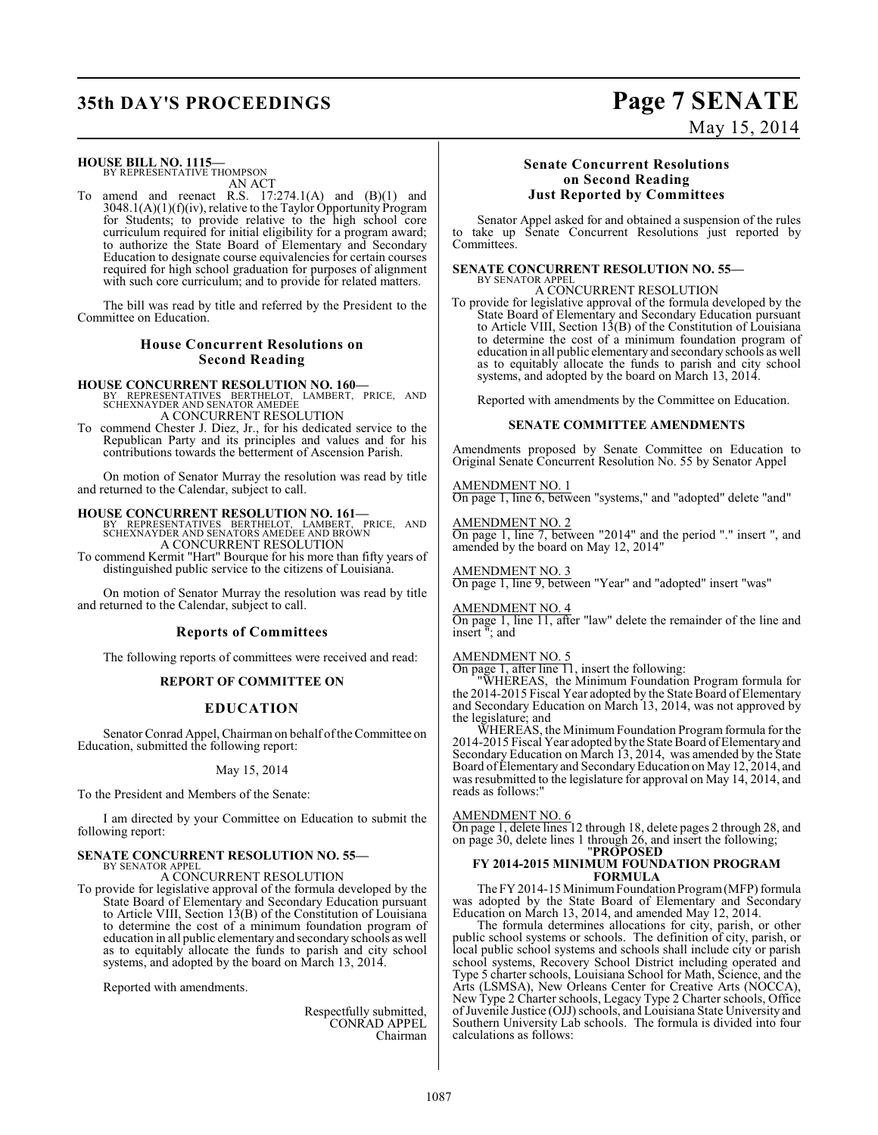# **35th DAY'S PROCEEDINGS Page 7 SENATE**

#### **HOUSE BILL NO. 1115—**

BY REPRESENTATIVE THOMPSON AN ACT

To amend and reenact R.S. 17:274.1(A) and (B)(1) and 3048.1(A)(1)(f)(iv), relative to the Taylor Opportunity Program for Students; to provide relative to the high school core curriculum required for initial eligibility for a program award; to authorize the State Board of Elementary and Secondary Education to designate course equivalencies for certain courses required for high school graduation for purposes of alignment with such core curriculum; and to provide for related matters.

The bill was read by title and referred by the President to the Committee on Education.

#### **House Concurrent Resolutions on Second Reading**

#### **HOUSE CONCURRENT RESOLUTION NO. 160—**

BY REPRESENTATIVES BERTHELOT, LAMBERT, PRICE, AND SCHEXNAYDER AND SENATOR AMEDEE A CONCURRENT RESOLUTION

To commend Chester J. Diez, Jr., for his dedicated service to the Republican Party and its principles and values and for his contributions towards the betterment of Ascension Parish.

On motion of Senator Murray the resolution was read by title and returned to the Calendar, subject to call.

**HOUSE CONCURRENT RESOLUTION NO. 161—** BY REPRESENTATIVES BERTHELOT, LAMBERT, PRICE, AND SCHEXNAYDER AND SENATORS AMEDEE AND BROWN A CONCURRENT RESOLUTION

To commend Kermit "Hart" Bourque for his more than fifty years of distinguished public service to the citizens of Louisiana.

On motion of Senator Murray the resolution was read by title and returned to the Calendar, subject to call.

#### **Reports of Committees**

The following reports of committees were received and read:

#### **REPORT OF COMMITTEE ON**

#### **EDUCATION**

Senator Conrad Appel, Chairman on behalf of the Committee on Education, submitted the following report:

#### May 15, 2014

To the President and Members of the Senate:

I am directed by your Committee on Education to submit the following report:

#### **SENATE CONCURRENT RESOLUTION NO. 55—** BY SENATOR APPEL

A CONCURRENT RESOLUTION

To provide for legislative approval of the formula developed by the State Board of Elementary and Secondary Education pursuant to Article VIII, Section 13(B) of the Constitution of Louisiana to determine the cost of a minimum foundation program of education in all public elementary and secondary schools as well as to equitably allocate the funds to parish and city school systems, and adopted by the board on March 13, 2014.

Reported with amendments.

Respectfully submitted, CONRAD APPEL Chairman

#### **Senate Concurrent Resolutions on Second Reading Just Reported by Committees**

Senator Appel asked for and obtained a suspension of the rules to take up Senate Concurrent Resolutions just reported by Committees.

#### **SENATE CONCURRENT RESOLUTION NO. 55—** BY SENATOR APPEL

A CONCURRENT RESOLUTION

To provide for legislative approval of the formula developed by the State Board of Elementary and Secondary Education pursuant to Article VIII, Section 13(B) of the Constitution of Louisiana to determine the cost of a minimum foundation program of education in all public elementary and secondary schools as well as to equitably allocate the funds to parish and city school systems, and adopted by the board on March 13, 2014.

Reported with amendments by the Committee on Education.

#### **SENATE COMMITTEE AMENDMENTS**

Amendments proposed by Senate Committee on Education to Original Senate Concurrent Resolution No. 55 by Senator Appel

AMENDMENT NO. 1 On page 1, line 6, between "systems," and "adopted" delete "and"

AMENDMENT NO. 2 On page 1, line 7, between "2014" and the period "." insert ", and amended by the board on May 12, 2014"

AMENDMENT NO. 3 On page 1, line 9, between "Year" and "adopted" insert "was"

AMENDMENT NO. 4 On page 1, line 11, after "law" delete the remainder of the line and insert "; and

#### AMENDMENT NO. 5

On page 1, after line 11, insert the following:

"WHEREAS, the Minimum Foundation Program formula for the 2014-2015 Fiscal Year adopted by the State Board of Elementary and Secondary Education on March 13, 2014, was not approved by the legislature; and

WHEREAS, the Minimum Foundation Program formula for the 2014-2015 Fiscal Year adopted by the State Board of Elementary and Secondary Education on March 13, 2014, was amended by the State Board of Elementary and SecondaryEducation on May 12, 2014, and was resubmitted to the legislature for approval on May 14, 2014, and reads as follows:"

#### AMENDMENT NO. 6

On page 1, delete lines 12 through 18, delete pages 2 through 28, and on page 30, delete lines 1 through 26, and insert the following; "**PROPOSED**

#### **FY 2014-2015 MINIMUM FOUNDATION PROGRAM FORMULA**

The FY 2014-15 Minimum Foundation Program (MFP) formula was adopted by the State Board of Elementary and Secondary Education on March 13, 2014, and amended May 12, 2014.

The formula determines allocations for city, parish, or other public school systems or schools. The definition of city, parish, or local public school systems and schools shall include city or parish school systems, Recovery School District including operated and Type 5 charter schools, Louisiana School for Math, Science, and the Arts (LSMSA), New Orleans Center for Creative Arts (NOCCA), New Type 2 Charter schools, Legacy Type 2 Charter schools, Office of Juvenile Justice (OJJ) schools, and Louisiana State University and Southern University Lab schools. The formula is divided into four calculations as follows:

# May 15, 2014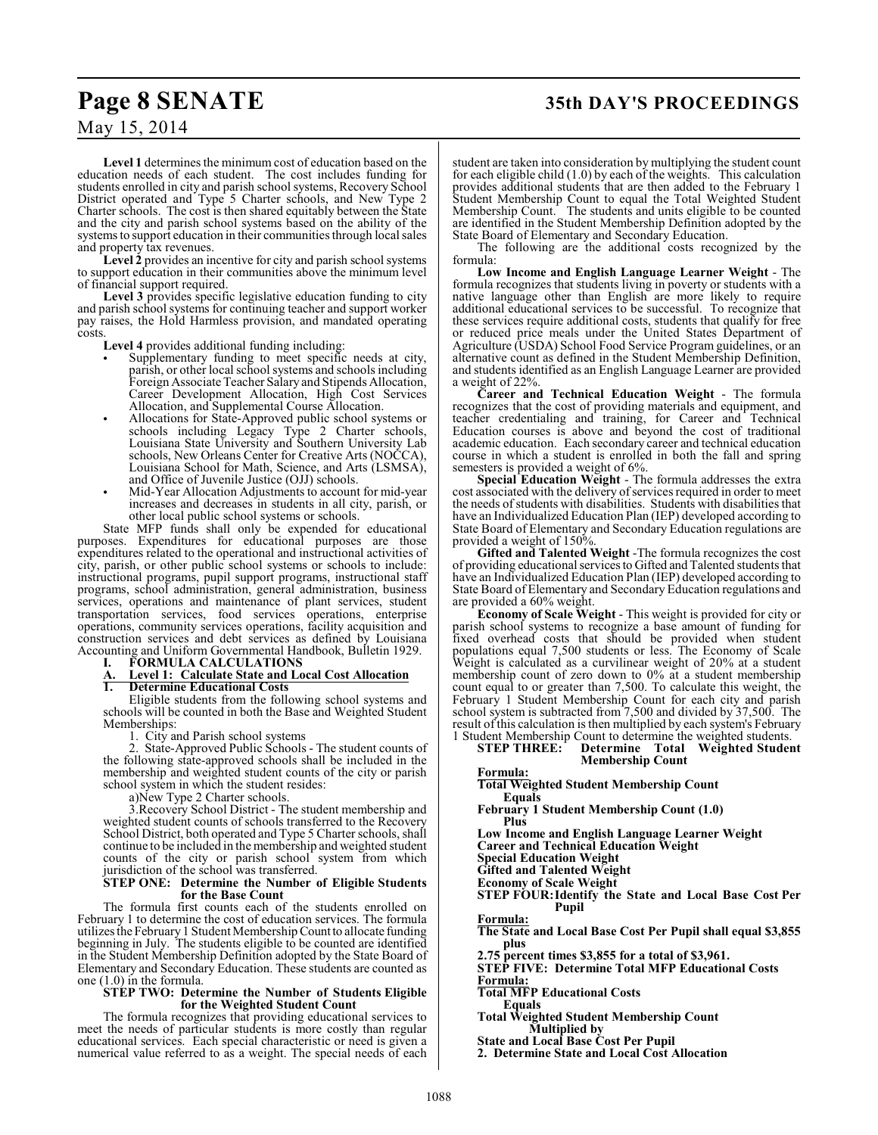# **Page 8 SENATE 35th DAY'S PROCEEDINGS**

## May 15, 2014

**Level 1** determines the minimum cost of education based on the education needs of each student. The cost includes funding for students enrolled in city and parish school systems, Recovery School District operated and Type 5 Charter schools, and New Type 2 Charter schools. The cost is then shared equitably between the State and the city and parish school systems based on the ability of the systems to support education in their communities through local sales and property tax revenues.

**Level 2** provides an incentive for city and parish school systems to support education in their communities above the minimum level of financial support required.

**Level 3** provides specific legislative education funding to city and parish school systems for continuing teacher and support worker pay raises, the Hold Harmless provision, and mandated operating costs.

**Level 4** provides additional funding including:

- Supplementary funding to meet specific needs at city, parish, or other local school systems and schools including Foreign Associate Teacher Salary and Stipends Allocation, Career Development Allocation, High Cost Services Allocation, and Supplemental Course Allocation.
- Allocations for State-Approved public school systems or schools including Legacy Type 2 Charter schools, Louisiana State University and Southern University Lab schools, New Orleans Center for Creative Arts (NOCCA), Louisiana School for Math, Science, and Arts (LSMSA), and Office of Juvenile Justice (OJJ) schools.
- Mid-Year Allocation Adjustments to account for mid-year increases and decreases in students in all city, parish, or other local public school systems or schools.

State MFP funds shall only be expended for educational purposes. Expenditures for educational purposes are those expenditures related to the operational and instructional activities of city, parish, or other public school systems or schools to include: instructional programs, pupil support programs, instructional staff programs, school administration, general administration, business services, operations and maintenance of plant services, student transportation services, food services operations, enterprise operations, community services operations, facility acquisition and construction services and debt services as defined by Louisiana Accounting and Uniform Governmental Handbook, Bulletin 1929.

**I. FORMULA CALCULATIONS**<br>**A.** Level 1: Calculate State and Lo<br>**1.** Determine Educational Costs **A. Level 1: Calculate State and Local Cost Allocation 1. Determine Educational Costs**

Eligible students from the following school systems and schools will be counted in both the Base and Weighted Student Memberships:

1. City and Parish school systems

2. State-Approved Public Schools - The student counts of the following state-approved schools shall be included in the membership and weighted student counts of the city or parish school system in which the student resides:

a)New Type 2 Charter schools.

3.Recovery School District - The student membership and weighted student counts of schools transferred to the Recovery School District, both operated and Type 5 Charter schools, shall continue to be included in the membership and weighted student counts of the city or parish school system from which jurisdiction of the school was transferred.

#### **STEP ONE: Determine the Number of Eligible Students for the Base Count**

The formula first counts each of the students enrolled on February 1 to determine the cost of education services. The formula utilizes the February 1 Student Membership Count to allocate funding beginning in July. The students eligible to be counted are identified in the Student Membership Definition adopted by the State Board of Elementary and Secondary Education. These students are counted as one (1.0) in the formula.

#### **STEP TWO: Determine the Number of Students Eligible for the Weighted Student Count**

The formula recognizes that providing educational services to meet the needs of particular students is more costly than regular educational services. Each special characteristic or need is given a numerical value referred to as a weight. The special needs of each

student are taken into consideration by multiplying the student count for each eligible child (1.0) by each of the weights. This calculation provides additional students that are then added to the February 1 Student Membership Count to equal the Total Weighted Student Membership Count. The students and units eligible to be counted are identified in the Student Membership Definition adopted by the State Board of Elementary and Secondary Education.

The following are the additional costs recognized by the formula:

**Low Income and English Language Learner Weight** - The formula recognizes that students living in poverty or students with a native language other than English are more likely to require additional educational services to be successful. To recognize that these services require additional costs, students that qualify for free or reduced price meals under the United States Department of Agriculture (USDA) School Food Service Program guidelines, or an alternative count as defined in the Student Membership Definition, and students identified as an English Language Learner are provided a weight of 22%.

**Career and Technical Education Weight** - The formula recognizes that the cost of providing materials and equipment, and teacher credentialing and training, for Career and Technical Education courses is above and beyond the cost of traditional academic education. Each secondary career and technical education course in which a student is enrolled in both the fall and spring semesters is provided a weight of 6%.

**Special Education Weight** - The formula addresses the extra cost associated with the delivery of services required in order to meet the needs of students with disabilities. Students with disabilities that have an Individualized Education Plan (IEP) developed according to State Board of Elementary and Secondary Education regulations are provided a weight of 150%.

**Gifted and Talented Weight** -The formula recognizes the cost of providing educational services to Gifted and Talented students that have an Individualized Education Plan (IEP) developed according to State Board of Elementary and Secondary Education regulations and are provided a 60% weight.

**Economy of Scale Weight** - This weight is provided for city or parish school systems to recognize a base amount of funding for fixed overhead costs that should be provided when student populations equal 7,500 students or less. The Economy of Scale Weight is calculated as a curvilinear weight of 20% at a student membership count of zero down to 0% at a student membership count equal to or greater than 7,500. To calculate this weight, the February 1 Student Membership Count for each city and parish school system is subtracted from 7,500 and divided by 37,500. The result of this calculation is then multiplied by each system's February

1 Student Membership Count to determine the weighted students.<br>**STEP THREE:** Determine Total Weighted Studer Determine Total Weighted Student **Membership Count**

#### **Formula:**

**Total Weighted Student Membership Count Equals**

**February 1 Student Membership Count (1.0) Plus**

**Low Income and English Language Learner Weight**

**Career and Technical Education Weight**

**Special Education Weight**

**Gifted and Talented Weight**

**Economy of Scale Weight**

**STEP FOUR:Identify the State and Local Base Cost Per Pupil**

**Formula:**

**The State and Local Base Cost Per Pupil shall equal \$3,855 plus** 

**2.75 percent times \$3,855 for a total of \$3,961.**

**STEP FIVE: Determine Total MFP Educational Costs Formula:**

**Total MFP Educational Costs**

**Equals**

**Total Weighted Student Membership Count Multiplied by**

**State and Local Base Cost Per Pupil**

**2. Determine State and Local Cost Allocation**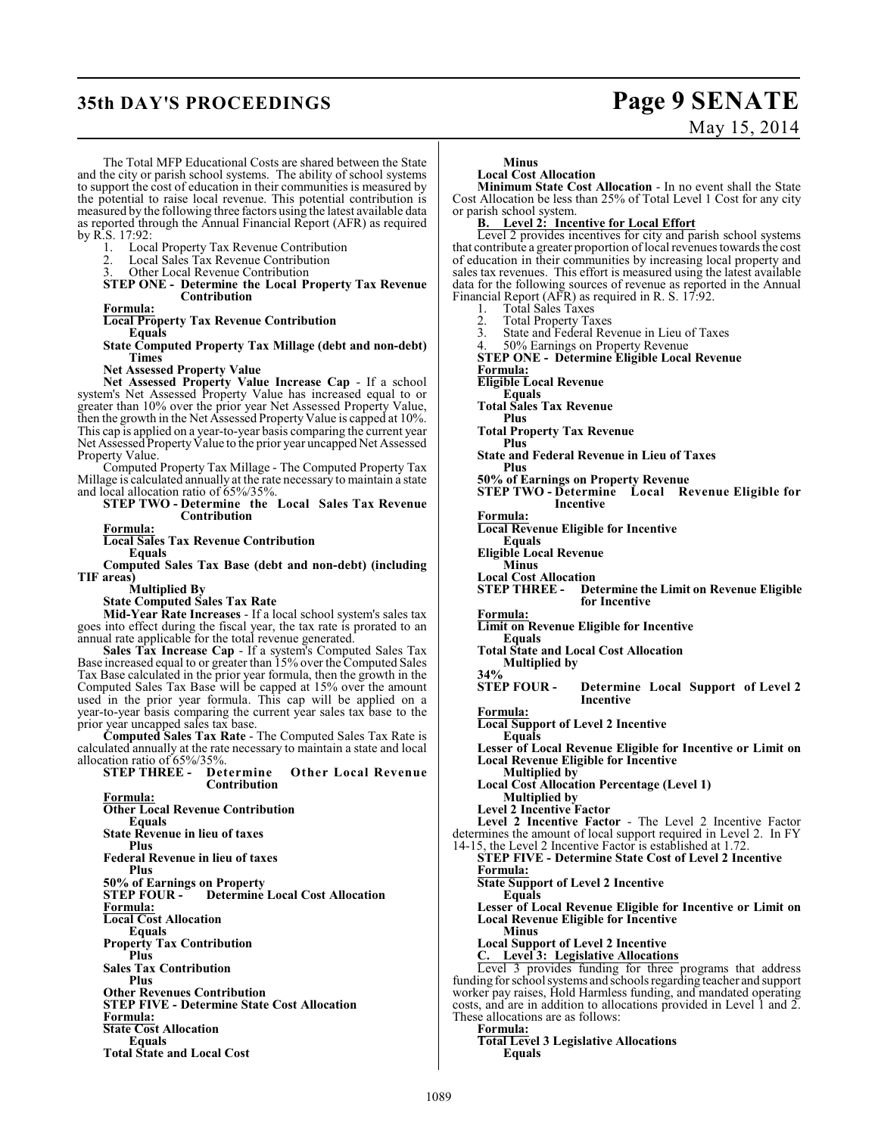# **35th DAY'S PROCEEDINGS Page 9 SENATE**

# May 15, 2014

The Total MFP Educational Costs are shared between the State and the city or parish school systems. The ability of school systems to support the cost of education in their communities is measured by the potential to raise local revenue. This potential contribution is measured by the following three factors using the latest available data as reported through the Annual Financial Report (AFR) as required by R.S. 17:92:

1. Local Property Tax Revenue Contribution<br>2. Local Sales Tax Revenue Contribution

2. Local Sales Tax Revenue Contribution<br>3. Other Local Revenue Contribution

Other Local Revenue Contribution

**STEP ONE - Determine the Local Property Tax Revenue Contribution**

**Formula:**

**Local Property Tax Revenue Contribution** 

**Equals State Computed Property Tax Millage (debt and non-debt)**

**Times Net Assessed Property Value**

**Net Assessed Property Value Increase Cap** - If a school system's Net Assessed Property Value has increased equal to or greater than 10% over the prior year Net Assessed Property Value, then the growth in the Net Assessed Property Value is capped at 10%. This cap is applied on a year-to-year basis comparing the current year Net Assessed Property Value to the prior year uncapped Net Assessed Property Value.

Computed Property Tax Millage - The Computed Property Tax Millage is calculated annually at the rate necessary to maintain a state and local allocation ratio of 65%/35%.

**STEP TWO - Determine the Local Sales Tax Revenue Contribution**

**Formula:**

**Local Sales Tax Revenue Contribution Equals**

**Computed Sales Tax Base (debt and non-debt) (including TIF areas)** 

**Multiplied By**

**State Computed Sales Tax Rate**

**Mid-Year Rate Increases** - If a local school system's sales tax goes into effect during the fiscal year, the tax rate is prorated to an annual rate applicable for the total revenue generated.

**Sales Tax Increase Cap** - If a system's Computed Sales Tax Base increased equal to or greater than 15% over the Computed Sales Tax Base calculated in the prior year formula, then the growth in the Computed Sales Tax Base will be capped at 15% over the amount used in the prior year formula. This cap will be applied on a year-to-year basis comparing the current year sales tax base to the prior year uncapped sales tax base.

**Computed Sales Tax Rate** - The Computed Sales Tax Rate is calculated annually at the rate necessary to maintain a state and local allocation ratio of 65%/35%.<br> **STEP THREE -** Determine

 $O$ ther Local Revenue **Contribution Formula: Other Local Revenue Contribution Equals State Revenue in lieu of taxes Plus Federal Revenue in lieu of taxes Plus 50% of Earnings on Property Determine Local Cost Allocation Formula: Local Cost Allocation Equals Property Tax Contribution Plus Sales Tax Contribution Plus Other Revenues Contribution STEP FIVE - Determine State Cost Allocation Formula: State Cost Allocation Equals Total State and Local Cost**

**Minus**

**Local Cost Allocation** 

**Minimum State Cost Allocation** - In no event shall the State Cost Allocation be less than 25% of Total Level 1 Cost for any city or parish school system.

**B. Level 2: Incentive for Local Effort**

Level 2 provides incentives for city and parish school systems that contribute a greater proportion of local revenues towards the cost of education in their communities by increasing local property and sales tax revenues. This effort is measured using the latest available data for the following sources of revenue as reported in the Annual Financial Report (AFR) as required in R. S. 17:92.

1. Total Sales Taxes<br>2. Total Property Ta

2. Total Property Taxes<br>3. State and Federal Rev

3. State and Federal Revenue in Lieu of Taxes<br>4.  $50\%$  Farnings on Property Revenue

50% Earnings on Property Revenue

**STEP ONE - Determine Eligible Local Revenue Formula:**

**Eligible Local Revenue**

**Equals**

**Total Sales Tax Revenue**

**Plus** 

**Total Property Tax Revenue Plus** 

**State and Federal Revenue in Lieu of Taxes Plus**

**50% of Earnings on Property Revenue**

**STEP TWO - Determine Local Revenue Eligible for Incentive**

**Formula:**

**Local Revenue Eligible for Incentive**

**Equals Eligible Local Revenue**

**Minus**

**Local Cost Allocation Determine the Limit on Revenue Eligible for Incentive**

**Formula:**

**Limit on Revenue Eligible for Incentive**

**Equals Total State and Local Cost Allocation**

**Multiplied by**

**34%**<br>**STEP FOUR -Determine Local Support of Level 2 Incentive**

**Formula: Local Support of Level 2 Incentive**

**Equals**

**Lesser of Local Revenue Eligible for Incentive or Limit on Local Revenue Eligible for Incentive**

**Multiplied by**

**Local Cost Allocation Percentage (Level 1) Multiplied by** 

**Level 2 Incentive Factor**

**Level 2 Incentive Factor** - The Level 2 Incentive Factor determines the amount of local support required in Level 2. In FY

14-15, the Level 2 Incentive Factor is established at 1.72. **STEP FIVE - Determine State Cost of Level 2 Incentive Formula:**

**State Support of Level 2 Incentive**

**Equals Lesser of Local Revenue Eligible for Incentive or Limit on Local Revenue Eligible for Incentive**

**Minus**

**Local Support of Level 2 Incentive**

**C. Level 3: Legislative Allocations**

Level 3 provides funding for three programs that address funding for school systems and schools regarding teacher and support worker pay raises, Hold Harmless funding, and mandated operating costs, and are in addition to allocations provided in Level 1 and 2. These allocations are as follows:

**Formula:**

**Total Level 3 Legislative Allocations Equals**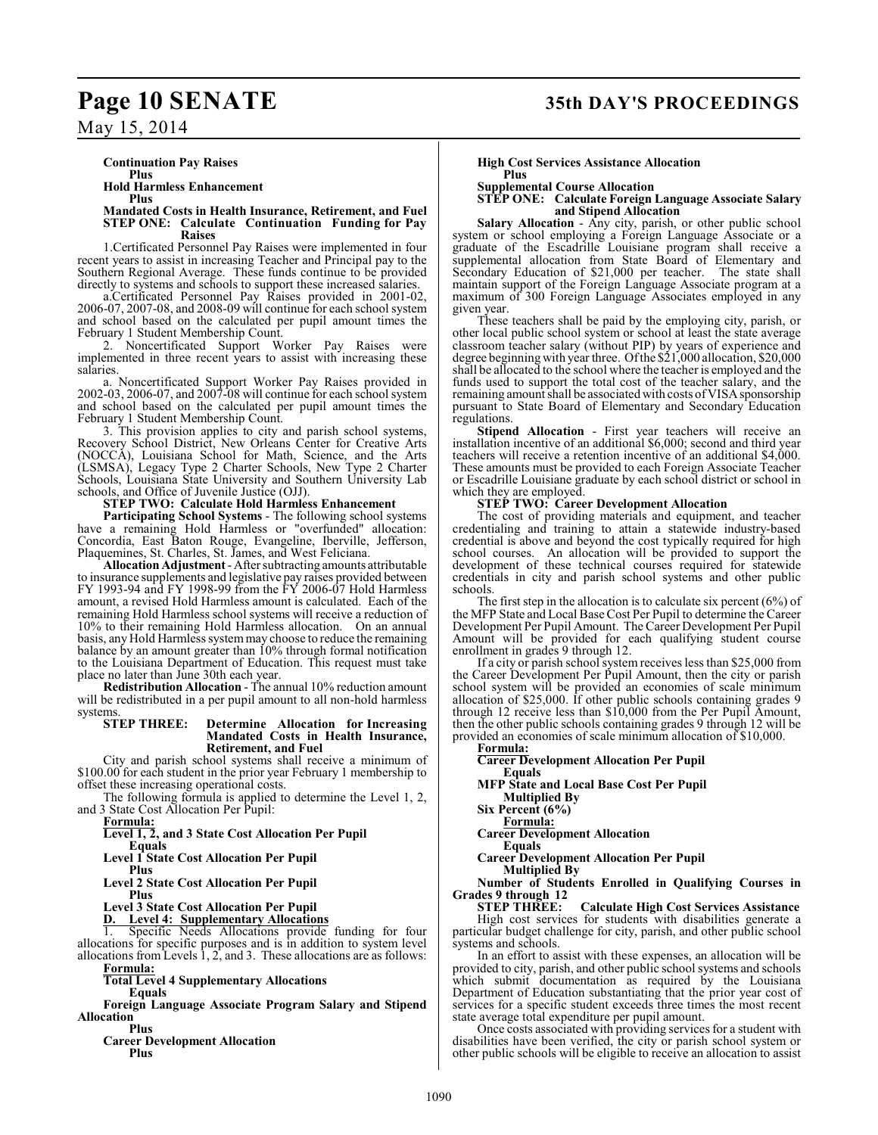# **Page 10 SENATE 35th DAY'S PROCEEDINGS**

May 15, 2014

**Continuation Pay Raises**

**Plus Hold Harmless Enhancement**

**Plus**

#### **Mandated Costs in Health Insurance, Retirement, and Fuel STEP ONE: Calculate Continuation Funding for Pay Raises**

1.Certificated Personnel Pay Raises were implemented in four recent years to assist in increasing Teacher and Principal pay to the Southern Regional Average. These funds continue to be provided directly to systems and schools to support these increased salaries.

a.Certificated Personnel Pay Raises provided in 2001-02, 2006-07, 2007-08, and 2008-09 will continue for each school system and school based on the calculated per pupil amount times the February 1 Student Membership Count.

2. Noncertificated Support Worker Pay Raises were implemented in three recent years to assist with increasing these salaries.

a. Noncertificated Support Worker Pay Raises provided in 2002-03, 2006-07, and 2007-08 will continue for each school system and school based on the calculated per pupil amount times the February 1 Student Membership Count.

3. This provision applies to city and parish school systems, Recovery School District, New Orleans Center for Creative Arts (NOCCA), Louisiana School for Math, Science, and the Arts (LSMSA), Legacy Type 2 Charter Schools, New Type 2 Charter Schools, Louisiana State University and Southern University Lab schools, and Office of Juvenile Justice (OJJ).

## **STEP TWO: Calculate Hold Harmless Enhancement**

**Participating School Systems** - The following school systems have a remaining Hold Harmless or "overfunded" allocation: Concordia, East Baton Rouge, Evangeline, Iberville, Jefferson, Plaquemines, St. Charles, St. James, and West Feliciana.

**Allocation Adjustment** - After subtracting amounts attributable to insurance supplements and legislative pay raises provided between FY 1993-94 and FY 1998-99 from the FY 2006-07 Hold Harmless amount, a revised Hold Harmless amount is calculated. Each of the remaining Hold Harmless school systems will receive a reduction of 10% to their remaining Hold Harmless allocation. On an annual basis, any Hold Harmless system may choose to reduce the remaining balance by an amount greater than 10% through formal notification to the Louisiana Department of Education. This request must take place no later than June 30th each year.

**Redistribution Allocation** - The annual 10% reduction amount will be redistributed in a per pupil amount to all non-hold harmless systems.<br>STEP THREE:

#### **Determine Allocation for Increasing Mandated Costs in Health Insurance, Retirement, and Fuel**

City and parish school systems shall receive a minimum of \$100.00 for each student in the prior year February 1 membership to offset these increasing operational costs.

The following formula is applied to determine the Level 1, 2, and 3 State Cost Allocation Per Pupil:

**Formula:**

**Level 1, 2, and 3 State Cost Allocation Per Pupil**

**Equals Level 1 State Cost Allocation Per Pupil** 

**Plus**

**Level 2 State Cost Allocation Per Pupil**

**Plus**

**Level 3 State Cost Allocation Per Pupil D. Level 4: Supplementary Allocations**

Specific Needs Allocations provide funding for four allocations for specific purposes and is in addition to system level allocations from Levels 1, 2, and 3. These allocations are as follows:

**Formula: Total Level 4 Supplementary Allocations**

**Equals**

**Foreign Language Associate Program Salary and Stipend Allocation** 

**Plus Career Development Allocation**

**Plus**

#### **High Cost Services Assistance Allocation Plus**

**Supplemental Course Allocation**

#### **STEP ONE: Calculate Foreign Language Associate Salary and Stipend Allocation**

**Salary Allocation** - Any city, parish, or other public school system or school employing a Foreign Language Associate or a graduate of the Escadrille Louisiane program shall receive a supplemental allocation from State Board of Elementary and Secondary Education of \$21,000 per teacher. The state shall Secondary Education of  $$21,000$  per teacher. maintain support of the Foreign Language Associate program at a maximum of 300 Foreign Language Associates employed in any given year.

These teachers shall be paid by the employing city, parish, or other local public school system or school at least the state average classroom teacher salary (without PIP) by years of experience and degree beginning with year three. Ofthe \$21,000 allocation, \$20,000 shall be allocated to the school where the teacher is employed and the funds used to support the total cost of the teacher salary, and the remaining amount shall be associated with costs of VISA sponsorship pursuant to State Board of Elementary and Secondary Education regulations.

**Stipend Allocation** - First year teachers will receive an installation incentive of an additional \$6,000; second and third year teachers will receive a retention incentive of an additional \$4,000. These amounts must be provided to each Foreign Associate Teacher or Escadrille Louisiane graduate by each school district or school in which they are employed.

#### **STEP TWO: Career Development Allocation**

The cost of providing materials and equipment, and teacher credentialing and training to attain a statewide industry-based credential is above and beyond the cost typically required for high school courses. An allocation will be provided to support the development of these technical courses required for statewide credentials in city and parish school systems and other public schools.

The first step in the allocation is to calculate six percent  $(6\%)$  of the MFP State and Local Base Cost Per Pupil to determine the Career Development Per Pupil Amount. The Career Development Per Pupil Amount will be provided for each qualifying student course enrollment in grades 9 through 12.

If a city or parish school system receives less than \$25,000 from the Career Development Per Pupil Amount, then the city or parish school system will be provided an economies of scale minimum allocation of \$25,000. If other public schools containing grades 9 through 12 receive less than \$10,000 from the Per Pupil Amount, then the other public schools containing grades 9 through 12 will be provided an economies of scale minimum allocation of \$10,000.

**Formula:**

**Career Development Allocation Per Pupil**

**Equals MFP State and Local Base Cost Per Pupil Multiplied By**

**Six Percent (6%)**

**Formula:**

**Career Development Allocation** 

**Equals**

**Career Development Allocation Per Pupil Multiplied By**

**Number of Students Enrolled in Qualifying Courses in Grades 9 through 12**

**Calculate High Cost Services Assistance** High cost services for students with disabilities generate a particular budget challenge for city, parish, and other public school systems and schools.

In an effort to assist with these expenses, an allocation will be provided to city, parish, and other public school systems and schools which submit documentation as required by the Louisiana Department of Education substantiating that the prior year cost of services for a specific student exceeds three times the most recent state average total expenditure per pupil amount.

Once costs associated with providing services for a student with disabilities have been verified, the city or parish school system or other public schools will be eligible to receive an allocation to assist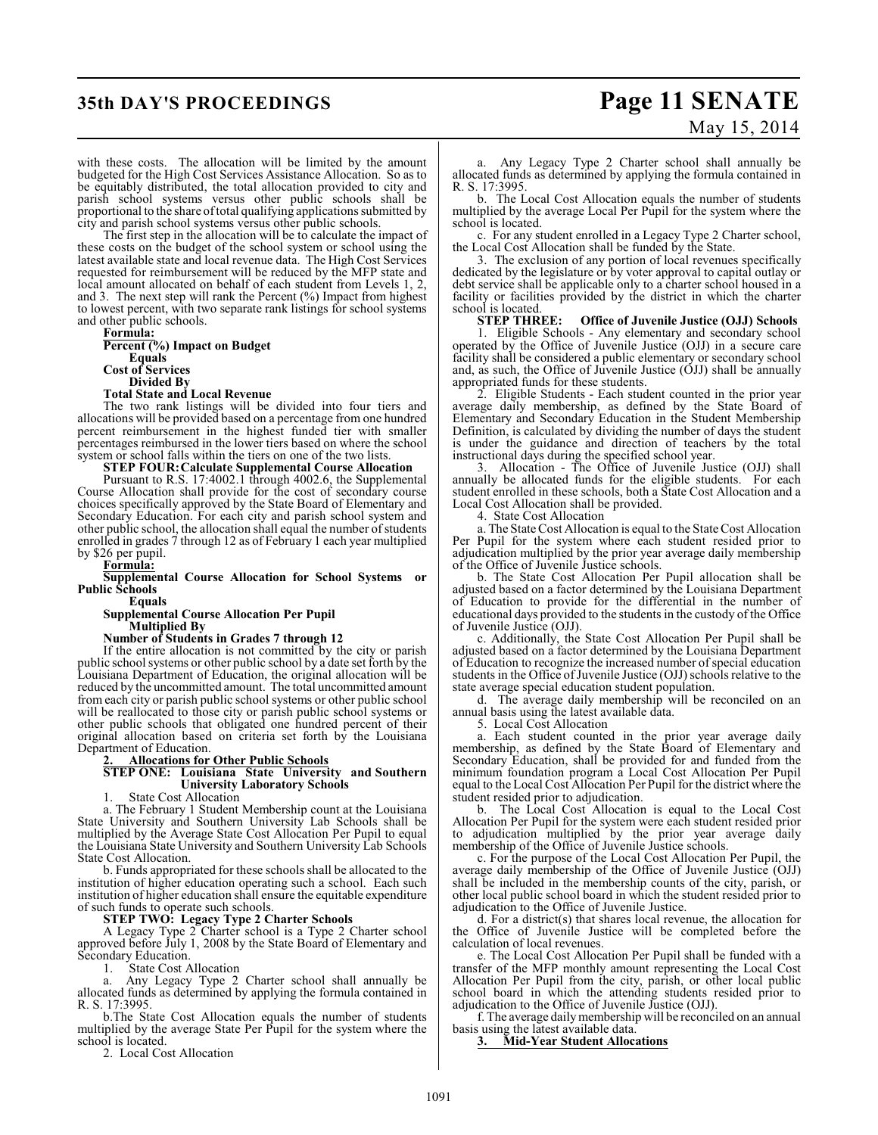# **35th DAY'S PROCEEDINGS Page 11 SENATE** May 15, 2014

with these costs. The allocation will be limited by the amount budgeted for the High Cost Services Assistance Allocation. So as to be equitably distributed, the total allocation provided to city and parish school systems versus other public schools shall be proportional to the share oftotal qualifying applications submitted by city and parish school systems versus other public schools.

The first step in the allocation will be to calculate the impact of these costs on the budget of the school system or school using the latest available state and local revenue data. The High Cost Services requested for reimbursement will be reduced by the MFP state and local amount allocated on behalf of each student from Levels 1, 2, and 3. The next step will rank the Percent  $(\%)$  Impact from highest to lowest percent, with two separate rank listings for school systems and other public schools.

**Formula: Percent (%) Impact on Budget Equals Cost of Services Divided By**

#### **Total State and Local Revenue**

The two rank listings will be divided into four tiers and allocations will be provided based on a percentage from one hundred percent reimbursement in the highest funded tier with smaller percentages reimbursed in the lower tiers based on where the school system or school falls within the tiers on one of the two lists.

#### **STEP FOUR:Calculate Supplemental Course Allocation**

Pursuant to R.S. 17:4002.1 through 4002.6, the Supplemental Course Allocation shall provide for the cost of secondary course choices specifically approved by the State Board of Elementary and Secondary Education. For each city and parish school system and other public school, the allocation shall equal the number of students enrolled in grades 7 through 12 as of February 1 each year multiplied by \$26 per pupil.

**Formula:**

**Supplemental Course Allocation for School Systems or Public Schools**

**Equals**

#### **Supplemental Course Allocation Per Pupil Multiplied By**

#### **Number of Students in Grades 7 through 12**

If the entire allocation is not committed by the city or parish public school systems or other public school by a date set forth by the Louisiana Department of Education, the original allocation will be reduced by the uncommitted amount. The total uncommitted amount from each city or parish public school systems or other public school will be reallocated to those city or parish public school systems or other public schools that obligated one hundred percent of their original allocation based on criteria set forth by the Louisiana Department of Education.

### **2. Allocations for Other Public Schools**

#### **STEP ONE: Louisiana State University and Southern University Laboratory Schools**

State Cost Allocation

a. The February 1 Student Membership count at the Louisiana State University and Southern University Lab Schools shall be multiplied by the Average State Cost Allocation Per Pupil to equal the Louisiana State University and Southern University Lab Schools State Cost Allocation.

b. Funds appropriated for these schools shall be allocated to the institution of higher education operating such a school. Each such institution of higher education shall ensure the equitable expenditure of such funds to operate such schools.

#### **STEP TWO: Legacy Type 2 Charter Schools**

A Legacy Type 2 Charter school is a Type 2 Charter school approved before July 1, 2008 by the State Board of Elementary and Secondary Education.

1. State Cost Allocation

a. Any Legacy Type 2 Charter school shall annually be allocated funds as determined by applying the formula contained in R. S. 17:3995.

b.The State Cost Allocation equals the number of students multiplied by the average State Per Pupil for the system where the school is located.

2. Local Cost Allocation

a. Any Legacy Type 2 Charter school shall annually be allocated funds as determined by applying the formula contained in R. S. 17:3995.

b. The Local Cost Allocation equals the number of students multiplied by the average Local Per Pupil for the system where the school is located.

c. For any student enrolled in a Legacy Type 2 Charter school, the Local Cost Allocation shall be funded by the State.

3. The exclusion of any portion of local revenues specifically dedicated by the legislature or by voter approval to capital outlay or debt service shall be applicable only to a charter school housed in a facility or facilities provided by the district in which the charter school is located.<br>**STEP THREE:** 

#### **Office of Juvenile Justice (OJJ) Schools**

1. Eligible Schools - Any elementary and secondary school operated by the Office of Juvenile Justice (OJJ) in a secure care facility shall be considered a public elementary or secondary school and, as such, the Office of Juvenile Justice (OJJ) shall be annually appropriated funds for these students.

2. Eligible Students - Each student counted in the prior year average daily membership, as defined by the State Board of Elementary and Secondary Education in the Student Membership Definition, is calculated by dividing the number of days the student is under the guidance and direction of teachers by the total instructional days during the specified school year.

Allocation - The Office of Juvenile Justice (OJJ) shall annually be allocated funds for the eligible students. For each student enrolled in these schools, both a State Cost Allocation and a Local Cost Allocation shall be provided.

4. State Cost Allocation

a. The State Cost Allocation is equal to the State Cost Allocation Per Pupil for the system where each student resided prior to adjudication multiplied by the prior year average daily membership of the Office of Juvenile Justice schools.

b. The State Cost Allocation Per Pupil allocation shall be adjusted based on a factor determined by the Louisiana Department of Education to provide for the differential in the number of educational days provided to the students in the custody of the Office of Juvenile Justice (OJJ).

c. Additionally, the State Cost Allocation Per Pupil shall be adjusted based on a factor determined by the Louisiana Department of Education to recognize the increased number of special education students in the Office of Juvenile Justice (OJJ) schools relative to the state average special education student population.

d. The average daily membership will be reconciled on an annual basis using the latest available data.

5. Local Cost Allocation

a. Each student counted in the prior year average daily membership, as defined by the State Board of Elementary and Secondary Education, shall be provided for and funded from the minimum foundation program a Local Cost Allocation Per Pupil equal to the Local Cost Allocation Per Pupil for the district where the student resided prior to adjudication.

b. The Local Cost Allocation is equal to the Local Cost Allocation Per Pupil for the system were each student resided prior to adjudication multiplied by the prior year average daily membership of the Office of Juvenile Justice schools.

c. For the purpose of the Local Cost Allocation Per Pupil, the average daily membership of the Office of Juvenile Justice (OJJ) shall be included in the membership counts of the city, parish, or other local public school board in which the student resided prior to adjudication to the Office of Juvenile Justice.

d. For a district(s) that shares local revenue, the allocation for the Office of Juvenile Justice will be completed before the calculation of local revenues.

e. The Local Cost Allocation Per Pupil shall be funded with a transfer of the MFP monthly amount representing the Local Cost Allocation Per Pupil from the city, parish, or other local public school board in which the attending students resided prior to adjudication to the Office of Juvenile Justice (OJJ).

f. The average daily membership will be reconciled on an annual basis using the latest available data.

**3. Mid-Year Student Allocations**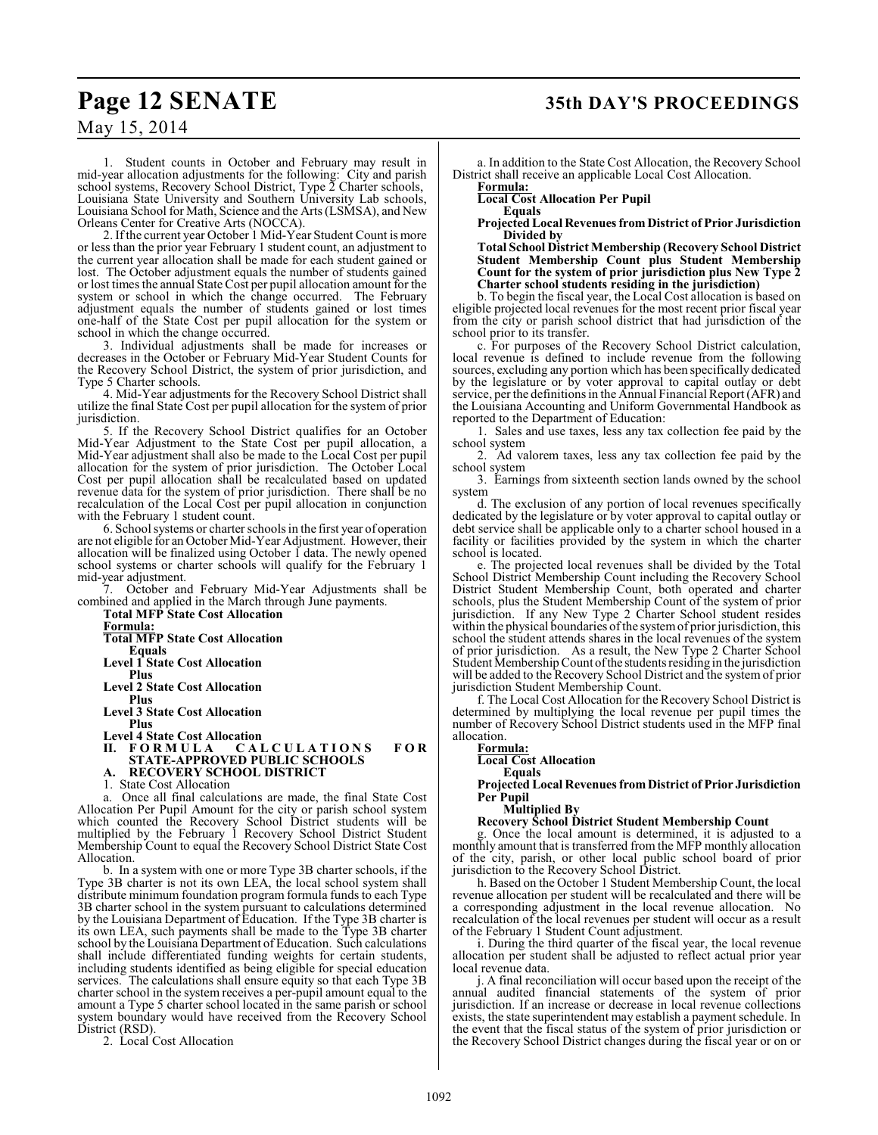1. Student counts in October and February may result in mid-year allocation adjustments for the following: City and parish school systems, Recovery School District, Type 2 Charter schools, Louisiana State University and Southern University Lab schools, Louisiana School for Math, Science and the Arts (LSMSA), and New Orleans Center for Creative Arts (NOCCA).

2. If the current year October 1 Mid-Year Student Count is more or less than the prior year February 1 student count, an adjustment to the current year allocation shall be made for each student gained or lost. The October adjustment equals the number of students gained or lost times the annual StateCost per pupil allocation amount for the system or school in which the change occurred. The February adjustment equals the number of students gained or lost times one-half of the State Cost per pupil allocation for the system or school in which the change occurred.

3. Individual adjustments shall be made for increases or decreases in the October or February Mid-Year Student Counts for the Recovery School District, the system of prior jurisdiction, and Type 5 Charter schools.

4. Mid-Year adjustments for the Recovery School District shall utilize the final State Cost per pupil allocation for the system of prior jurisdiction.

5. If the Recovery School District qualifies for an October Mid-Year Adjustment to the State Cost per pupil allocation, a Mid-Year adjustment shall also be made to the Local Cost per pupil allocation for the system of prior jurisdiction. The October Local Cost per pupil allocation shall be recalculated based on updated revenue data for the system of prior jurisdiction. There shall be no recalculation of the Local Cost per pupil allocation in conjunction with the February 1 student count.

6. School systems or charter schools in the first year of operation are not eligible for an October Mid-Year Adjustment. However, their allocation will be finalized using October 1 data. The newly opened school systems or charter schools will qualify for the February 1 mid-year adjustment.

7. October and February Mid-Year Adjustments shall be combined and applied in the March through June payments.

**Total MFP State Cost Allocation Formula: Total MFP State Cost Allocation Equals Level 1 State Cost Allocation Plus Level 2 State Cost Allocation Plus Level 3 State Cost Allocation Plus Level 4 State Cost Allocation**  $$ **STATE-APPROVED PUBLIC SCHOOLS A. RECOVERY SCHOOL DISTRICT** 1. State Cost Allocation a. Once all final calculations are made, the final State Cost Allocation Per Pupil Amount for the city or parish school system

which counted the Recovery School District students will be multiplied by the February 1 Recovery School District Student Membership Count to equal the Recovery School District State Cost Allocation.

b. In a system with one or more Type 3B charter schools, if the Type 3B charter is not its own LEA, the local school system shall distribute minimum foundation program formula funds to each Type 3B charter school in the system pursuant to calculations determined by the Louisiana Department of Education. If the Type 3B charter is its own LEA, such payments shall be made to the Type 3B charter school by the Louisiana Department of Education. Such calculations shall include differentiated funding weights for certain students, including students identified as being eligible for special education services. The calculations shall ensure equity so that each Type 3B charter school in the system receives a per-pupil amount equal to the amount a Type 5 charter school located in the same parish or school system boundary would have received from the Recovery School District (RSD).

2. Local Cost Allocation

a. In addition to the State Cost Allocation, the Recovery School District shall receive an applicable Local Cost Allocation.

**Formula:** 

**Local Cost Allocation Per Pupil Equals**

**Projected Local Revenues from District of Prior Jurisdiction Divided by** 

**Total School District Membership (Recovery School District Student Membership Count plus Student Membership Count for the system of prior jurisdiction plus New Type 2 Charter school students residing in the jurisdiction)**

b. To begin the fiscal year, the Local Cost allocation is based on eligible projected local revenues for the most recent prior fiscal year from the city or parish school district that had jurisdiction of the school prior to its transfer.

c. For purposes of the Recovery School District calculation, local revenue is defined to include revenue from the following sources, excluding any portion which has been specifically dedicated by the legislature or by voter approval to capital outlay or debt service, per the definitions in the Annual Financial Report (AFR) and the Louisiana Accounting and Uniform Governmental Handbook as reported to the Department of Education:

1. Sales and use taxes, less any tax collection fee paid by the school system

2. Ad valorem taxes, less any tax collection fee paid by the school system

3. Earnings from sixteenth section lands owned by the school system

d. The exclusion of any portion of local revenues specifically dedicated by the legislature or by voter approval to capital outlay or debt service shall be applicable only to a charter school housed in a facility or facilities provided by the system in which the charter school is located.

e. The projected local revenues shall be divided by the Total School District Membership Count including the Recovery School District Student Membership Count, both operated and charter schools, plus the Student Membership Count of the system of prior jurisdiction. If any New Type 2 Charter School student resides within the physical boundaries of the system of prior jurisdiction, this school the student attends shares in the local revenues of the system of prior jurisdiction. As a result, the New Type 2 Charter School Student Membership Count of the students residing in the jurisdiction will be added to the Recovery School District and the system of prior jurisdiction Student Membership Count.

f. The Local Cost Allocation for the Recovery School District is determined by multiplying the local revenue per pupil times the number of Recovery School District students used in the MFP final allocation.

**Formula:**

**Local Cost Allocation**

**Equals**

**Projected Local Revenues from District of Prior Jurisdiction Per Pupil**

**Multiplied By**

#### **Recovery School District Student Membership Count**

g. Once the local amount is determined, it is adjusted to a monthly amount that is transferred from the MFP monthly allocation of the city, parish, or other local public school board of prior jurisdiction to the Recovery School District.

h. Based on the October 1 Student Membership Count, the local revenue allocation per student will be recalculated and there will be a corresponding adjustment in the local revenue allocation. No recalculation of the local revenues per student will occur as a result of the February 1 Student Count adjustment.

i. During the third quarter of the fiscal year, the local revenue allocation per student shall be adjusted to reflect actual prior year local revenue data.

j. A final reconciliation will occur based upon the receipt of the annual audited financial statements of the system of prior jurisdiction. If an increase or decrease in local revenue collections exists, the state superintendent may establish a payment schedule. In the event that the fiscal status of the system of prior jurisdiction or the Recovery School District changes during the fiscal year or on or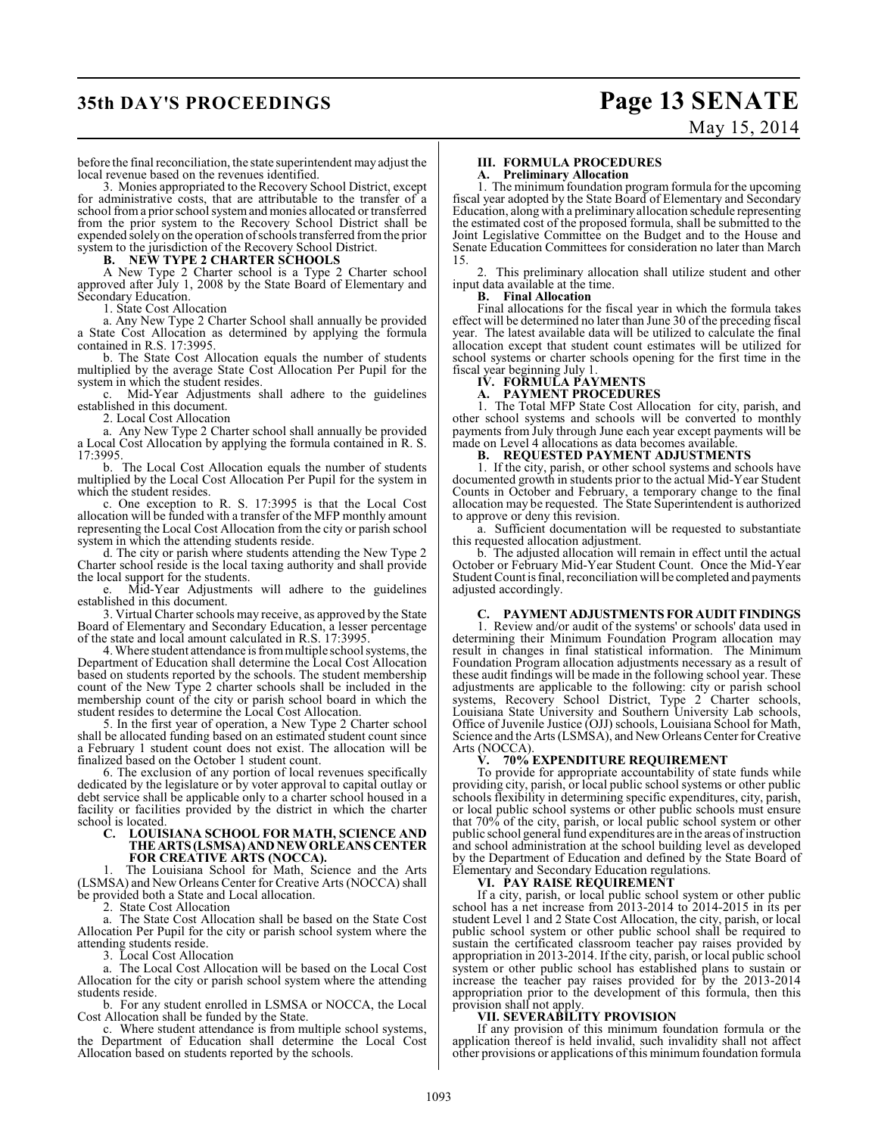# **35th DAY'S PROCEEDINGS Page 13 SENATE**

# May 15, 2014

before the final reconciliation, the state superintendent may adjust the local revenue based on the revenues identified.

3. Monies appropriated to the Recovery School District, except for administrative costs, that are attributable to the transfer of a school from a prior school systemand monies allocated or transferred from the prior system to the Recovery School District shall be expended solely on the operation ofschoolstransferred from the prior system to the jurisdiction of the Recovery School District.

#### **B. NEW TYPE 2 CHARTER SCHOOLS**

A New Type 2 Charter school is a Type 2 Charter school approved after July 1, 2008 by the State Board of Elementary and Secondary Education.

1. State Cost Allocation

a. Any New Type 2 Charter School shall annually be provided a State Cost Allocation as determined by applying the formula contained in R.S. 17:3995.

b. The State Cost Allocation equals the number of students multiplied by the average State Cost Allocation Per Pupil for the system in which the student resides.

Mid-Year Adjustments shall adhere to the guidelines established in this document.

2. Local Cost Allocation

a. Any New Type 2 Charter school shall annually be provided a Local Cost Allocation by applying the formula contained in R. S. 17:3995.

b. The Local Cost Allocation equals the number of students multiplied by the Local Cost Allocation Per Pupil for the system in which the student resides.

c. One exception to R. S. 17:3995 is that the Local Cost allocation will be funded with a transfer of the MFP monthly amount representing the Local Cost Allocation from the city or parish school system in which the attending students reside.

d. The city or parish where students attending the New Type 2 Charter school reside is the local taxing authority and shall provide the local support for the students.

Mid-Year Adjustments will adhere to the guidelines established in this document.

3. Virtual Charter schools may receive, as approved by the State Board of Elementary and Secondary Education, a lesser percentage of the state and local amount calculated in R.S. 17:3995.

4. Where student attendance is from multiple school systems, the Department of Education shall determine the Local Cost Allocation based on students reported by the schools. The student membership count of the New Type 2 charter schools shall be included in the membership count of the city or parish school board in which the student resides to determine the Local Cost Allocation.

5. In the first year of operation, a New Type 2 Charter school shall be allocated funding based on an estimated student count since a February 1 student count does not exist. The allocation will be finalized based on the October 1 student count.

6. The exclusion of any portion of local revenues specifically dedicated by the legislature or by voter approval to capital outlay or debt service shall be applicable only to a charter school housed in a facility or facilities provided by the district in which the charter school is located.

#### **C. LOUISIANA SCHOOL FOR MATH, SCIENCE AND THE ARTS (LSMSA) AND NEW ORLEANS CENTER FOR CREATIVE ARTS (NOCCA).**

1. The Louisiana School for Math, Science and the Arts (LSMSA) and New Orleans Center for Creative Arts (NOCCA) shall be provided both a State and Local allocation.

2. State Cost Allocation

a. The State Cost Allocation shall be based on the State Cost Allocation Per Pupil for the city or parish school system where the attending students reside.

3. Local Cost Allocation

a. The Local Cost Allocation will be based on the Local Cost Allocation for the city or parish school system where the attending students reside.

b. For any student enrolled in LSMSA or NOCCA, the Local Cost Allocation shall be funded by the State.

c. Where student attendance is from multiple school systems, the Department of Education shall determine the Local Cost Allocation based on students reported by the schools.

## **III. FORMULA PROCEDURES**

**A. Preliminary Allocation**

1. The minimum foundation program formula for the upcoming fiscal year adopted by the State Board of Elementary and Secondary Education, along with a preliminary allocation schedule representing the estimated cost of the proposed formula, shall be submitted to the Joint Legislative Committee on the Budget and to the House and Senate Education Committees for consideration no later than March 15.

2. This preliminary allocation shall utilize student and other input data available at the time.

#### **B. Final Allocation**

Final allocations for the fiscal year in which the formula takes effect will be determined no later than June 30 of the preceding fiscal year. The latest available data will be utilized to calculate the final allocation except that student count estimates will be utilized for school systems or charter schools opening for the first time in the fiscal year beginning July 1.

#### **IV. FORMULA PAYMENTS**

## **A. PAYMENT PROCEDURES**

1. The Total MFP State Cost Allocation for city, parish, and other school systems and schools will be converted to monthly payments from July through June each year except payments will be made on Level 4 allocations as data becomes available.<br> **B.** REOUESTED PAYMENT ADJUSTMENT

#### **B. REQUESTED PAYMENT ADJUSTMENTS**

1. If the city, parish, or other school systems and schools have documented growth in students prior to the actual Mid-Year Student Counts in October and February, a temporary change to the final allocation may be requested. The State Superintendent is authorized to approve or deny this revision.

a. Sufficient documentation will be requested to substantiate this requested allocation adjustment.

b. The adjusted allocation will remain in effect until the actual October or February Mid-Year Student Count. Once the Mid-Year Student Count is final, reconciliation will be completed and payments adjusted accordingly.

## **C. PAYMENT ADJUSTMENTS FOR AUDIT FINDINGS**

1. Review and/or audit of the systems' or schools' data used in determining their Minimum Foundation Program allocation may result in changes in final statistical information. The Minimum Foundation Program allocation adjustments necessary as a result of these audit findings will be made in the following school year. These adjustments are applicable to the following: city or parish school systems, Recovery School District, Type 2 Charter schools, Louisiana State University and Southern University Lab schools, Office of Juvenile Justice (OJJ) schools, Louisiana School for Math, Science and the Arts (LSMSA), and New Orleans Center for Creative Arts (NOCCA).

#### **V. 70% EXPENDITURE REQUIREMENT**

To provide for appropriate accountability of state funds while providing city, parish, or local public school systems or other public schools flexibility in determining specific expenditures, city, parish, or local public school systems or other public schools must ensure that 70% of the city, parish, or local public school system or other public school general fund expenditures are in the areas of instruction and school administration at the school building level as developed by the Department of Education and defined by the State Board of Elementary and Secondary Education regulations.

## **VI. PAY RAISE REQUIREMENT**

If a city, parish, or local public school system or other public school has a net increase from 2013-2014 to 2014-2015 in its per student Level 1 and 2 State Cost Allocation, the city, parish, or local public school system or other public school shall be required to sustain the certificated classroom teacher pay raises provided by appropriation in 2013-2014. If the city, parish, or local public school system or other public school has established plans to sustain or increase the teacher pay raises provided for by the 2013-2014 appropriation prior to the development of this formula, then this provision shall not apply.

#### **VII. SEVERABILITY PROVISION**

If any provision of this minimum foundation formula or the application thereof is held invalid, such invalidity shall not affect other provisions or applications of this minimum foundation formula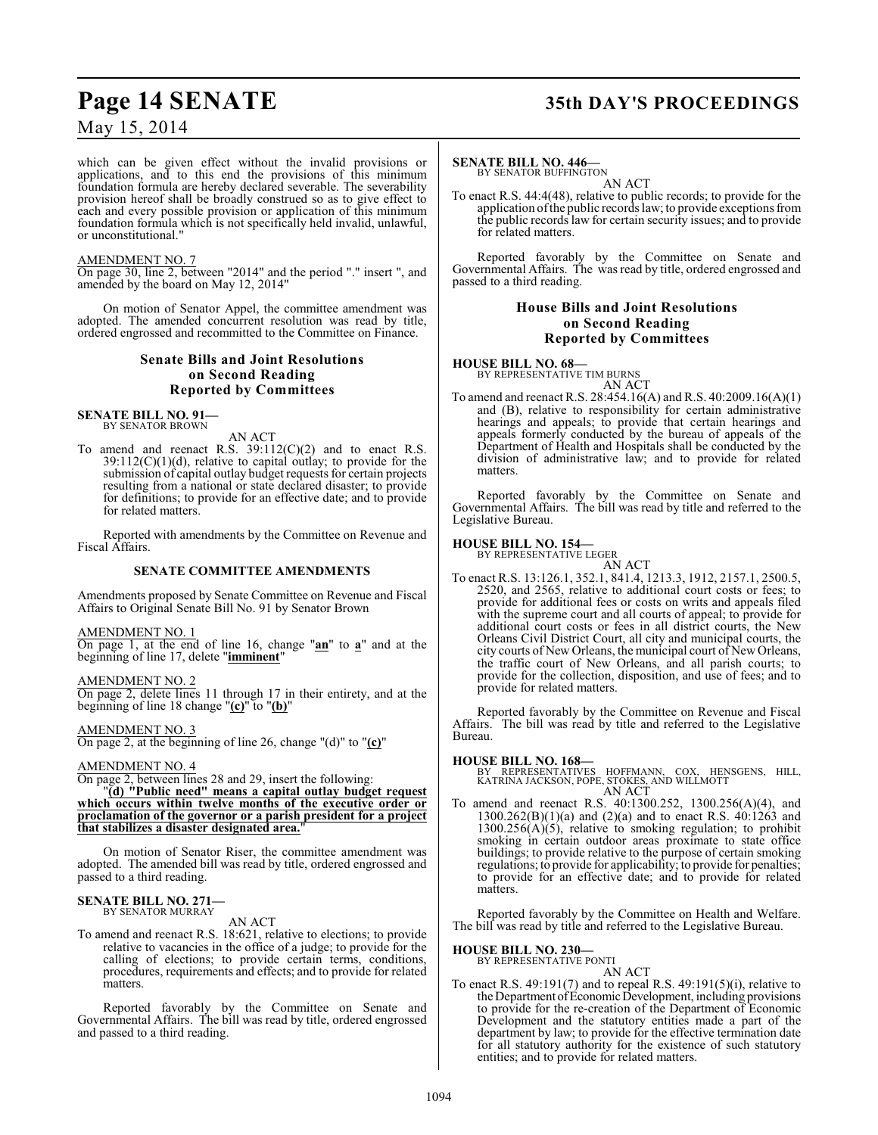which can be given effect without the invalid provisions or applications, and to this end the provisions of this minimum foundation formula are hereby declared severable. The severability provision hereof shall be broadly construed so as to give effect to each and every possible provision or application of this minimum foundation formula which is not specifically held invalid, unlawful, or unconstitutional."

#### AMENDMENT NO. 7

On page 30, line 2, between "2014" and the period "." insert ", and amended by the board on May 12, 2014"

On motion of Senator Appel, the committee amendment was adopted. The amended concurrent resolution was read by title, ordered engrossed and recommitted to the Committee on Finance.

## **Senate Bills and Joint Resolutions on Second Reading Reported by Committees**

**SENATE BILL NO. 91—** BY SENATOR BROWN

AN ACT

To amend and reenact R.S. 39:112(C)(2) and to enact R.S.  $39:112(C)(1)(d)$ , relative to capital outlay; to provide for the submission of capital outlay budget requests for certain projects resulting from a national or state declared disaster; to provide for definitions; to provide for an effective date; and to provide for related matters.

Reported with amendments by the Committee on Revenue and Fiscal Affairs.

#### **SENATE COMMITTEE AMENDMENTS**

Amendments proposed by Senate Committee on Revenue and Fiscal Affairs to Original Senate Bill No. 91 by Senator Brown

AMENDMENT NO. 1

On page 1, at the end of line 16, change "**an**" to **a**" and at the beginning of line 17, delete "**imminent**"

AMENDMENT NO. 2 On page 2, delete lines 11 through 17 in their entirety, and at the beginning of line 18 change "**(c)**" to "**(b)**"

AMENDMENT NO. 3 On page 2, at the beginning of line 26, change "(d)" to "**(c)**"

#### AMENDMENT NO. 4

On page 2, between lines 28 and 29, insert the following:

"**(d) "Public need" means a capital outlay budget request which occurs within twelve months of the executive order or proclamation of the governor or a parish president for a project that stabilizes a disaster designated area.**"

On motion of Senator Riser, the committee amendment was adopted. The amended bill was read by title, ordered engrossed and passed to a third reading.

#### **SENATE BILL NO. 271—** BY SENATOR MURRAY

AN ACT

To amend and reenact R.S. 18:621, relative to elections; to provide relative to vacancies in the office of a judge; to provide for the calling of elections; to provide certain terms, conditions, procedures, requirements and effects; and to provide for related matters.

Reported favorably by the Committee on Senate and Governmental Affairs. The bill was read by title, ordered engrossed and passed to a third reading.

# **Page 14 SENATE 35th DAY'S PROCEEDINGS**

#### **SENATE BILL NO. 446—**

BY SENATOR BUFFINGTON

AN ACT To enact R.S. 44:4(48), relative to public records; to provide for the application of the public records law; to provide exceptions from the public records law for certain security issues; and to provide for related matters.

Reported favorably by the Committee on Senate and Governmental Affairs. The was read by title, ordered engrossed and passed to a third reading.

#### **House Bills and Joint Resolutions on Second Reading Reported by Committees**

#### **HOUSE BILL NO. 68—**

BY REPRESENTATIVE TIM BURNS

AN ACT To amend and reenact R.S. 28:454.16(A) and R.S. 40:2009.16(A)(1) and (B), relative to responsibility for certain administrative hearings and appeals; to provide that certain hearings and appeals formerly conducted by the bureau of appeals of the Department of Health and Hospitals shall be conducted by the division of administrative law; and to provide for related matters.

Reported favorably by the Committee on Senate and Governmental Affairs. The bill was read by title and referred to the Legislative Bureau.

#### **HOUSE BILL NO. 154—**

BY REPRESENTATIVE LEGER

AN ACT To enact R.S. 13:126.1, 352.1, 841.4, 1213.3, 1912, 2157.1, 2500.5, 2520, and 2565, relative to additional court costs or fees; to provide for additional fees or costs on writs and appeals filed with the supreme court and all courts of appeal; to provide for additional court costs or fees in all district courts, the New Orleans Civil District Court, all city and municipal courts, the city courts of New Orleans, the municipal court of New Orleans, the traffic court of New Orleans, and all parish courts; to provide for the collection, disposition, and use of fees; and to provide for related matters.

Reported favorably by the Committee on Revenue and Fiscal Affairs. The bill was read by title and referred to the Legislative Bureau.

**HOUSE BILL NO. 168—** BY REPRESENTATIVES HOFFMANN, COX, HENSGENS, HILL, KATRINA JACKSON, POPE, STOKES, AND WILLMOTT AN ACT

To amend and reenact R.S. 40:1300.252, 1300.256(A)(4), and 1300.262(B)(1)(a) and (2)(a) and to enact R.S. 40:1263 and  $1300.256(A)(5)$ , relative to smoking regulation; to prohibit smoking in certain outdoor areas proximate to state office buildings; to provide relative to the purpose of certain smoking regulations; to provide for applicability; to provide for penalties; to provide for an effective date; and to provide for related matters.

Reported favorably by the Committee on Health and Welfare. The bill was read by title and referred to the Legislative Bureau.

**HOUSE BILL NO. 230—**

BY REPRESENTATIVE PONTI

- AN ACT
- To enact R.S. 49:191(7) and to repeal R.S. 49:191(5)(i), relative to the Department of Economic Development, including provisions to provide for the re-creation of the Department of Economic Development and the statutory entities made a part of the department by law; to provide for the effective termination date for all statutory authority for the existence of such statutory entities; and to provide for related matters.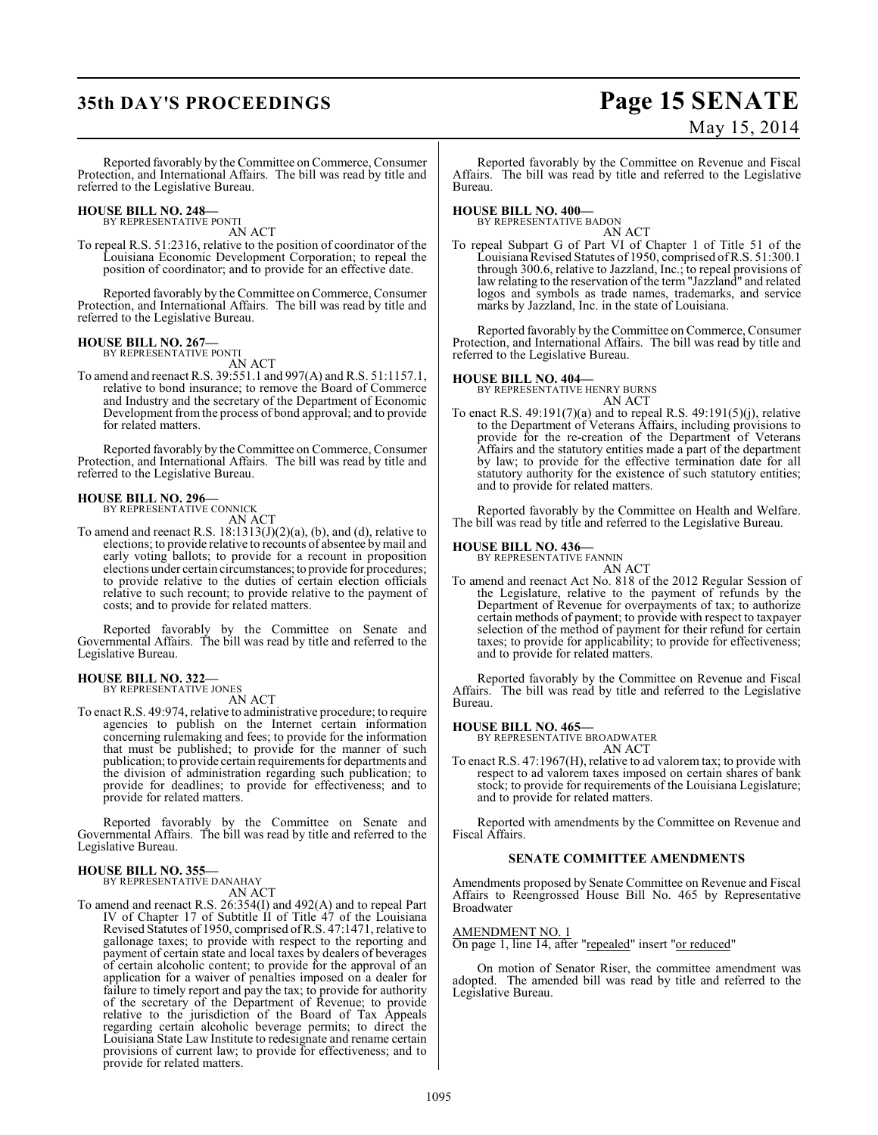# **35th DAY'S PROCEEDINGS Page 15 SENATE**

# May 15, 2014

Reported favorably by the Committee on Commerce, Consumer Protection, and International Affairs. The bill was read by title and referred to the Legislative Bureau.

#### **HOUSE BILL NO. 248—** BY REPRESENTATIVE PONTI

AN ACT

To repeal R.S. 51:2316, relative to the position of coordinator of the Louisiana Economic Development Corporation; to repeal the position of coordinator; and to provide for an effective date.

Reported favorably by the Committee on Commerce, Consumer Protection, and International Affairs. The bill was read by title and referred to the Legislative Bureau.

#### **HOUSE BILL NO. 267—** BY REPRESENTATIVE PONTI

AN ACT

To amend and reenactR.S. 39:551.1 and 997(A) and R.S. 51:1157.1, relative to bond insurance; to remove the Board of Commerce and Industry and the secretary of the Department of Economic Development fromthe process of bond approval; and to provide for related matters.

Reported favorably by the Committee on Commerce, Consumer Protection, and International Affairs. The bill was read by title and referred to the Legislative Bureau.

#### **HOUSE BILL NO. 296—**

BY REPRESENTATIVE CONNICK AN ACT

To amend and reenact R.S.  $18:1313(J)(2)(a)$ , (b), and (d), relative to elections; to provide relative to recounts of absentee by mail and early voting ballots; to provide for a recount in proposition elections under certain circumstances; to provide for procedures; to provide relative to the duties of certain election officials relative to such recount; to provide relative to the payment of costs; and to provide for related matters.

Reported favorably by the Committee on Senate and Governmental Affairs. The bill was read by title and referred to the Legislative Bureau.

# **HOUSE BILL NO. 322—** BY REPRESENTATIVE JONES

AN ACT

To enact R.S. 49:974, relative to administrative procedure; to require agencies to publish on the Internet certain information concerning rulemaking and fees; to provide for the information that must be published; to provide for the manner of such publication; to provide certain requirements for departments and the division of administration regarding such publication; to provide for deadlines; to provide for effectiveness; and to provide for related matters.

Reported favorably by the Committee on Senate and Governmental Affairs. The bill was read by title and referred to the Legislative Bureau.

#### **HOUSE BILL NO. 355—**

BY REPRESENTATIVE DANAHAY AN ACT

To amend and reenact R.S. 26:354(I) and 492(A) and to repeal Part IV of Chapter 17 of Subtitle II of Title 47 of the Louisiana Revised Statutes of 1950, comprised of R.S. 47:1471, relative to gallonage taxes; to provide with respect to the reporting and payment of certain state and local taxes by dealers of beverages of certain alcoholic content; to provide for the approval of an application for a waiver of penalties imposed on a dealer for failure to timely report and pay the tax; to provide for authority of the secretary of the Department of Revenue; to provide relative to the jurisdiction of the Board of Tax Appeals regarding certain alcoholic beverage permits; to direct the Louisiana State Law Institute to redesignate and rename certain provisions of current law; to provide for effectiveness; and to provide for related matters.

Reported favorably by the Committee on Revenue and Fiscal Affairs. The bill was read by title and referred to the Legislative Bureau.

## **HOUSE BILL NO. 400—**

BY REPRESENTATIVE BADON AN ACT

To repeal Subpart G of Part VI of Chapter 1 of Title 51 of the Louisiana Revised Statutes of 1950, comprised of R.S. 51:300.1 through 300.6, relative to Jazzland, Inc.; to repeal provisions of law relating to the reservation of the term "Jazzland" and related logos and symbols as trade names, trademarks, and service marks by Jazzland, Inc. in the state of Louisiana.

Reported favorably by the Committee on Commerce, Consumer Protection, and International Affairs. The bill was read by title and referred to the Legislative Bureau.

**HOUSE BILL NO. 404—** BY REPRESENTATIVE HENRY BURNS AN ACT

To enact R.S. 49:191(7)(a) and to repeal R.S. 49:191(5)(j), relative to the Department of Veterans Affairs, including provisions to provide for the re-creation of the Department of Veterans Affairs and the statutory entities made a part of the department by law; to provide for the effective termination date for all statutory authority for the existence of such statutory entities; and to provide for related matters.

Reported favorably by the Committee on Health and Welfare. The bill was read by title and referred to the Legislative Bureau.

# **HOUSE BILL NO. 436—** BY REPRESENTATIVE FANNIN

AN ACT To amend and reenact Act No. 818 of the 2012 Regular Session of the Legislature, relative to the payment of refunds by the Department of Revenue for overpayments of tax; to authorize certain methods of payment; to provide with respect to taxpayer selection of the method of payment for their refund for certain taxes; to provide for applicability; to provide for effectiveness; and to provide for related matters.

Reported favorably by the Committee on Revenue and Fiscal Affairs. The bill was read by title and referred to the Legislative Bureau.

**HOUSE BILL NO. 465—** BY REPRESENTATIVE BROADWATER AN ACT

To enact R.S. 47:1967(H), relative to ad valorem tax; to provide with respect to ad valorem taxes imposed on certain shares of bank stock; to provide for requirements of the Louisiana Legislature; and to provide for related matters.

Reported with amendments by the Committee on Revenue and Fiscal Affairs.

#### **SENATE COMMITTEE AMENDMENTS**

Amendments proposed by Senate Committee on Revenue and Fiscal Affairs to Reengrossed House Bill No. 465 by Representative Broadwater

#### AMENDMENT NO. 1

On page 1, line 14, after "repealed" insert "or reduced"

On motion of Senator Riser, the committee amendment was adopted. The amended bill was read by title and referred to the Legislative Bureau.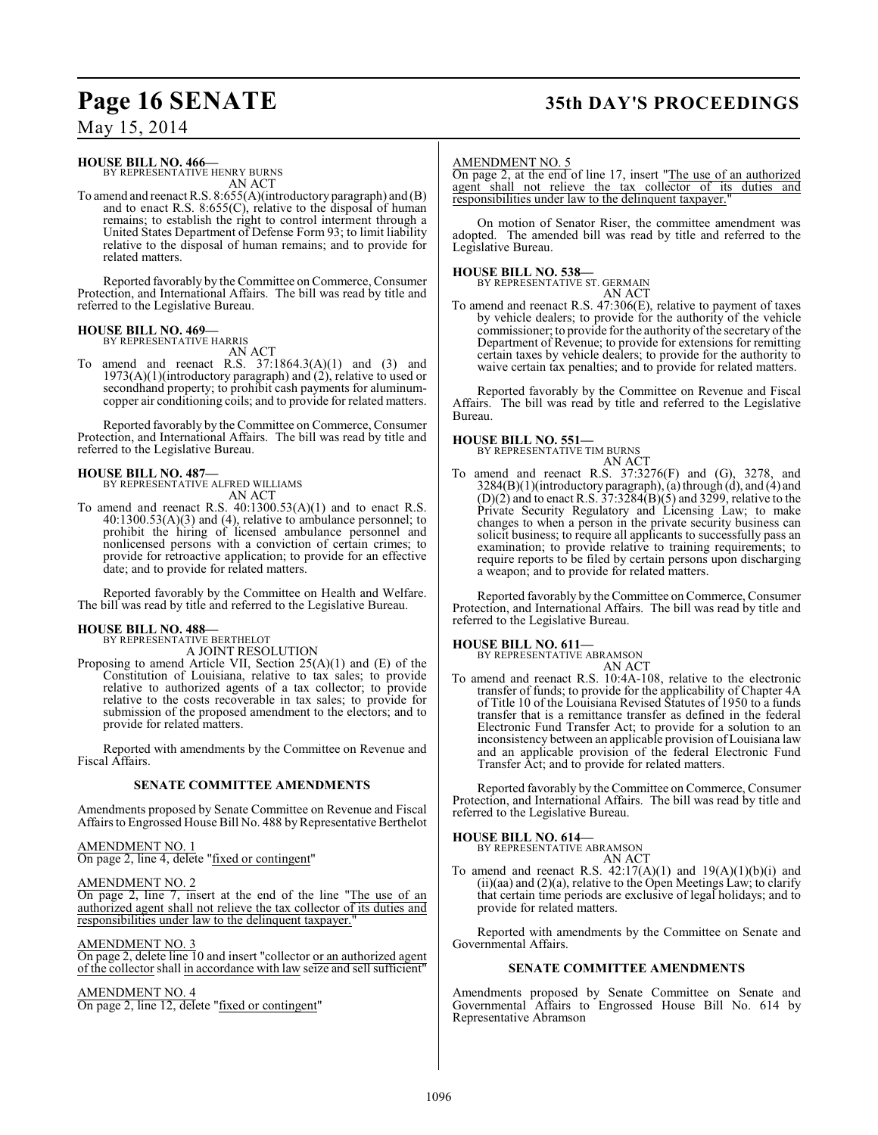# **Page 16 SENATE 35th DAY'S PROCEEDINGS**

May 15, 2014

#### **HOUSE BILL NO. 466—**

BY REPRESENTATIVE HENRY BURNS AN ACT

To amend and reenact R.S. 8:655(A)(introductory paragraph) and (B) and to enact R.S. 8:655(C), relative to the disposal of human remains; to establish the right to control interment through a United States Department of Defense Form 93; to limit liability relative to the disposal of human remains; and to provide for related matters.

Reported favorably by the Committee on Commerce, Consumer Protection, and International Affairs. The bill was read by title and referred to the Legislative Bureau.

#### **HOUSE BILL NO. 469—** BY REPRESENTATIVE HARRIS

AN ACT

To amend and reenact R.S. 37:1864.3(A)(1) and (3) and 1973(A)(1)(introductory paragraph) and (2), relative to used or secondhand property; to prohibit cash payments for aluminumcopper air conditioning coils; and to provide for related matters.

Reported favorably by the Committee on Commerce, Consumer Protection, and International Affairs. The bill was read by title and referred to the Legislative Bureau.

### **HOUSE BILL NO. 487—**

BY REPRESENTATIVE ALFRED WILLIAMS AN ACT

To amend and reenact R.S. 40:1300.53(A)(1) and to enact R.S. 40:1300.53(A)(3) and (4), relative to ambulance personnel; to prohibit the hiring of licensed ambulance personnel and nonlicensed persons with a conviction of certain crimes; to provide for retroactive application; to provide for an effective date; and to provide for related matters.

Reported favorably by the Committee on Health and Welfare. The bill was read by title and referred to the Legislative Bureau.

# **HOUSE BILL NO. 488—** BY REPRESENTATIVE BERTHELOT

A JOINT RESOLUTION

Proposing to amend Article VII, Section 25(A)(1) and (E) of the Constitution of Louisiana, relative to tax sales; to provide relative to authorized agents of a tax collector; to provide relative to the costs recoverable in tax sales; to provide for submission of the proposed amendment to the electors; and to provide for related matters.

Reported with amendments by the Committee on Revenue and Fiscal Affairs.

#### **SENATE COMMITTEE AMENDMENTS**

Amendments proposed by Senate Committee on Revenue and Fiscal Affairs to Engrossed House Bill No. 488 by Representative Berthelot

#### AMENDMENT NO. 1

On page 2, line 4, delete "fixed or contingent"

#### AMENDMENT NO. 2

On page 2, line 7, insert at the end of the line "The use of an authorized agent shall not relieve the tax collector of its duties and responsibilities under law to the delinquent taxpayer."

#### AMENDMENT NO. 3

On page 2, delete line 10 and insert "collector or an authorized agent of the collector shall in accordance with law seize and sell sufficient"

#### AMENDMENT NO. 4

On page 2, line 12, delete "fixed or contingent"

#### AMENDMENT NO. 5

On page 2, at the end of line 17, insert "The use of an authorized agent shall not relieve the tax collector of its duties and responsibilities under law to the delinquent taxpayer.

On motion of Senator Riser, the committee amendment was adopted. The amended bill was read by title and referred to the Legislative Bureau.

#### **HOUSE BILL NO. 538—** BY REPRESI

| ENTATIVE ST. GERMAIN |
|----------------------|
| AN ACT               |

To amend and reenact R.S. 47:306(E), relative to payment of taxes by vehicle dealers; to provide for the authority of the vehicle commissioner; to provide for the authority of the secretary of the Department of Revenue; to provide for extensions for remitting certain taxes by vehicle dealers; to provide for the authority to waive certain tax penalties; and to provide for related matters.

Reported favorably by the Committee on Revenue and Fiscal Affairs. The bill was read by title and referred to the Legislative Bureau.

#### **HOUSE BILL NO. 551—**

BY REPRESENTATIVE TIM BURNS AN ACT

To amend and reenact R.S. 37:3276(F) and (G), 3278, and  $3284(B)(1)$ (introductory paragraph), (a) through (d), and (4) and  $(D)(2)$  and to enact R.S.  $37:3284(B)(5)$  and  $3299$ , relative to the Private Security Regulatory and Licensing Law; to make changes to when a person in the private security business can solicit business; to require all applicants to successfully pass an examination; to provide relative to training requirements; to require reports to be filed by certain persons upon discharging a weapon; and to provide for related matters.

Reported favorably by the Committee on Commerce, Consumer Protection, and International Affairs. The bill was read by title and referred to the Legislative Bureau.

**HOUSE BILL NO. 611—** BY REPRESENTATIVE ABRAMSON

## AN ACT

To amend and reenact R.S. 10:4A-108, relative to the electronic transfer of funds; to provide for the applicability of Chapter 4A of Title 10 of the Louisiana Revised Statutes of 1950 to a funds transfer that is a remittance transfer as defined in the federal Electronic Fund Transfer Act; to provide for a solution to an inconsistency between an applicable provision of Louisiana law and an applicable provision of the federal Electronic Fund Transfer Act; and to provide for related matters.

Reported favorably by the Committee on Commerce, Consumer Protection, and International Affairs. The bill was read by title and referred to the Legislative Bureau.

**HOUSE BILL NO. 614—** BY REPRESENTATIVE ABRAMSON

AN ACT To amend and reenact R.S.  $42:17(A)(1)$  and  $19(A)(1)(b)(i)$  and  $(ii)(aa)$  and  $(2)(a)$ , relative to the Open Meetings Law; to clarify that certain time periods are exclusive of legal holidays; and to provide for related matters.

Reported with amendments by the Committee on Senate and Governmental Affairs.

#### **SENATE COMMITTEE AMENDMENTS**

Amendments proposed by Senate Committee on Senate and Governmental Affairs to Engrossed House Bill No. 614 by Representative Abramson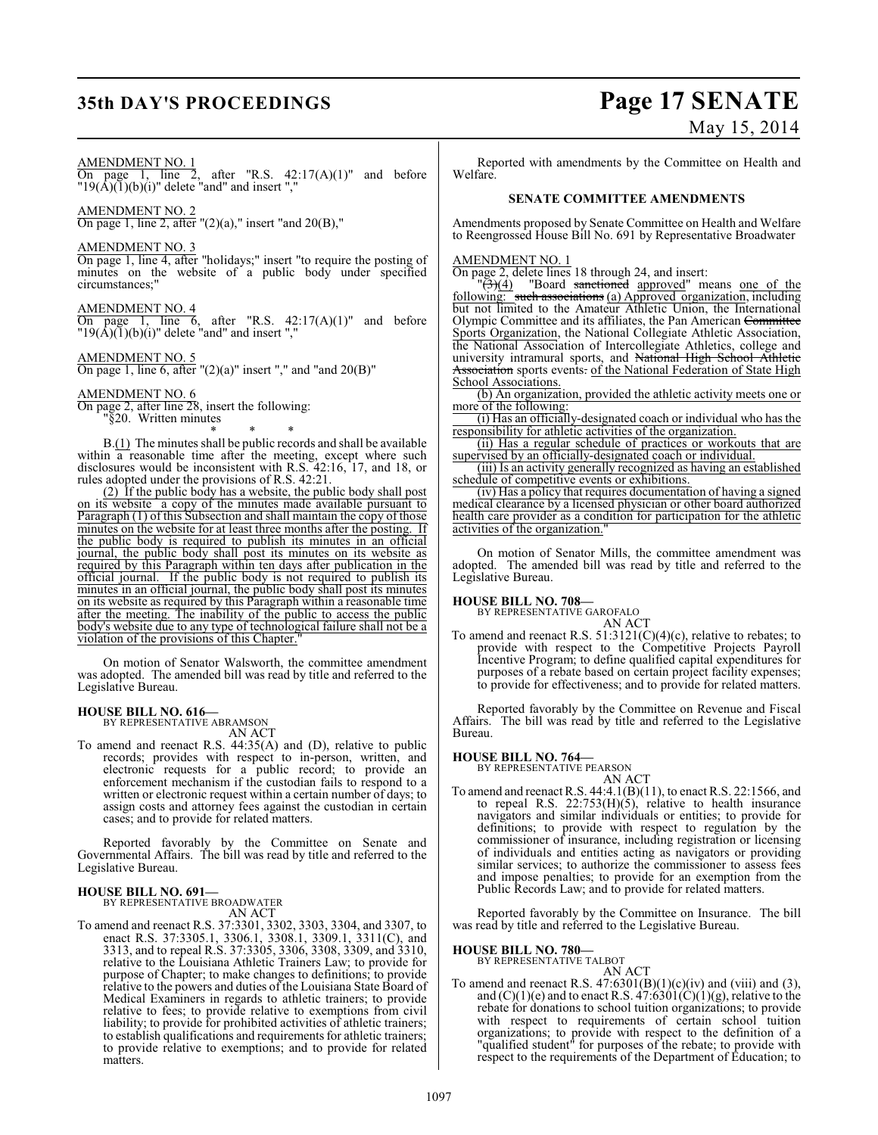# **35th DAY'S PROCEEDINGS Page 17 SENATE** May 15, 2014

#### AMENDMENT NO. 1

On page 1, line 2, after "R.S.  $42:17(A)(1)$ " and before  $"19(A)(1)(b)(i)"$  delete "and" and insert ","

AMENDMENT NO. 2

On page 1, line 2, after  $''(2)(a)$ ," insert "and  $20(B)$ ,"

#### AMENDMENT NO. 3

On page 1, line 4, after "holidays;" insert "to require the posting of minutes on the website of a public body under specified circumstances;"

#### AMENDMENT NO. 4

On page 1, line  $\overline{6}$ , after "R.S. 42:17(A)(1)" and before  $"19(A)(1)(b)(i)"$  delete "and" and insert ","

#### AMENDMENT NO. 5

On page 1, line 6, after " $(2)(a)$ " insert "," and "and  $20(B)$ "

#### AMENDMENT NO. 6

On page 2, after line 28, insert the following: "§20. Written minutes \* \* \*

B.(1) The minutes shall be public records and shall be available within a reasonable time after the meeting, except where such disclosures would be inconsistent with R.S. 42:16, 17, and 18, or rules adopted under the provisions of R.S. 42:21.

(2) If the public body has a website, the public body shall post on its website a copy of the minutes made available pursuant to Paragraph (1) of this Subsection and shall maintain the copy of those minutes on the website for at least three months after the posting. If the public body is required to publish its minutes in an official journal, the public body shall post its minutes on its website as required by this Paragraph within ten days after publication in the official journal. If the public body is not required to publish its minutes in an official journal, the public body shall post its minutes on its website as required by this Paragraph within a reasonable time after the meeting. The inability of the public to access the public body's website due to any type of technological failure shall not be a violation of the provisions of this Chapter."

On motion of Senator Walsworth, the committee amendment was adopted. The amended bill was read by title and referred to the Legislative Bureau.

#### **HOUSE BILL NO. 616—**

BY REPRESENTATIVE ABRAMSON

AN ACT

To amend and reenact R.S. 44:35(A) and (D), relative to public records; provides with respect to in-person, written, and electronic requests for a public record; to provide an enforcement mechanism if the custodian fails to respond to a written or electronic request within a certain number of days; to assign costs and attorney fees against the custodian in certain cases; and to provide for related matters.

Reported favorably by the Committee on Senate and Governmental Affairs. The bill was read by title and referred to the Legislative Bureau.

#### **HOUSE BILL NO. 691—** BY REPRESENTATIVE BROADWATER

AN ACT

To amend and reenact R.S. 37:3301, 3302, 3303, 3304, and 3307, to enact R.S. 37:3305.1, 3306.1, 3308.1, 3309.1, 3311(C), and 3313, and to repeal R.S. 37:3305, 3306, 3308, 3309, and 3310, relative to the Louisiana Athletic Trainers Law; to provide for purpose of Chapter; to make changes to definitions; to provide relative to the powers and duties of the Louisiana State Board of Medical Examiners in regards to athletic trainers; to provide relative to fees; to provide relative to exemptions from civil liability; to provide for prohibited activities of athletic trainers; to establish qualifications and requirements for athletic trainers; to provide relative to exemptions; and to provide for related matters.

Reported with amendments by the Committee on Health and Welfare.

#### **SENATE COMMITTEE AMENDMENTS**

Amendments proposed by Senate Committee on Health and Welfare to Reengrossed House Bill No. 691 by Representative Broadwater

#### AMENDMENT NO. 1

On page 2, delete lines 18 through 24, and insert:

 $\sqrt[12]{(4)}$  "Board sanctioned approved" means one of the following: such associations (a) Approved organization, including but not limited to the Amateur Athletic Union, the International Olympic Committee and its affiliates, the Pan American Committee Sports Organization, the National Collegiate Athletic Association, the National Association of Intercollegiate Athletics, college and university intramural sports, and National High School Athletic Association sports events. of the National Federation of State High School Associations.

(b) An organization, provided the athletic activity meets one or more of the following:

(i) Has an officially-designated coach or individual who has the responsibility for athletic activities of the organization.

(ii) Has a regular schedule of practices or workouts that are supervised by an officially-designated coach or individual.

(iii) Is an activity generally recognized as having an established schedule of competitive events or exhibitions.

(iv) Has a policy that requires documentation of having a signed medical clearance by a licensed physician or other board authorized health care provider as a condition for participation for the athletic activities of the organization.

On motion of Senator Mills, the committee amendment was adopted. The amended bill was read by title and referred to the Legislative Bureau.

#### **HOUSE BILL NO. 708—**

BY REPRESENTATIVE GAROFALO

AN ACT To amend and reenact R.S. 51:3121(C)(4)(c), relative to rebates; to provide with respect to the Competitive Projects Payroll Incentive Program; to define qualified capital expenditures for purposes of a rebate based on certain project facility expenses; to provide for effectiveness; and to provide for related matters.

Reported favorably by the Committee on Revenue and Fiscal Affairs. The bill was read by title and referred to the Legislative Bureau.

#### **HOUSE BILL NO. 764—**

BY REPRESENTATIVE PEARSON AN ACT

To amend and reenact R.S. 44:4.1(B)(11), to enact R.S. 22:1566, and to repeal R.S. 22:753(H)(5), relative to health insurance navigators and similar individuals or entities; to provide for definitions; to provide with respect to regulation by the commissioner of insurance, including registration or licensing of individuals and entities acting as navigators or providing similar services; to authorize the commissioner to assess fees and impose penalties; to provide for an exemption from the Public Records Law; and to provide for related matters.

Reported favorably by the Committee on Insurance. The bill was read by title and referred to the Legislative Bureau.

#### **HOUSE BILL NO. 780—**

BY REPRESENTATIVE TALBOT

AN ACT To amend and reenact R.S.  $47:6301(B)(1)(c)(iv)$  and (viii) and (3), and  $(C)(1)(e)$  and to enact R.S.  $47:6301(\hat{C})(1)(g)$ , relative to the rebate for donations to school tuition organizations; to provide with respect to requirements of certain school tuition organizations; to provide with respect to the definition of a "qualified student" for purposes of the rebate; to provide with respect to the requirements of the Department of Education; to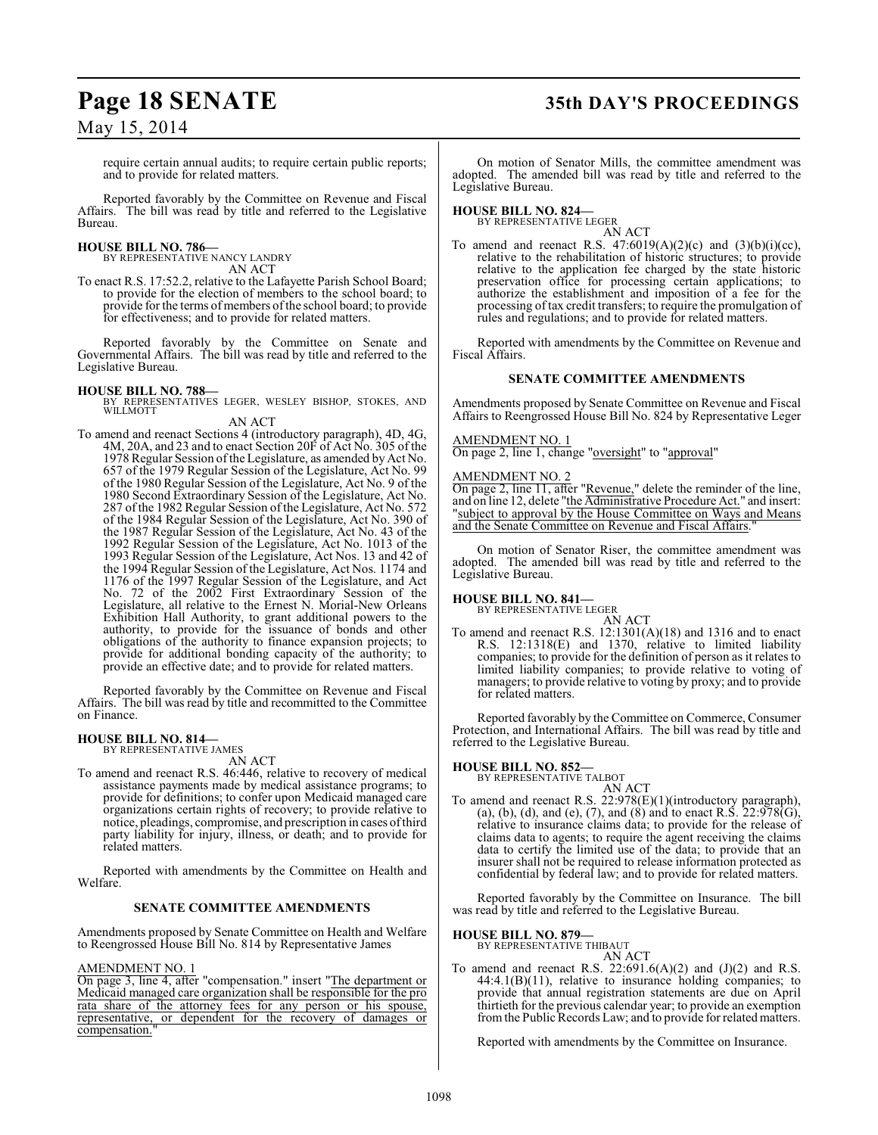# **Page 18 SENATE 35th DAY'S PROCEEDINGS**

## May 15, 2014

require certain annual audits; to require certain public reports; and to provide for related matters.

Reported favorably by the Committee on Revenue and Fiscal Affairs. The bill was read by title and referred to the Legislative Bureau.

#### **HOUSE BILL NO. 786—**

BY REPRESENTATIVE NANCY LANDRY AN ACT

To enact R.S. 17:52.2, relative to the Lafayette Parish School Board; to provide for the election of members to the school board; to provide for the terms of members ofthe school board; to provide for effectiveness; and to provide for related matters.

Reported favorably by the Committee on Senate and Governmental Affairs. The bill was read by title and referred to the Legislative Bureau.

**HOUSE BILL NO. 788—** BY REPRESENTATIVES LEGER, WESLEY BISHOP, STOKES, AND WILLMOTT

#### AN ACT

To amend and reenact Sections 4 (introductory paragraph), 4D, 4G, 4M, 20A, and 23 and to enact Section 20F of Act No. 305 of the 1978 Regular Session of the Legislature, as amended by Act No. 657 of the 1979 Regular Session of the Legislature, Act No. 99 of the 1980 Regular Session of the Legislature, Act No. 9 of the 1980 Second Extraordinary Session of the Legislature, Act No. 287 ofthe 1982 Regular Session of the Legislature, Act No. 572 of the 1984 Regular Session of the Legislature, Act No. 390 of the 1987 Regular Session of the Legislature, Act No. 43 of the 1992 Regular Session of the Legislature, Act No. 1013 of the 1993 Regular Session of the Legislature, Act Nos. 13 and 42 of the 1994 Regular Session of the Legislature, Act Nos. 1174 and 1176 of the 1997 Regular Session of the Legislature, and Act No. 72 of the 2002 First Extraordinary Session of the Legislature, all relative to the Ernest N. Morial-New Orleans Exhibition Hall Authority, to grant additional powers to the authority, to provide for the issuance of bonds and other obligations of the authority to finance expansion projects; to provide for additional bonding capacity of the authority; to provide an effective date; and to provide for related matters.

Reported favorably by the Committee on Revenue and Fiscal Affairs. The bill was read by title and recommitted to the Committee on Finance.

# **HOUSE BILL NO. 814—** BY REPRESENTATIVE JAMES

AN ACT

To amend and reenact R.S. 46:446, relative to recovery of medical assistance payments made by medical assistance programs; to provide for definitions; to confer upon Medicaid managed care organizations certain rights of recovery; to provide relative to notice, pleadings, compromise, and prescription in cases of third party liability for injury, illness, or death; and to provide for related matters.

Reported with amendments by the Committee on Health and Welfare.

#### **SENATE COMMITTEE AMENDMENTS**

Amendments proposed by Senate Committee on Health and Welfare to Reengrossed House Bill No. 814 by Representative James

#### AMENDMENT NO. 1

On page 3, line 4, after "compensation." insert "The department or Medicaid managed care organization shall be responsible for the pro rata share of the attorney fees for any person or his spouse, representative, or dependent for the recovery of damages or compensation.

On motion of Senator Mills, the committee amendment was adopted. The amended bill was read by title and referred to the Legislative Bureau.

#### **HOUSE BILL NO. 824—**

BY REPRESENTATIVE LEGER AN ACT

To amend and reenact R.S.  $47:6019(A)(2)(c)$  and  $(3)(b)(i)(cc)$ , relative to the rehabilitation of historic structures; to provide relative to the application fee charged by the state historic preservation office for processing certain applications; to authorize the establishment and imposition of a fee for the processing of tax credit transfers; to require the promulgation of rules and regulations; and to provide for related matters.

Reported with amendments by the Committee on Revenue and Fiscal Affairs.

#### **SENATE COMMITTEE AMENDMENTS**

Amendments proposed by Senate Committee on Revenue and Fiscal Affairs to Reengrossed House Bill No. 824 by Representative Leger

#### AMENDMENT NO. 1

On page 2, line 1, change "oversight" to "approval"

## AMENDMENT NO. 2

On page 2, line 11, after "Revenue," delete the reminder of the line, and on line 12, delete "the Administrative Procedure Act." and insert: 'subject to approval by the House Committee on Ways and Means and the Senate Committee on Revenue and Fiscal Affairs.

On motion of Senator Riser, the committee amendment was adopted. The amended bill was read by title and referred to the Legislative Bureau.

# **HOUSE BILL NO. 841—** BY REPRESENTATIVE LEGER

AN ACT To amend and reenact R.S. 12:1301(A)(18) and 1316 and to enact R.S. 12:1318(E) and 1370, relative to limited liability companies; to provide for the definition of person as it relates to limited liability companies; to provide relative to voting of managers; to provide relative to voting by proxy; and to provide for related matters.

Reported favorably by the Committee on Commerce, Consumer Protection, and International Affairs. The bill was read by title and referred to the Legislative Bureau.

#### **HOUSE BILL NO. 852—**

BY REPRESENTATIVE TALBOT AN ACT

To amend and reenact R.S. 22:978(E)(1)(introductory paragraph), (a), (b), (d), and (e), (7), and (8) and to enact R.S.  $22:978(G)$ , relative to insurance claims data; to provide for the release of claims data to agents; to require the agent receiving the claims data to certify the limited use of the data; to provide that an insurer shall not be required to release information protected as confidential by federal law; and to provide for related matters.

Reported favorably by the Committee on Insurance. The bill was read by title and referred to the Legislative Bureau.

#### **HOUSE BILL NO. 879—**

BY REPRESENTATIVE THIBAUT

AN ACT To amend and reenact R.S.  $22:691.6(A)(2)$  and  $(J)(2)$  and R.S. 44:4.1(B)(11), relative to insurance holding companies; to provide that annual registration statements are due on April thirtieth for the previous calendar year; to provide an exemption from the Public Records Law; and to provide for related matters.

Reported with amendments by the Committee on Insurance.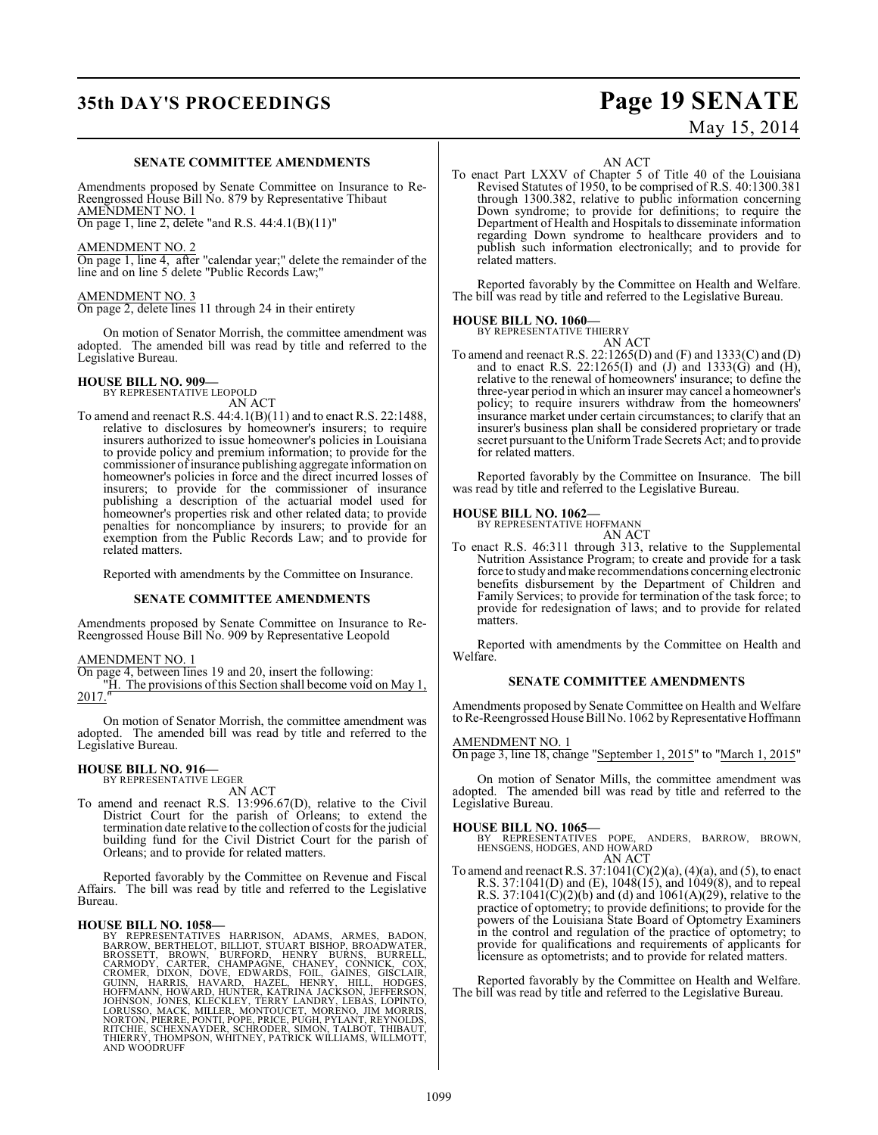# **35th DAY'S PROCEEDINGS Page 19 SENATE**

### **SENATE COMMITTEE AMENDMENTS**

Amendments proposed by Senate Committee on Insurance to Re-Reengrossed House Bill No. 879 by Representative Thibaut AMENDMENT NO. 1

On page 1, line 2, delete "and R.S. 44:4.1(B)(11)"

#### AMENDMENT NO. 2

On page 1, line 4, after "calendar year;" delete the remainder of the line and on line 5 delete "Public Records Law;"

#### AMENDMENT NO. 3

On page 2, delete lines 11 through 24 in their entirety

On motion of Senator Morrish, the committee amendment was adopted. The amended bill was read by title and referred to the Legislative Bureau.

#### **HOUSE BILL NO. 909—**

BY REPRESENTATIVE LEOPOLD AN ACT

To amend and reenact R.S. 44:4.1(B)(11) and to enact R.S. 22:1488, relative to disclosures by homeowner's insurers; to require insurers authorized to issue homeowner's policies in Louisiana to provide policy and premium information; to provide for the commissioner of insurance publishing aggregate information on homeowner's policies in force and the direct incurred losses of insurers; to provide for the commissioner of insurance publishing a description of the actuarial model used for homeowner's properties risk and other related data; to provide penalties for noncompliance by insurers; to provide for an exemption from the Public Records Law; and to provide for related matters.

Reported with amendments by the Committee on Insurance.

#### **SENATE COMMITTEE AMENDMENTS**

Amendments proposed by Senate Committee on Insurance to Re-Reengrossed House Bill No. 909 by Representative Leopold

#### AMENDMENT NO. 1

On page 4, between lines 19 and 20, insert the following:

"H. The provisions of this Section shall become void on May 1,  $2017."$ 

On motion of Senator Morrish, the committee amendment was adopted. The amended bill was read by title and referred to the Legislative Bureau.

# **HOUSE BILL NO. 916—** BY REPRESENTATIVE LEGER

AN ACT

To amend and reenact R.S. 13:996.67(D), relative to the Civil District Court for the parish of Orleans; to extend the termination date relative to the collection of costs for the judicial building fund for the Civil District Court for the parish of Orleans; and to provide for related matters.

Reported favorably by the Committee on Revenue and Fiscal Affairs. The bill was read by title and referred to the Legislative Bureau.

HOUSE BILL NO. 1058—<br>
BY REPRESENTATIVES HARRISON, ADAMS, ARMES, BADON, BARROW, BERTHELOT, BILLIOT, STUART BISHOP, BROADWATER, BROSSETT, BROWN, BURFORD, HENRY BURNS, BURRELL, CARMODY, CARTER, CHAMPAGNE, CHANEY, CONNICK, CO

AN ACT

To enact Part LXXV of Chapter 5 of Title 40 of the Louisiana Revised Statutes of 1950, to be comprised of R.S. 40:1300.381 through 1300.382, relative to public information concerning Down syndrome; to provide for definitions; to require the Department of Health and Hospitals to disseminate information regarding Down syndrome to healthcare providers and to publish such information electronically; and to provide for related matters.

Reported favorably by the Committee on Health and Welfare. The bill was read by title and referred to the Legislative Bureau.

### **HOUSE BILL NO. 1060—**

BY REPRESENTATIVE THIERRY

AN ACT To amend and reenact R.S. 22:1265(D) and (F) and 1333(C) and (D) and to enact R.S. 22:1265(I) and (J) and 1333(G) and  $(H)$ , relative to the renewal of homeowners' insurance; to define the three-year period in which an insurer may cancel a homeowner's policy; to require insurers withdraw from the homeowners' insurance market under certain circumstances; to clarify that an insurer's business plan shall be considered proprietary or trade secret pursuant to the Uniform Trade Secrets Act; and to provide for related matters.

Reported favorably by the Committee on Insurance. The bill was read by title and referred to the Legislative Bureau.

#### **HOUSE BILL NO. 1062—**



To enact R.S. 46:311 through 313, relative to the Supplemental Nutrition Assistance Program; to create and provide for a task force to study and make recommendations concerning electronic benefits disbursement by the Department of Children and Family Services; to provide for termination of the task force; to provide for redesignation of laws; and to provide for related **matters** 

Reported with amendments by the Committee on Health and Welfare.

#### **SENATE COMMITTEE AMENDMENTS**

Amendments proposed by Senate Committee on Health and Welfare to Re-Reengrossed House Bill No. 1062 by Representative Hoffmann

#### AMENDMENT NO. 1

On page 3, line 18, change "September 1, 2015" to "March 1, 2015"

On motion of Senator Mills, the committee amendment was adopted. The amended bill was read by title and referred to the Legislative Bureau.

### **HOUSE BILL NO. 1065—**

BY REPRESENTATIVES POPE, ANDERS, BARROW, BROWN, HENSGENS, HODGES, AND HOWARD AN ACT

To amend and reenact R.S.  $37:1041(C)(2)(a)$ ,  $(4)(a)$ , and  $(5)$ , to enact R.S. 37:1041(D) and (E), 1048(15), and 1049(8), and to repeal R.S. 37:1041(C)(2)(b) and (d) and 1061(A)(29), relative to the practice of optometry; to provide definitions; to provide for the powers of the Louisiana State Board of Optometry Examiners in the control and regulation of the practice of optometry; to provide for qualifications and requirements of applicants for licensure as optometrists; and to provide for related matters.

Reported favorably by the Committee on Health and Welfare. The bill was read by title and referred to the Legislative Bureau.

# May 15, 2014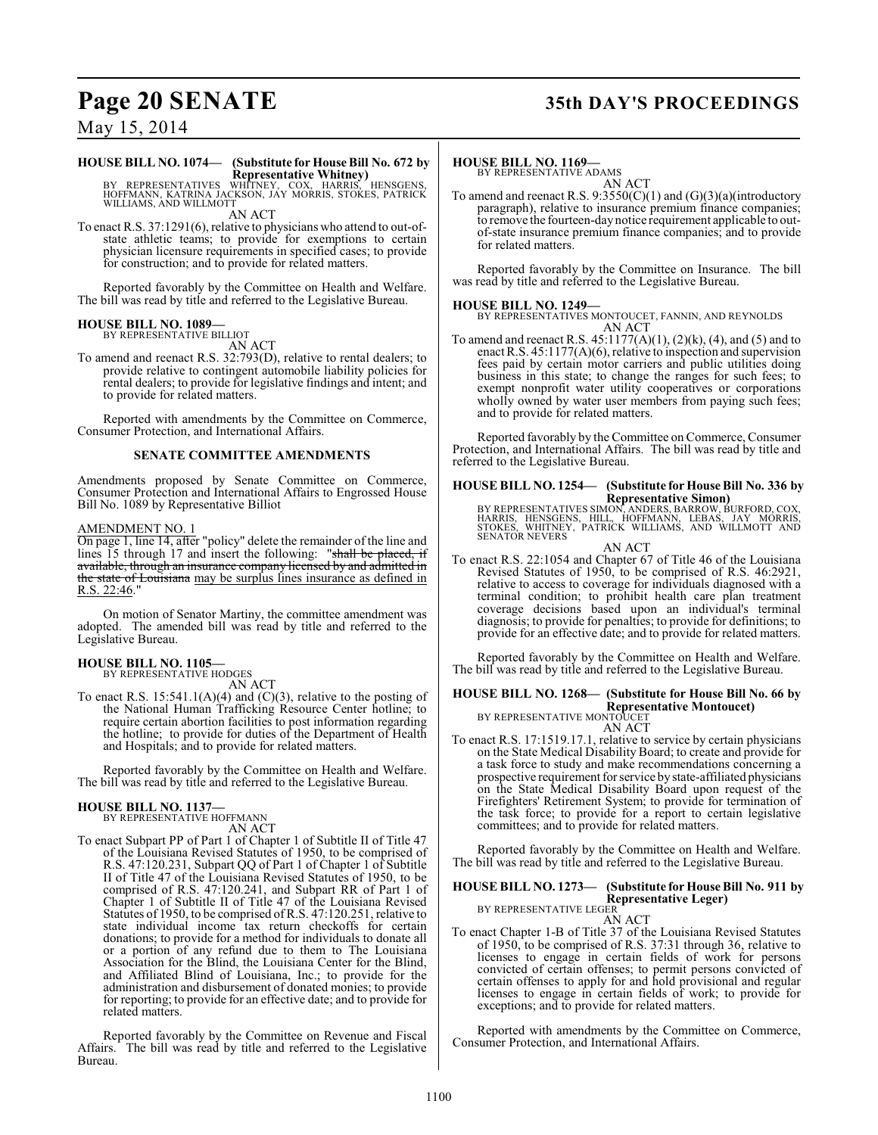# **Page 20 SENATE 35th DAY'S PROCEEDINGS**

## May 15, 2014

# **HOUSE BILL NO. 1074— (Substitute for House Bill No. 672 by**

**Representative Whitney)** BY REPRESENTATIVES WHITNEY, COX, HARRIS, HENSGENS, HOFFMANN, KATRINA JACKSON, JAY MORRIS, STOKES, PATRICK WILLIAMS, AND WILLMOTT AN ACT

To enact R.S. 37:1291(6), relative to physicians who attend to out-ofstate athletic teams; to provide for exemptions to certain physician licensure requirements in specified cases; to provide for construction; and to provide for related matters.

Reported favorably by the Committee on Health and Welfare. The bill was read by title and referred to the Legislative Bureau.

#### **HOUSE BILL NO. 1089—**

BY REPRESENTATIVE BILLIOT AN ACT

To amend and reenact R.S. 32:793(D), relative to rental dealers; to provide relative to contingent automobile liability policies for rental dealers; to provide for legislative findings and intent; and to provide for related matters.

Reported with amendments by the Committee on Commerce, Consumer Protection, and International Affairs.

#### **SENATE COMMITTEE AMENDMENTS**

Amendments proposed by Senate Committee on Commerce, Consumer Protection and International Affairs to Engrossed House Bill No. 1089 by Representative Billiot

#### AMENDMENT NO. 1

On page 1, line 14, after "policy" delete the remainder of the line and lines 15 through 17 and insert the following: "shall be placed, if available, through an insurance company licensed by and admitted in the state of Louisiana may be surplus lines insurance as defined in R.S. 22:46."

On motion of Senator Martiny, the committee amendment was adopted. The amended bill was read by title and referred to the Legislative Bureau.

#### **HOUSE BILL NO. 1105—** BY REPRESENTATIVE HODGES

AN ACT

To enact R.S. 15:541.1(A)(4) and (C)(3), relative to the posting of the National Human Trafficking Resource Center hotline; to require certain abortion facilities to post information regarding the hotline; to provide for duties of the Department of Health and Hospitals; and to provide for related matters.

Reported favorably by the Committee on Health and Welfare. The bill was read by title and referred to the Legislative Bureau.

# **HOUSE BILL NO. 1137—** BY REPRESENTATIVE HOFFMANN

AN ACT To enact Subpart PP of Part 1 of Chapter 1 of Subtitle II of Title 47 of the Louisiana Revised Statutes of 1950, to be comprised of R.S. 47:120.231, Subpart QQ of Part 1 of Chapter 1 of Subtitle II of Title 47 of the Louisiana Revised Statutes of 1950, to be comprised of R.S. 47:120.241, and Subpart RR of Part 1 of Chapter 1 of Subtitle II of Title 47 of the Louisiana Revised Statutes of 1950, to be comprised of R.S. 47:120.251, relative to state individual income tax return checkoffs for certain donations; to provide for a method for individuals to donate all or a portion of any refund due to them to The Louisiana Association for the Blind, the Louisiana Center for the Blind, and Affiliated Blind of Louisiana, Inc.; to provide for the administration and disbursement of donated monies; to provide for reporting; to provide for an effective date; and to provide for related matters.

Reported favorably by the Committee on Revenue and Fiscal Affairs. The bill was read by title and referred to the Legislative Bureau.

#### **HOUSE BILL NO. 1169—**

BY REPRESENTATIVE ADAMS AN ACT

To amend and reenact R.S.  $9:3550(C)(1)$  and  $(G)(3)(a)(introducing$ paragraph), relative to insurance premium finance companies; to remove the fourteen-day notice requirement applicable to outof-state insurance premium finance companies; and to provide for related matters.

Reported favorably by the Committee on Insurance. The bill was read by title and referred to the Legislative Bureau.

#### **HOUSE BILL NO. 1249—**

BY REPRESENTATIVES MONTOUCET, FANNIN, AND REYNOLDS AN ACT

To amend and reenact R.S. 45:1177(A)(1), (2)(k), (4), and (5) and to enact R.S. 45:1177(A)(6), relative to inspection and supervision fees paid by certain motor carriers and public utilities doing business in this state; to change the ranges for such fees; to exempt nonprofit water utility cooperatives or corporations wholly owned by water user members from paying such fees; and to provide for related matters.

Reported favorably by the Committee on Commerce, Consumer Protection, and International Affairs. The bill was read by title and referred to the Legislative Bureau.

#### **HOUSE BILL NO. 1254— (Substitute for House Bill No. 336 by Representative Simon)**

BY REPRESENTATIVES SIMON, ANDERS, BARROW, BURFORD, COX,<br>HARRIS, HENSGENS, HILL, HOFFMANN, LEBAS, JAY MORRIS,<br>STOKES, WHITNEY, PATRICK WILLIAMS, AND WILLMOTT AND SENATOR NEVERS

AN ACT

To enact R.S. 22:1054 and Chapter 67 of Title 46 of the Louisiana Revised Statutes of 1950, to be comprised of R.S. 46:2921, relative to access to coverage for individuals diagnosed with a terminal condition; to prohibit health care plan treatment coverage decisions based upon an individual's terminal diagnosis; to provide for penalties; to provide for definitions; to provide for an effective date; and to provide for related matters.

Reported favorably by the Committee on Health and Welfare. The bill was read by title and referred to the Legislative Bureau.

## **HOUSE BILL NO. 1268— (Substitute for House Bill No. 66 by Representative Montoucet)** BY REPRESENTATIVE MONTOUCET

AN ACT

To enact R.S. 17:1519.17.1, relative to service by certain physicians on the State Medical Disability Board; to create and provide for a task force to study and make recommendations concerning a prospective requirement for service by state-affiliated physicians on the State Medical Disability Board upon request of the Firefighters' Retirement System; to provide for termination of the task force; to provide for a report to certain legislative committees; and to provide for related matters.

Reported favorably by the Committee on Health and Welfare. The bill was read by title and referred to the Legislative Bureau.

#### **HOUSE BILL NO. 1273— (Substitute for House Bill No. 911 by Representative Leger)** BY REPRESENTATIVE LEGER

AN ACT

To enact Chapter 1-B of Title 37 of the Louisiana Revised Statutes of 1950, to be comprised of R.S. 37:31 through 36, relative to licenses to engage in certain fields of work for persons convicted of certain offenses; to permit persons convicted of certain offenses to apply for and hold provisional and regular licenses to engage in certain fields of work; to provide for exceptions; and to provide for related matters.

Reported with amendments by the Committee on Commerce, Consumer Protection, and International Affairs.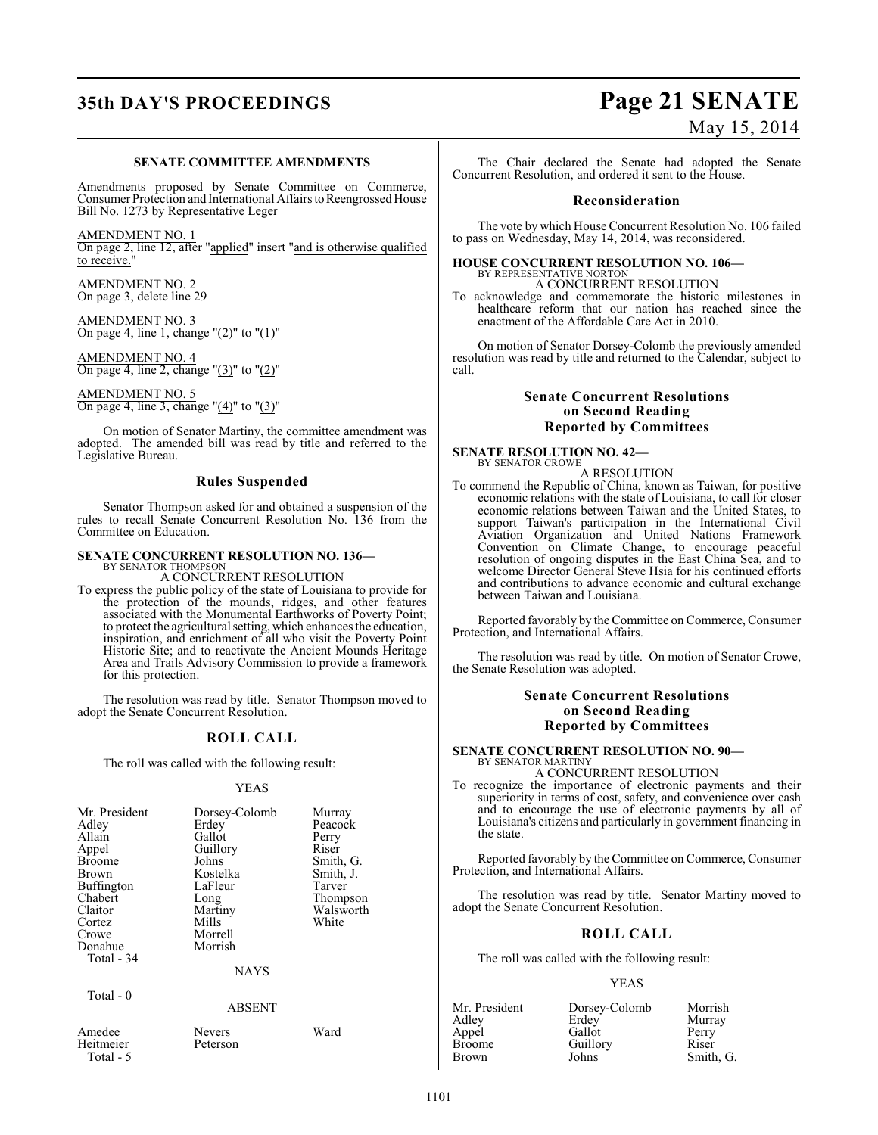# **35th DAY'S PROCEEDINGS Page 21 SENATE**

#### **SENATE COMMITTEE AMENDMENTS**

Amendments proposed by Senate Committee on Commerce, Consumer Protection and International Affairs to Reengrossed House Bill No. 1273 by Representative Leger

AMENDMENT NO. 1

On page 2, line 12, after "applied" insert "and is otherwise qualified to receive."

AMENDMENT NO. 2 On page 3, delete line 29

AMENDMENT NO. 3 On page 4, line 1, change " $(2)$ " to " $(1)$ "

AMENDMENT NO. 4 On page 4, line 2, change "(3)" to "(2)"

AMENDMENT NO. 5 On page 4, line 3, change "(4)" to "(3)"

On motion of Senator Martiny, the committee amendment was adopted. The amended bill was read by title and referred to the Legislative Bureau.

#### **Rules Suspended**

Senator Thompson asked for and obtained a suspension of the rules to recall Senate Concurrent Resolution No. 136 from the Committee on Education.

#### **SENATE CONCURRENT RESOLUTION NO. 136—**

BY SENATOR THOMPSON A CONCURRENT RESOLUTION

To express the public policy of the state of Louisiana to provide for the protection of the mounds, ridges, and other features associated with the Monumental Earthworks of Poverty Point; to protect the agricultural setting, which enhances the education, inspiration, and enrichment of all who visit the Poverty Point Historic Site; and to reactivate the Ancient Mounds Heritage Area and Trails Advisory Commission to provide a framework for this protection.

The resolution was read by title. Senator Thompson moved to adopt the Senate Concurrent Resolution.

#### **ROLL CALL**

The roll was called with the following result:

#### YEAS

| Mr. President<br>Adley<br>Allain<br>Appel<br><b>Broome</b><br>Brown<br><b>Buffington</b><br>Chabert<br>Claitor<br>Cortez<br>Crowe<br>Donahue<br>Total - 34 | Dorsey-Colomb<br>Erdey<br>Gallot<br>Guillory<br>Johns<br>Kostelka<br>LaFleur<br>Long<br>Martiny<br>Mills<br>Morrell<br>Morrish<br><b>NAYS</b> | Murray<br>Peacock<br>Perry<br>Riser<br>Smith, G.<br>Smith, J.<br>Tarver<br>Thompson<br>Walsworth<br>White |
|------------------------------------------------------------------------------------------------------------------------------------------------------------|-----------------------------------------------------------------------------------------------------------------------------------------------|-----------------------------------------------------------------------------------------------------------|
| Total $-0$                                                                                                                                                 | <b>ABSENT</b>                                                                                                                                 |                                                                                                           |
| Amedee                                                                                                                                                     | Nevers                                                                                                                                        | Ward                                                                                                      |

Heitmeier P Total - 5

| Ievers  |  |
|---------|--|
| eterson |  |

# May 15, 2014

The Chair declared the Senate had adopted the Senate Concurrent Resolution, and ordered it sent to the House.

#### **Reconsideration**

The vote by which House Concurrent Resolution No. 106 failed to pass on Wednesday, May 14, 2014, was reconsidered.

#### **HOUSE CONCURRENT RESOLUTION NO. 106—** BY REPRESENTATIVE NORTON

A CONCURRENT RESOLUTION

To acknowledge and commemorate the historic milestones in healthcare reform that our nation has reached since the enactment of the Affordable Care Act in 2010.

On motion of Senator Dorsey-Colomb the previously amended resolution was read by title and returned to the Calendar, subject to call.

#### **Senate Concurrent Resolutions on Second Reading Reported by Committees**

**SENATE RESOLUTION NO. 42—** BY SENATOR CROWE

A RESOLUTION

To commend the Republic of China, known as Taiwan, for positive economic relations with the state of Louisiana, to call for closer economic relations between Taiwan and the United States, to support Taiwan's participation in the International Civil Aviation Organization and United Nations Framework Convention on Climate Change, to encourage peaceful resolution of ongoing disputes in the East China Sea, and to welcome Director General Steve Hsia for his continued efforts and contributions to advance economic and cultural exchange between Taiwan and Louisiana.

Reported favorably by the Committee on Commerce, Consumer Protection, and International Affairs.

The resolution was read by title. On motion of Senator Crowe, the Senate Resolution was adopted.

### **Senate Concurrent Resolutions on Second Reading Reported by Committees**

#### **SENATE CONCURRENT RESOLUTION NO. 90—** BY SENATOR MARTINY

A CONCURRENT RESOLUTION

To recognize the importance of electronic payments and their superiority in terms of cost, safety, and convenience over cash and to encourage the use of electronic payments by all of Louisiana's citizens and particularly in government financing in the state.

Reported favorably by the Committee on Commerce, Consumer Protection, and International Affairs.

The resolution was read by title. Senator Martiny moved to adopt the Senate Concurrent Resolution.

## **ROLL CALL**

The roll was called with the following result:

#### YEAS

| Mr. President | Dorsey-Colomb | Morrish   |
|---------------|---------------|-----------|
| Adley         | Erdey         | Murray    |
| Appel         | Gallot        | Perry     |
| Broome        | Guillory      | Riser     |
| Brown         | Johns         | Smith, G. |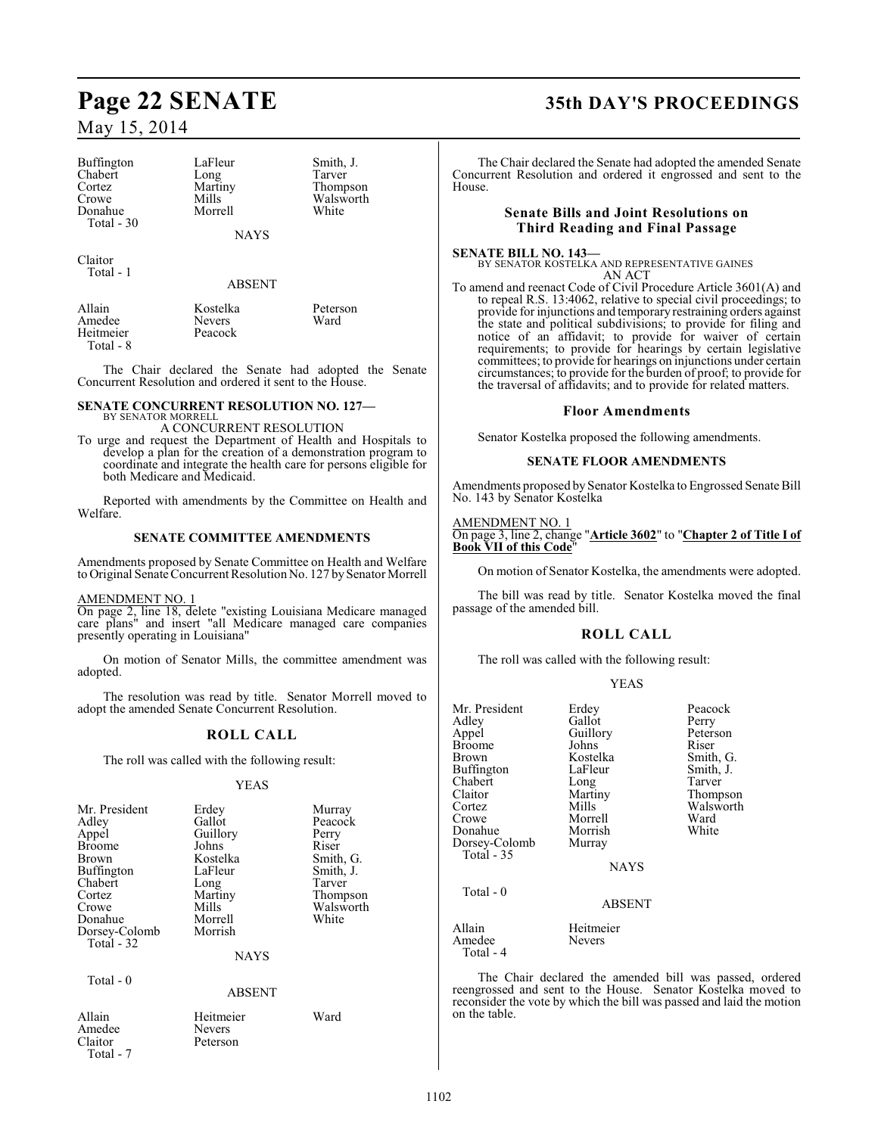Buffington LaFleur Smith, J.<br>
Chabert Long Tarver Chabert Long<br>Cortez Martiny Cortez Martiny Thompson Donahue Total - 30

Mills Walsworth<br>
Morrell White

**NAYS** 

Claitor Total - 1

#### ABSENT

Amedee Nevers<br>
Heitmeier Peacock Heitmeier Total - 8

Allain Kostelka Peterson

The Chair declared the Senate had adopted the Senate Concurrent Resolution and ordered it sent to the House.

#### **SENATE CONCURRENT RESOLUTION NO. 127—** BY SENATOR MORRELI

A CONCURRENT RESOLUTION

To urge and request the Department of Health and Hospitals to develop a plan for the creation of a demonstration program to coordinate and integrate the health care for persons eligible for both Medicare and Medicaid.

Reported with amendments by the Committee on Health and Welfare.

### **SENATE COMMITTEE AMENDMENTS**

Amendments proposed by Senate Committee on Health and Welfare to Original Senate Concurrent Resolution No. 127 by Senator Morrell

#### AMENDMENT NO. 1

On page 2, line 18, delete "existing Louisiana Medicare managed care plans" and insert "all Medicare managed care companies presently operating in Louisiana"

On motion of Senator Mills, the committee amendment was adopted.

The resolution was read by title. Senator Morrell moved to adopt the amended Senate Concurrent Resolution.

## **ROLL CALL**

The roll was called with the following result:

#### YEAS

| Mr. President<br>Adley<br>Appel<br><b>Broome</b><br><b>Brown</b><br><b>Buffington</b><br>Chabert<br>Cortez<br>Crowe<br>Donahue<br>Dorsey-Colomb<br>Total $-32$ | Erdey<br>Gallot<br>Guillory<br>Johns<br>Kostelka<br>LaFleur<br>Long<br>Martiny<br>Mills<br>Morrell<br>Morrish<br><b>NAYS</b> | Murray<br>Peacock<br>Perry<br>Riser<br>Smith, G.<br>Smith, J.<br>Tarver<br>Thompson<br>Walsworth<br>White |
|----------------------------------------------------------------------------------------------------------------------------------------------------------------|------------------------------------------------------------------------------------------------------------------------------|-----------------------------------------------------------------------------------------------------------|
| Total - 0                                                                                                                                                      |                                                                                                                              |                                                                                                           |

ABSENT

**Nevers** Peterson

| Allain    |  |
|-----------|--|
| Amedee    |  |
| Claitor   |  |
| Total - 7 |  |

Heitmeier Ward

# **Page 22 SENATE 35th DAY'S PROCEEDINGS**

The Chair declared the Senate had adopted the amended Senate Concurrent Resolution and ordered it engrossed and sent to the House.

### **Senate Bills and Joint Resolutions on Third Reading and Final Passage**

#### **SENATE BILL NO. 143—** BY SENATOR KOSTELKA AND REPRESENTATIVE GAINES

AN ACT To amend and reenact Code of Civil Procedure Article 3601(A) and to repeal R.S. 13:4062, relative to special civil proceedings; to provide for injunctions and temporary restraining orders against the state and political subdivisions; to provide for filing and notice of an affidavit; to provide for waiver of certain requirements; to provide for hearings by certain legislative committees; to provide for hearings on injunctions under certain circumstances; to provide for the burden of proof; to provide for the traversal of affidavits; and to provide for related matters.

### **Floor Amendments**

Senator Kostelka proposed the following amendments.

#### **SENATE FLOOR AMENDMENTS**

Amendments proposed by Senator Kostelka to Engrossed Senate Bill No. 143 by Senator Kostelka

#### AMENDMENT NO. 1 On page 3, line 2, change "**Article 3602**" to "**Chapter 2 of Title I of Book VII of this Code**"

On motion of Senator Kostelka, the amendments were adopted.

The bill was read by title. Senator Kostelka moved the final passage of the amended bill.

## **ROLL CALL**

The roll was called with the following result:

YEAS

| Mr. President<br>Adlev<br>Appel<br>Broome<br>Brown<br>Buffington<br>Chabert<br>Claitor<br>Cortez<br>Crowe<br>Donahue<br>Dorsey-Colomb<br>Total - 35 | Erdey<br>Gallot<br>Guillory<br>Johns<br>Kostelka<br>LaFleur<br>Long<br>Martiny<br>Mills<br>Morrell<br>Morrish<br>Murray | Peacock<br>Perry<br>Peterson<br>Riser<br>Smith, G.<br>Smith, J.<br>Tarver<br>Thompson<br>Walsworth<br>Ward<br>White |
|-----------------------------------------------------------------------------------------------------------------------------------------------------|-------------------------------------------------------------------------------------------------------------------------|---------------------------------------------------------------------------------------------------------------------|
|                                                                                                                                                     | <b>NAYS</b>                                                                                                             |                                                                                                                     |
| Total - 0                                                                                                                                           | <b>ABSENT</b>                                                                                                           |                                                                                                                     |
| Allain<br>Amedee<br>Total - 4                                                                                                                       | Heitmeier<br><b>Nevers</b>                                                                                              |                                                                                                                     |

The Chair declared the amended bill was passed, ordered reengrossed and sent to the House. Senator Kostelka moved to reconsider the vote by which the bill was passed and laid the motion on the table.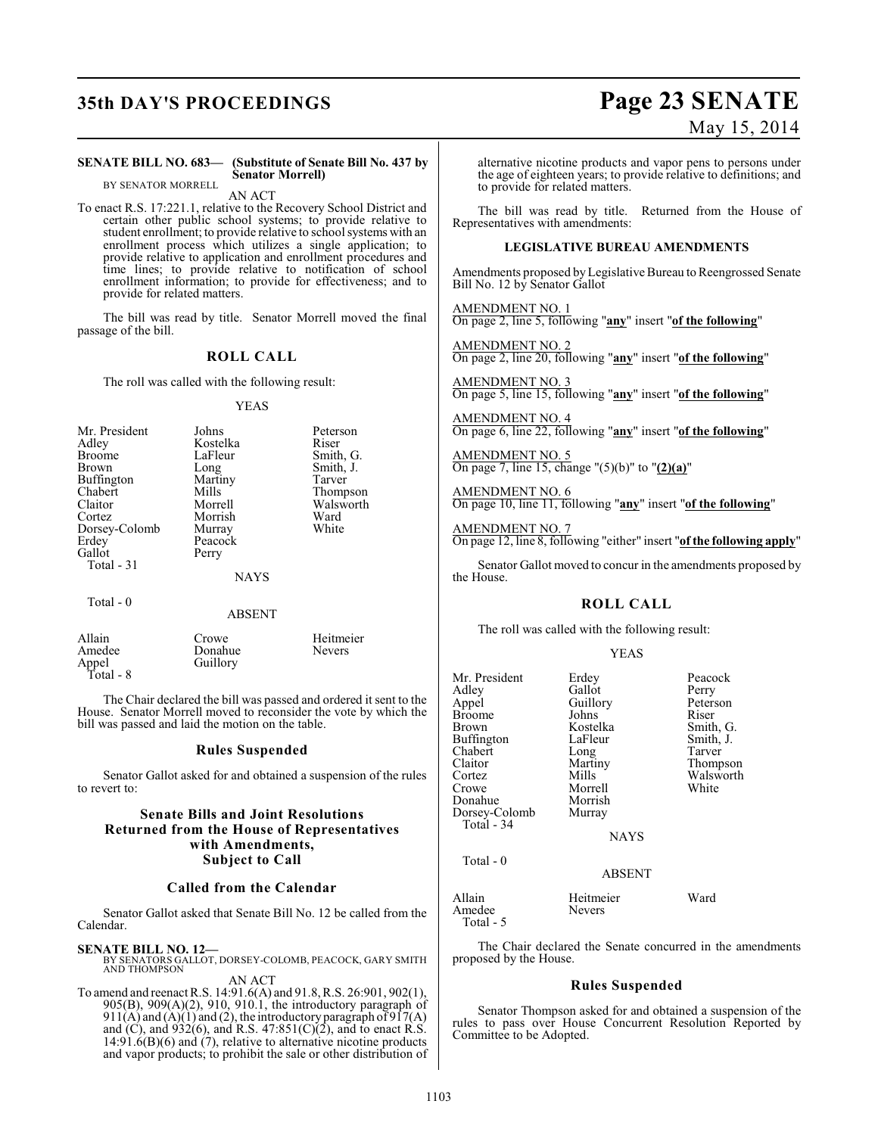# **35th DAY'S PROCEEDINGS Page 23 SENATE**

# May 15, 2014

#### **SENATE BILL NO. 683— (Substitute of Senate Bill No. 437 by Senator Morrell)** BY SENATOR MORRELL

AN ACT

To enact R.S. 17:221.1, relative to the Recovery School District and certain other public school systems; to provide relative to student enrollment; to provide relative to school systems with an enrollment process which utilizes a single application; to provide relative to application and enrollment procedures and time lines; to provide relative to notification of school enrollment information; to provide for effectiveness; and to provide for related matters.

The bill was read by title. Senator Morrell moved the final passage of the bill.

#### **ROLL CALL**

The roll was called with the following result:

#### YEAS

| Mr. President     | Johns       | Peterson  |
|-------------------|-------------|-----------|
| Adley             | Kostelka    | Riser     |
| <b>Broome</b>     | LaFleur     | Smith, G. |
| Brown             | Long        | Smith, J. |
| <b>Buffington</b> | Martiny     | Tarver    |
| Chabert           | Mills       | Thompson  |
| Claitor           | Morrell     | Walsworth |
| Cortez            | Morrish     | Ward      |
| Dorsey-Colomb     | Murray      | White     |
| Erdey             | Peacock     |           |
| Gallot            | Perry       |           |
| Total - 31        |             |           |
|                   | <b>NAYS</b> |           |
| Total - 0         |             |           |

#### ABSENT

| Allain             | Crowe    | Heitmeier     |
|--------------------|----------|---------------|
| Amedee             | Donahue  | <b>Nevers</b> |
| Appel<br>Total - 8 | Guillory |               |
|                    |          |               |

The Chair declared the bill was passed and ordered it sent to the House. Senator Morrell moved to reconsider the vote by which the bill was passed and laid the motion on the table.

### **Rules Suspended**

Senator Gallot asked for and obtained a suspension of the rules to revert to:

#### **Senate Bills and Joint Resolutions Returned from the House of Representatives with Amendments, Subject to Call**

#### **Called from the Calendar**

Senator Gallot asked that Senate Bill No. 12 be called from the Calendar.

#### **SENATE BILL NO. 12—**

BY SENATORS GALLOT, DORSEY-COLOMB, PEACOCK, GARY SMITH AND THOMPSON AN ACT

To amend and reenact R.S. 14:91.6(A) and 91.8, R.S. 26:901, 902(1), 905(B), 909(A)(2), 910, 910.1, the introductory paragraph of  $911(A)$  and  $(A)(1)$  and  $(2)$ , the introductory paragraph of  $917(A)$ and  $(C)$ , and  $932(6)$ , and R.S.  $47:851(C)(2)$ , and to enact R.S.  $14:91.6(B)(6)$  and  $(7)$ , relative to alternative nicotine products and vapor products; to prohibit the sale or other distribution of alternative nicotine products and vapor pens to persons under the age of eighteen years; to provide relative to definitions; and to provide for related matters.

The bill was read by title. Returned from the House of Representatives with amendments:

#### **LEGISLATIVE BUREAU AMENDMENTS**

Amendments proposed by Legislative Bureau to Reengrossed Senate Bill No. 12 by Senator Gallot

AMENDMENT NO. 1 On page 2, line 5, following "**any**" insert "**of the following**"

AMENDMENT NO. 2 On page 2, line 20, following "**any**" insert "**of the following**"

AMENDMENT NO. 3 On page 5, line 15, following "**any**" insert "**of the following**"

AMENDMENT NO. 4 On page 6, line 22, following "**any**" insert "**of the following**"

AMENDMENT NO. 5 On page 7, line 15, change "(5)(b)" to "**(2)(a)**"

AMENDMENT NO. 6 On page 10, line 11, following "**any**" insert "**of the following**"

AMENDMENT NO. 7 On page 12, line 8, following "either" insert "**of the following apply**"

Senator Gallot moved to concur in the amendments proposed by the House.

#### **ROLL CALL**

The roll was called with the following result:

#### YEAS

| Mr. President<br>Adley<br>Appel<br>Broome<br>Brown<br>Buffington                | Erdey<br>Gallot<br>Guillory<br>Johns<br>Kostelka<br>LaFleur | Peacock<br>Perry<br>Peterson<br>Riser<br>Smith, G.<br>Smith, J. |
|---------------------------------------------------------------------------------|-------------------------------------------------------------|-----------------------------------------------------------------|
| Chabert<br>Claitor<br>Cortez<br>Crowe<br>Donahue<br>Dorsey-Colomb<br>Total - 34 | Long<br>Martiny<br>Mills<br>Morrell<br>Morrish<br>Murray    | Tarver<br>Thompson<br>Walsworth<br>White                        |
| Total $-0$                                                                      | <b>NAYS</b><br><b>ABSENT</b>                                |                                                                 |
| Allain<br>Amedee<br>Total - 5                                                   | Heitmeier<br><b>Nevers</b>                                  | Ward                                                            |

The Chair declared the Senate concurred in the amendments proposed by the House.

#### **Rules Suspended**

Senator Thompson asked for and obtained a suspension of the rules to pass over House Concurrent Resolution Reported by Committee to be Adopted.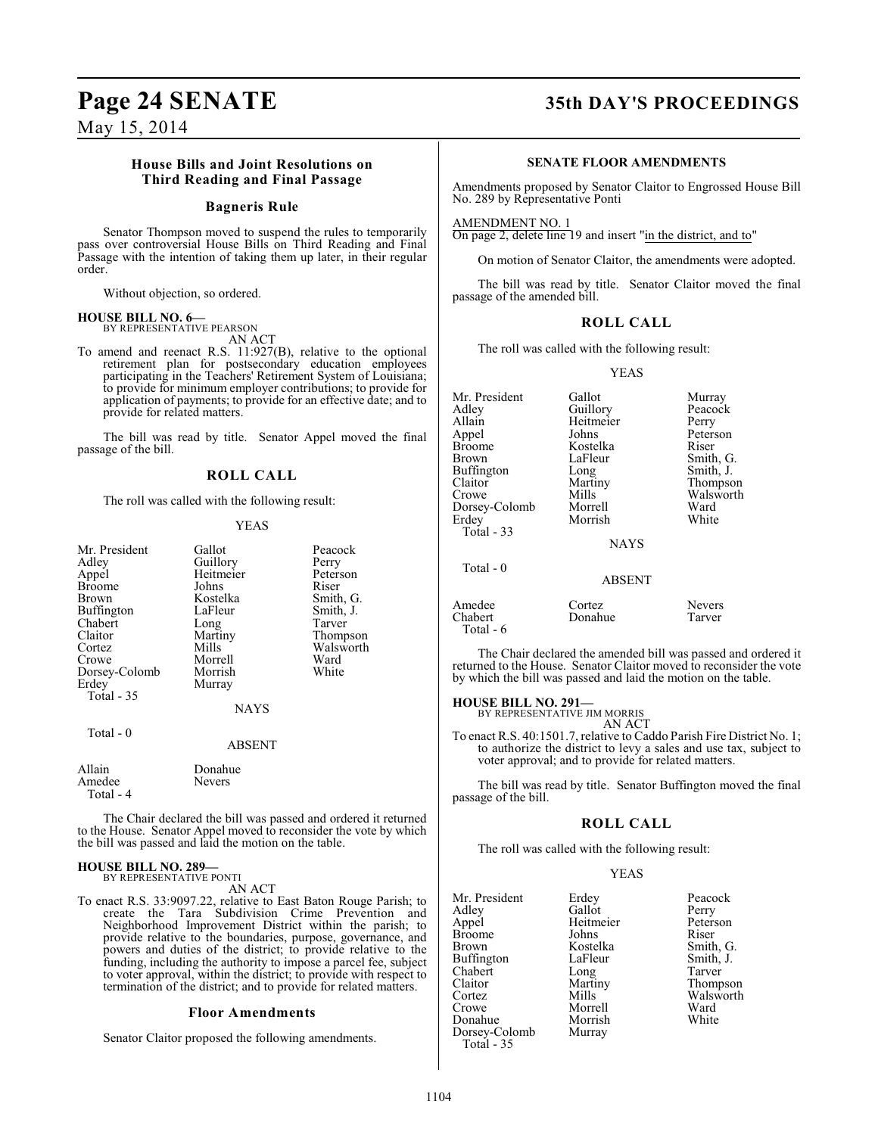#### **House Bills and Joint Resolutions on Third Reading and Final Passage**

#### **Bagneris Rule**

Senator Thompson moved to suspend the rules to temporarily pass over controversial House Bills on Third Reading and Final Passage with the intention of taking them up later, in their regular order.

Without objection, so ordered.

#### **HOUSE BILL NO. 6—**

BY REPRESENTATIVE PEARSON AN ACT

To amend and reenact R.S. 11:927(B), relative to the optional retirement plan for postsecondary education employees participating in the Teachers' Retirement System of Louisiana; to provide for minimum employer contributions; to provide for application of payments; to provide for an effective date; and to provide for related matters.

The bill was read by title. Senator Appel moved the final passage of the bill.

#### **ROLL CALL**

The roll was called with the following result:

#### YEAS

| Gallot   | Peacock               |
|----------|-----------------------|
|          | Perry                 |
|          | Peterson              |
| Johns    | Riser                 |
| Kostelka | Smith, G.             |
| LaFleur  | Smith, J.             |
| Long     | Tarver                |
| Martiny  | Thompson              |
| Mills    | Walsworth             |
| Morrell  | Ward                  |
| Morrish  | White                 |
| Murray   |                       |
|          |                       |
| NAYS     |                       |
|          | Guillory<br>Heitmeier |

Total - 0

ABSENT

| Allain    | Donahue       |
|-----------|---------------|
| Amedee    | <b>Nevers</b> |
| Total - 4 |               |

The Chair declared the bill was passed and ordered it returned to the House. Senator Appel moved to reconsider the vote by which the bill was passed and laid the motion on the table.

#### **HOUSE BILL NO. 289—** BY REPRESENTATIVE PONTI

AN ACT

To enact R.S. 33:9097.22, relative to East Baton Rouge Parish; to create the Tara Subdivision Crime Prevention and Neighborhood Improvement District within the parish; to provide relative to the boundaries, purpose, governance, and powers and duties of the district; to provide relative to the funding, including the authority to impose a parcel fee, subject to voter approval, within the district; to provide with respect to termination of the district; and to provide for related matters.

#### **Floor Amendments**

Senator Claitor proposed the following amendments.

# **Page 24 SENATE 35th DAY'S PROCEEDINGS**

#### **SENATE FLOOR AMENDMENTS**

Amendments proposed by Senator Claitor to Engrossed House Bill No. 289 by Representative Ponti

AMENDMENT NO. 1

On page 2, delete line 19 and insert "in the district, and to"

On motion of Senator Claitor, the amendments were adopted.

The bill was read by title. Senator Claitor moved the final passage of the amended bill.

#### **ROLL CALL**

The roll was called with the following result:

YEAS

| Mr. President<br>Adlev<br>Allain<br>Appel<br>Broome<br>Brown<br>Buffington<br>Claitor<br>Crowe<br>Dorsey-Colomb<br>Erdev<br>Total - 33<br>Total - 0 | Gallot<br>Guillory<br>Heitmeier<br>Johns<br>Kostelka<br>LaFleur<br>Long<br>Martiny<br>Mills<br>Morrell<br>Morrish<br><b>NAYS</b> | Murray<br>Peacock<br>Perry<br>Peterson<br>Riser<br>Smith, G.<br>Smith, J.<br>Thompson<br>Walsworth<br>Ward<br>White |
|-----------------------------------------------------------------------------------------------------------------------------------------------------|----------------------------------------------------------------------------------------------------------------------------------|---------------------------------------------------------------------------------------------------------------------|
|                                                                                                                                                     | <b>ABSENT</b>                                                                                                                    |                                                                                                                     |
| Amedee<br>Chabert<br>Total $-6$                                                                                                                     | Cortez<br>Donahue                                                                                                                | Nevers<br>Tarver                                                                                                    |

The Chair declared the amended bill was passed and ordered it returned to the House. Senator Claitor moved to reconsider the vote by which the bill was passed and laid the motion on the table.

#### **HOUSE BILL NO. 291—**

BY REPRESENTATIVE JIM MORRIS AN ACT

To enact R.S. 40:1501.7, relative to Caddo Parish Fire District No. 1; to authorize the district to levy a sales and use tax, subject to voter approval; and to provide for related matters.

The bill was read by title. Senator Buffington moved the final passage of the bill.

#### **ROLL CALL**

The roll was called with the following result:

#### YEAS

Mr. President Erdey Peacock<br>Adley Gallot Perry Adley Gallot Perry Heitmeier Peters<br>Johns Riser Broome Johns<br>Brown Kostelka Kostelka Smith, G.<br>LaFleur Smith, J. Buffington LaFleur Smith,<br>
Chabert Long Tarver Chabert Long<br>Claitor Martiny Claitor Martiny Thompson Cortez Mills Walsworth<br>Crowe Morrell Ward Morrell Ward<br>
Morrish White Donahue Morrish<br>Dorsey-Colomb Murray Dorsey-Colomb Total - 35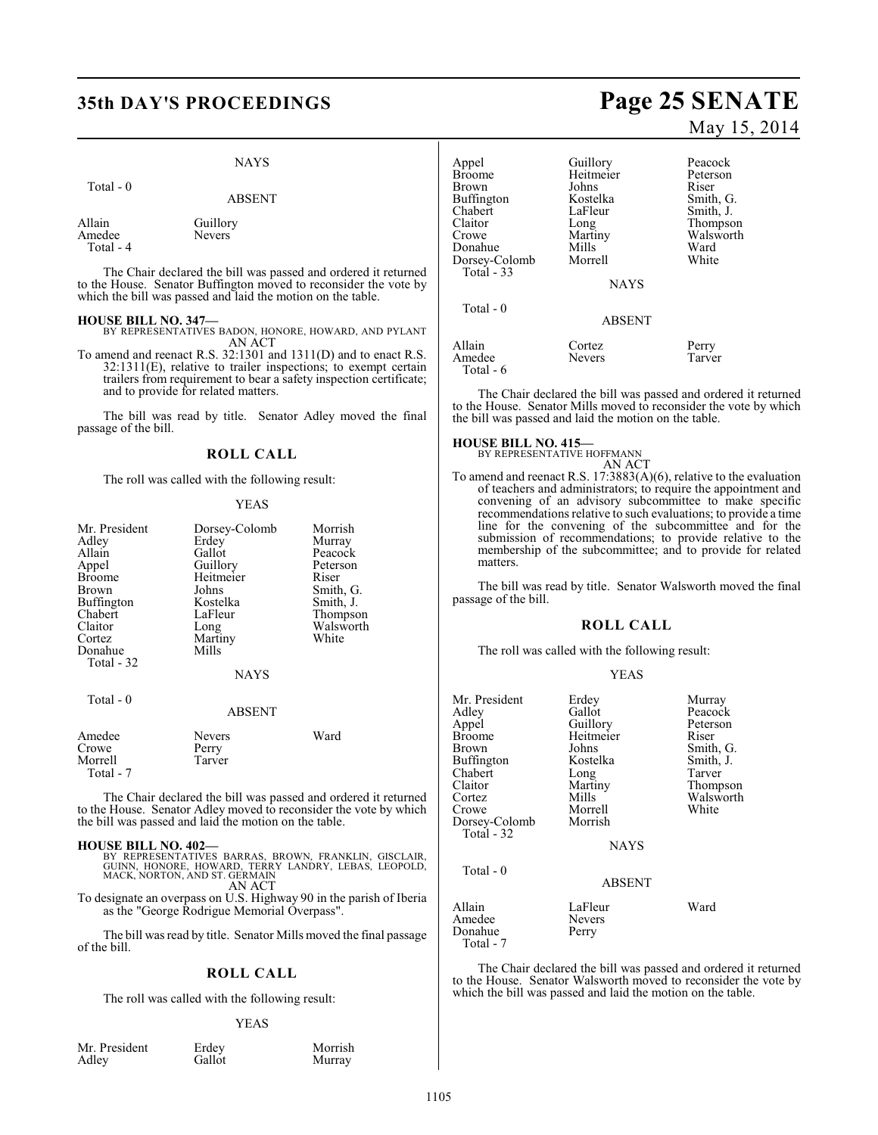### NAYS

| `otal |  |
|-------|--|
|-------|--|

ABSENT

Allain Guillory<br>Amedee Nevers Amedee Total - 4

The Chair declared the bill was passed and ordered it returned to the House. Senator Buffington moved to reconsider the vote by which the bill was passed and laid the motion on the table.

- **HOUSE BILL NO. 347—** BY REPRESENTATIVES BADON, HONORE, HOWARD, AND PYLANT AN ACT
- To amend and reenact R.S. 32:1301 and 1311(D) and to enact R.S. 32:1311(E), relative to trailer inspections; to exempt certain trailers from requirement to bear a safety inspection certificate; and to provide for related matters.

The bill was read by title. Senator Adley moved the final passage of the bill.

#### **ROLL CALL**

The roll was called with the following result:

#### YEAS

| Mr. President<br>Adley<br>Allain<br>Appel<br><b>Broome</b><br>Brown<br>Buffington<br>Chabert<br>Claitor<br>Cortez<br>Donahue<br>Total $-32$<br>Total - 0 | Dorsey-Colomb<br>Erdey<br>Gallot<br>Guillory<br>Heitmeier<br>Johns<br>Kostelka<br>LaFleur<br>Long<br>Martiny<br>Mills<br><b>NAYS</b><br><b>ABSENT</b> | Morrish<br>Murray<br>Peacock<br>Peterson<br>Riser<br>Smith, G.<br>Smith, J.<br>Thompson<br>Walsworth<br>White |
|----------------------------------------------------------------------------------------------------------------------------------------------------------|-------------------------------------------------------------------------------------------------------------------------------------------------------|---------------------------------------------------------------------------------------------------------------|
| Amedee<br>Crowe<br>Morrell                                                                                                                               | Nevers<br>Perry<br>Tarver                                                                                                                             | Ward                                                                                                          |

The Chair declared the bill was passed and ordered it returned to the House. Senator Adley moved to reconsider the vote by which the bill was passed and laid the motion on the table.

#### **HOUSE BILL NO. 402—**

Total - 7

- BY REPRESENTATIVES BARRAS, BROWN, FRANKLIN, GISCLAIR,<br>GUINN, HONORE, HOWARD, TERRY LANDRY, LEBAS, LEOPOLD,<br>MACK,NORTON,AND ST.GERMAIN AN ACT
- To designate an overpass on U.S. Highway 90 in the parish of Iberia as the "George Rodrigue Memorial Overpass".

The bill was read by title. Senator Mills moved the final passage of the bill.

#### **ROLL CALL**

The roll was called with the following result:

#### YEAS

Murray

|       | Mr. President |  |
|-------|---------------|--|
| Adley |               |  |

Erdey Morrish<br>Gallot Murray

# **35th DAY'S PROCEEDINGS Page 25 SENATE** May 15, 2014

| Appel<br><b>Broome</b> | Guillory<br>Heitmeier | Peacock<br>Peterson |
|------------------------|-----------------------|---------------------|
| Brown                  | Johns                 | Riser               |
|                        |                       |                     |
| Buffington             | Kostelka              | Smith, G.           |
| Chabert                | LaFleur               | Smith, J.           |
| Claitor                | Long                  | Thompson            |
| Crowe                  | Martiny               | Walsworth           |
| Donahue                | Mills                 | Ward                |
| Dorsey-Colomb          | Morrell               | White               |
| <b>Total - 33</b>      |                       |                     |
|                        | <b>NAYS</b>           |                     |
| Total $-0$             |                       |                     |
|                        | <b>ABSENT</b>         |                     |
| Allain                 | Cortez                | Perry               |
| Amedee                 | <b>Nevers</b>         | Tarver              |
| Total - 6              |                       |                     |

The Chair declared the bill was passed and ordered it returned to the House. Senator Mills moved to reconsider the vote by which the bill was passed and laid the motion on the table.

#### **HOUSE BILL NO. 415—**

BY REPRESENTATIVE HOFFMANN AN ACT

To amend and reenact R.S. 17:3883(A)(6), relative to the evaluation of teachers and administrators; to require the appointment and convening of an advisory subcommittee to make specific recommendations relative to such evaluations; to provide a time line for the convening of the subcommittee and for the submission of recommendations; to provide relative to the membership of the subcommittee; and to provide for related matters.

The bill was read by title. Senator Walsworth moved the final passage of the bill.

#### **ROLL CALL**

The roll was called with the following result:

#### YEAS

| Mr. President<br>Adlev<br>Appel<br>Broome<br>Brown<br>Buffington<br>Chabert<br>Claitor<br>Cortez<br>Crowe<br>Dorsey-Colomb<br>Total - 32 | Erdey<br>Gallot<br>Guillory<br>Heitmeier<br>Johns<br>Kostelka<br>Long<br>Martiny<br>Mills<br>Morrell<br>Morrish<br>NAYS | Murray<br>Peacock<br>Peterson<br>Riser<br>Smith, G.<br>Smith, J.<br>Tarver<br>Thompson<br>Walsworth<br>White |
|------------------------------------------------------------------------------------------------------------------------------------------|-------------------------------------------------------------------------------------------------------------------------|--------------------------------------------------------------------------------------------------------------|
| Total - 0                                                                                                                                | <b>ABSENT</b>                                                                                                           |                                                                                                              |
| Allain<br>Amedee<br>Donahue<br>Total - 7                                                                                                 | LaFleur<br>Nevers<br>Perry                                                                                              | Ward                                                                                                         |

The Chair declared the bill was passed and ordered it returned to the House. Senator Walsworth moved to reconsider the vote by which the bill was passed and laid the motion on the table.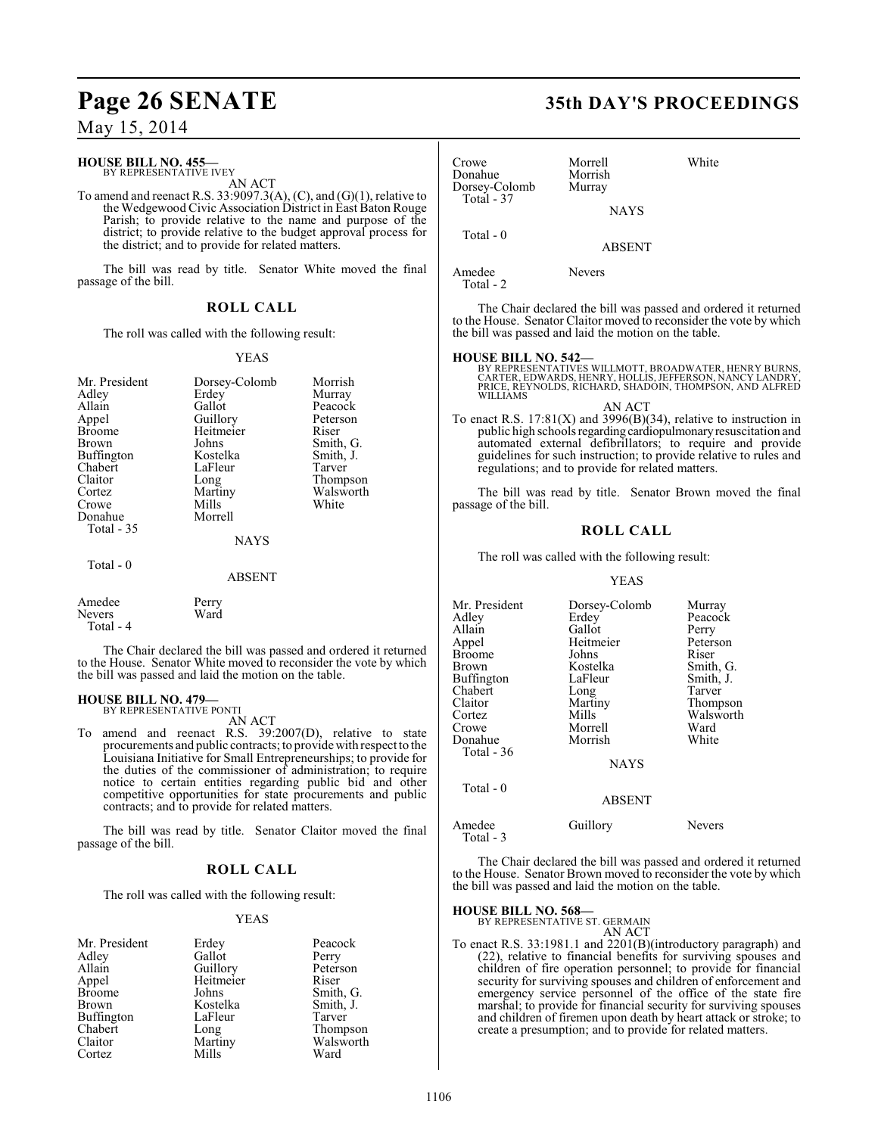# **Page 26 SENATE 35th DAY'S PROCEEDINGS**

## May 15, 2014

## **HOUSE BILL NO. 455—**

BY REPRESENTATIVE IVEY AN ACT

To amend and reenact R.S. 33:9097.3(A),  $(C)$ , and  $(G)(1)$ , relative to the Wedgewood Civic Association District in East Baton Rouge Parish; to provide relative to the name and purpose of the district; to provide relative to the budget approval process for the district; and to provide for related matters.

The bill was read by title. Senator White moved the final passage of the bill.

#### **ROLL CALL**

The roll was called with the following result:

#### YEAS

| Mr. President | Dorsey-Colomb | Morrish   |
|---------------|---------------|-----------|
| Adley         | Erdey         | Murray    |
| Allain        | Gallot        | Peacock   |
| Appel         | Guillory      | Peterson  |
| <b>Broome</b> | Heitmeier     | Riser     |
| Brown         | Johns         | Smith, G. |
| Buffington    | Kostelka      | Smith, J. |
| Chabert       | LaFleur       | Tarver    |
| Claitor       | Long          | Thompson  |
| Cortez        | Martiny       | Walsworth |
| Crowe         | Mills         | White     |
| Donahue       | Morrell       |           |
| Total - 35    |               |           |
|               | <b>NAYS</b>   |           |
| Total - 0     |               |           |
|               | <b>ABSENT</b> |           |
| Amedee        | Perry         |           |
| Nevers        | Ward          |           |

Total - 4

The Chair declared the bill was passed and ordered it returned to the House. Senator White moved to reconsider the vote by which the bill was passed and laid the motion on the table.

## **HOUSE BILL NO. 479—**

BY REPRESENTATIVE PONTI

AN ACT To amend and reenact R.S. 39:2007(D), relative to state procurements and public contracts; to provide with respect to the Louisiana Initiative for Small Entrepreneurships; to provide for the duties of the commissioner of administration; to require notice to certain entities regarding public bid and other competitive opportunities for state procurements and public contracts; and to provide for related matters.

The bill was read by title. Senator Claitor moved the final passage of the bill.

#### **ROLL CALL**

The roll was called with the following result:

#### YEAS

| Erdey    | Peacock               |
|----------|-----------------------|
| Gallot   | Perry                 |
|          | Peterson              |
|          | Riser                 |
| Johns    | Smith, G.             |
| Kostelka | Smith, J.             |
| LaFleur  | Tarver                |
| Long     | Thompson              |
| Martiny  | Walsworth             |
| Mills    | Ward                  |
|          | Guillory<br>Heitmeier |

| Crowe<br>Donahue<br>Dorsey-Colomb<br>Total - 37 | Morrell<br>Morrish<br>Murray<br><b>NAYS</b> | White |
|-------------------------------------------------|---------------------------------------------|-------|
| Total - 0                                       | <b>ABSENT</b>                               |       |
| Amedee<br>Total - 2                             | Nevers                                      |       |

The Chair declared the bill was passed and ordered it returned to the House. Senator Claitor moved to reconsider the vote by which the bill was passed and laid the motion on the table.

#### **HOUSE BILL NO. 542—**

BY REPRESENTATIVES WILLMOTT, BROADWATER, HENRY BURNS,<br>CARTER, EDWARDS, HENRY, HOLLIS, JEFFERSON, NANCY LANDRY,<br>PRICE, REYNOLDS, RICHARD, SHADOIN, THOMPSON, AND ALFRED WILLIAMS

AN ACT To enact R.S.  $17:81(X)$  and  $3996(B)(34)$ , relative to instruction in public high schools regarding cardiopulmonary resuscitation and automated external defibrillators; to require and provide guidelines for such instruction; to provide relative to rules and regulations; and to provide for related matters.

The bill was read by title. Senator Brown moved the final passage of the bill.

#### **ROLL CALL**

The roll was called with the following result:

#### YEAS

| Mr. President       | Dorsey-Colomb | Murray    |
|---------------------|---------------|-----------|
| Adley               | Erdey         | Peacock   |
| Allain              | Gallot        | Perry     |
| Appel               | Heitmeier     | Peterson  |
| <b>Broome</b>       | Johns         | Riser     |
| Brown               | Kostelka      | Smith, G. |
| Buffington          | LaFleur       | Smith, J. |
| Chabert             | Long          | Tarver    |
| Claitor             | Martiny       | Thompson  |
| Cortez              | Mills         | Walsworth |
| Crowe               | Morrell       | Ward      |
| Donahue             | Morrish       | White     |
| Total - 36          |               |           |
|                     | <b>NAYS</b>   |           |
| Total $-0$          |               |           |
|                     | <b>ABSENT</b> |           |
| Amedee<br>Total - 3 | Guillory      | Nevers    |

The Chair declared the bill was passed and ordered it returned to the House. Senator Brown moved to reconsider the vote by which the bill was passed and laid the motion on the table.

#### **HOUSE BILL NO. 568—**

| BY REPRESENTATIVE ST. GERMAIN |        |
|-------------------------------|--------|
|                               | AN ACT |

To enact R.S. 33:1981.1 and 2201(B)(introductory paragraph) and (22), relative to financial benefits for surviving spouses and children of fire operation personnel; to provide for financial security for surviving spouses and children of enforcement and emergency service personnel of the office of the state fire marshal; to provide for financial security for surviving spouses and children of firemen upon death by heart attack or stroke; to create a presumption; and to provide for related matters.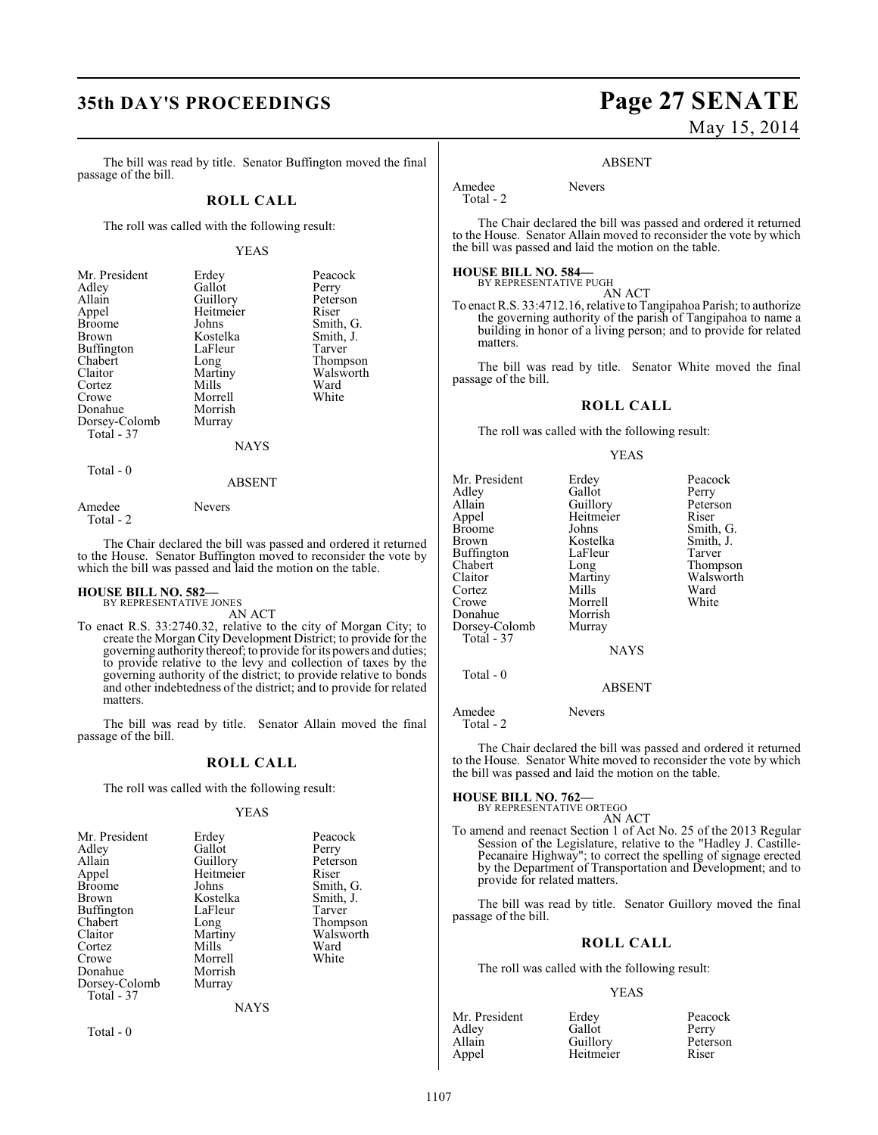The bill was read by title. Senator Buffington moved the final passage of the bill.

### **ROLL CALL**

The roll was called with the following result:

#### YEAS

| Erdey       | Peacock   |
|-------------|-----------|
| Gallot      | Perry     |
|             | Peterson  |
| Heitmeier   | Riser     |
| Johns       | Smith, G. |
| Kostelka    | Smith, J. |
| LaFleur     | Tarver    |
| Long        | Thompson  |
| Martiny     | Walsworth |
| Mills       | Ward      |
| Morrell     | White     |
| Morrish     |           |
| Murray      |           |
|             |           |
| <b>NAYS</b> |           |
|             | Guillory  |

# ABSENT

Total - 2

 $Total - 0$ 

Amedee Nevers

The Chair declared the bill was passed and ordered it returned to the House. Senator Buffington moved to reconsider the vote by which the bill was passed and laid the motion on the table.

# **HOUSE BILL NO. 582—** BY REPRESENTATIVE JONES

AN ACT

To enact R.S. 33:2740.32, relative to the city of Morgan City; to create the Morgan City Development District; to provide for the governing authority thereof; to provide for its powers and duties; to provide relative to the levy and collection of taxes by the governing authority of the district; to provide relative to bonds and other indebtedness of the district; and to provide for related matters.

The bill was read by title. Senator Allain moved the final passage of the bill.

#### **ROLL CALL**

The roll was called with the following result:

#### YEAS

| Mr. President | Erdey       | Peacock   |
|---------------|-------------|-----------|
| Adley         | Gallot      | Perry     |
| Allain        | Guillory    | Peterson  |
| Appel         | Heitmeier   | Riser     |
| Broome        | Johns       | Smith, G. |
| Brown         | Kostelka    | Smith, J. |
| Buffington    | LaFleur     | Tarver    |
| Chabert       | Long        | Thompson  |
| Claitor       | Martiny     | Walsworth |
| Cortez        | Mills       | Ward      |
| Crowe         | Morrell     | White     |
| Donahue       | Morrish     |           |
| Dorsey-Colomb | Murray      |           |
| Total - 37    |             |           |
|               | <b>NAYS</b> |           |

Total - 0

# **35th DAY'S PROCEEDINGS Page 27 SENATE** May 15, 2014

Smith, G. Smith, J.

Thompson Walsworth<br>Ward

#### ABSENT

Amedee Nevers

Total - 2

The Chair declared the bill was passed and ordered it returned to the House. Senator Allain moved to reconsider the vote by which the bill was passed and laid the motion on the table.

#### **HOUSE BILL NO. 584—** BY REPRESENTATIVE PUGH

AN ACT

To enact R.S. 33:4712.16, relative to Tangipahoa Parish; to authorize the governing authority of the parish of Tangipahoa to name a building in honor of a living person; and to provide for related matters.

The bill was read by title. Senator White moved the final passage of the bill.

#### **ROLL CALL**

The roll was called with the following result:

#### YEAS

| Mr. President<br>Adley<br>Allain<br>Appel<br><b>Broome</b><br>Brown<br>Buffington<br>Chabert<br>Claitor<br>Cortez<br>Crowe<br>Donahue<br>Dorsey-Colomb<br>Total - 37 | Erdey<br>Gallot<br>Guillory<br>Heitmeier<br>Johns<br>Kostelka<br>LaFleur<br>Long<br>Martiny<br>Mills<br>Morrell<br>Morrish<br>Murray | Peacock<br>Perry<br>Peterson<br>Riser<br>Smith, G<br>Smith, J.<br>Tarver<br>Thompso<br>Walswor<br>Ward<br>White |
|----------------------------------------------------------------------------------------------------------------------------------------------------------------------|--------------------------------------------------------------------------------------------------------------------------------------|-----------------------------------------------------------------------------------------------------------------|
|                                                                                                                                                                      | <b>NAYS</b>                                                                                                                          |                                                                                                                 |
| Total - 0                                                                                                                                                            |                                                                                                                                      |                                                                                                                 |

#### ABSENT

Amedee Nevers Total - 2

The Chair declared the bill was passed and ordered it returned to the House. Senator White moved to reconsider the vote by which the bill was passed and laid the motion on the table.

# **HOUSE BILL NO. 762—** BY REPRESENTATIVE ORTEGO

AN ACT

To amend and reenact Section 1 of Act No. 25 of the 2013 Regular Session of the Legislature, relative to the "Hadley J. Castille-Pecanaire Highway"; to correct the spelling of signage erected by the Department of Transportation and Development; and to provide for related matters.

The bill was read by title. Senator Guillory moved the final passage of the bill.

#### **ROLL CALL**

The roll was called with the following result:

#### YEAS

| Mr. President | Erdey     | Peacock  |
|---------------|-----------|----------|
| Adley         | Gallot    | Perry    |
| Allain        | Guillory  | Peterson |
| Appel         | Heitmeier | Riser    |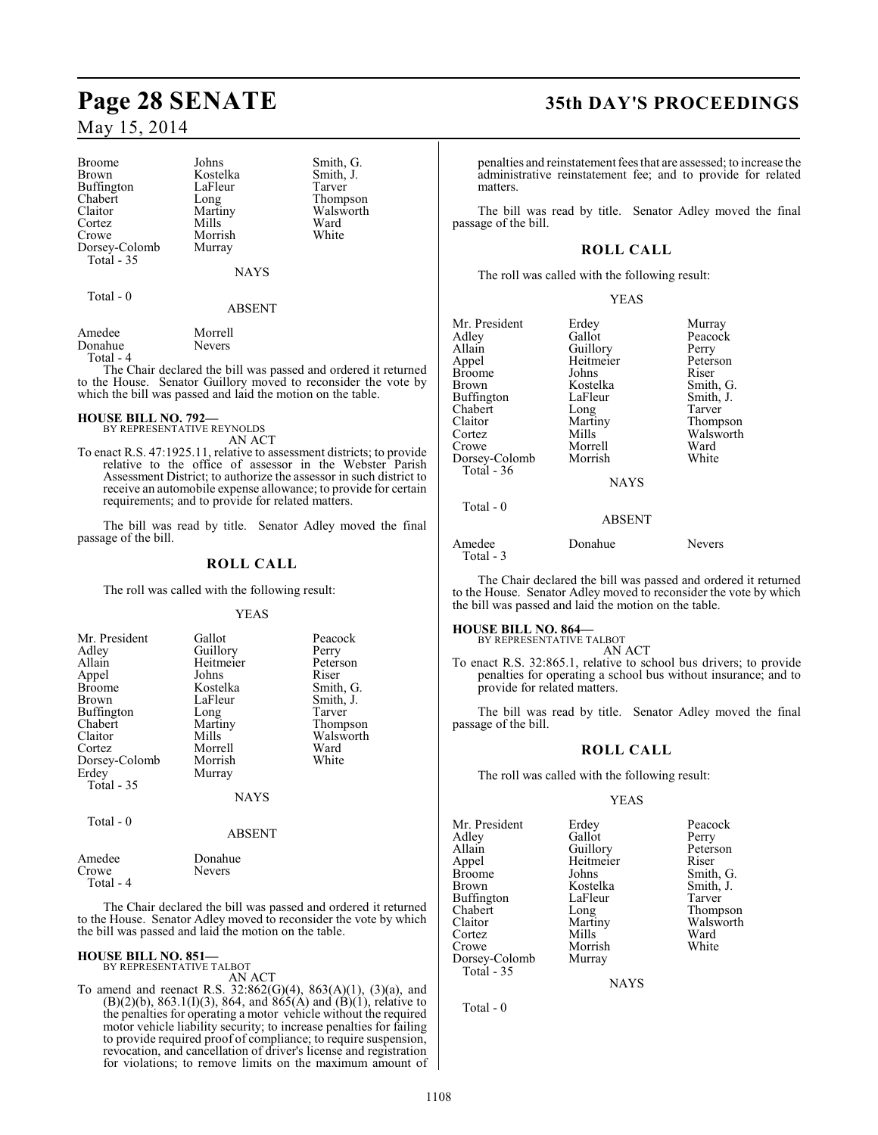| <b>Broome</b> |
|---------------|
| <b>Brown</b>  |
| Buffington    |
| Chabert       |
| Claitor       |
| Cortez        |
| Crowe         |
| Dorsey-Colomb |
| Total - 35    |

Johns Smith, G.<br>Kostelka Smith, J. Kostelka Smith,<br>LaFleur Tarver LaFleur<br>Long Long Thompson<br>Martiny Walsworth Mills Ward<br>
Morrish White Morrish Murray

NAYS

Walsworth<br>Ward

 $Total - 0$ 

## ABSENT

| Amedee    | Morrell       |
|-----------|---------------|
| Donahue   | <b>Nevers</b> |
| Total - 4 |               |

The Chair declared the bill was passed and ordered it returned to the House. Senator Guillory moved to reconsider the vote by which the bill was passed and laid the motion on the table.

## **HOUSE BILL NO. 792—**

- BY REPRESENTATIVE REYNOLDS AN ACT
- To enact R.S. 47:1925.11, relative to assessment districts; to provide relative to the office of assessor in the Webster Parish Assessment District; to authorize the assessor in such district to receive an automobile expense allowance; to provide for certain requirements; and to provide for related matters.

The bill was read by title. Senator Adley moved the final passage of the bill.

## **ROLL CALL**

The roll was called with the following result:

YEAS

| Mr. President     | Gallot    | Peacock   |
|-------------------|-----------|-----------|
| Adley             | Guillory  | Perry     |
| Allain            | Heitmeier | Peterson  |
| Appel             | Johns     | Riser     |
| <b>Broome</b>     | Kostelka  | Smith, G. |
| <b>Brown</b>      | LaFleur   | Smith, J. |
| <b>Buffington</b> | Long      | Tarver    |
| Chabert           | Martiny   | Thompson  |
| Claitor           | Mills     | Walsworth |
| Cortez            | Morrell   | Ward      |
| Dorsey-Colomb     | Morrish   | White     |
| Erdey             | Murray    |           |
| Total - 35        |           |           |
|                   | NAYS      |           |

Total - 0

#### ABSENT

| Amedee    | Donahue       |  |
|-----------|---------------|--|
| Crowe     | <b>Nevers</b> |  |
| Total - 4 |               |  |

The Chair declared the bill was passed and ordered it returned to the House. Senator Adley moved to reconsider the vote by which the bill was passed and laid the motion on the table.

#### **HOUSE BILL NO. 851—**

BY REPRESENTATIVE TALBOT AN ACT

To amend and reenact R.S. 32:862(G)(4), 863(A)(1), (3)(a), and  $(B)(2)(b)$ , 863.1(I)(3), 864, and 865(A) and (B)(1), relative to the penalties for operating a motor vehicle without the required motor vehicle liability security; to increase penalties for failing to provide required proof of compliance; to require suspension, revocation, and cancellation of driver's license and registration for violations; to remove limits on the maximum amount of

# **Page 28 SENATE 35th DAY'S PROCEEDINGS**

penalties and reinstatement fees that are assessed; to increase the administrative reinstatement fee; and to provide for related matters.

The bill was read by title. Senator Adley moved the final passage of the bill.

## **ROLL CALL**

The roll was called with the following result:

#### YEAS

| Mr. President<br>Adley<br>Allain<br>Appel<br>Broome<br>Brown<br>Buffington<br>Chabert<br>Claitor<br>Cortez<br>Crowe<br>Dorsey-Colomb<br>Total - 36 | Erdey<br>Gallot<br>Guillory<br>Heitmeier<br>Johns<br>Kostelka<br>LaFleur<br>Long<br>Martiny<br>Mills<br>Morrell<br>Morrish | Murray<br>Peacock<br>Perry<br>Peterson<br>Riser<br>Smith, G.<br>Smith, J.<br>Tarver<br>Thompson<br>Walsworth<br>Ward<br>White |
|----------------------------------------------------------------------------------------------------------------------------------------------------|----------------------------------------------------------------------------------------------------------------------------|-------------------------------------------------------------------------------------------------------------------------------|
|                                                                                                                                                    | <b>NAYS</b>                                                                                                                |                                                                                                                               |
| Total $-0$                                                                                                                                         | <b>ABSENT</b>                                                                                                              |                                                                                                                               |

Amedee Donahue Nevers Total - 3

The Chair declared the bill was passed and ordered it returned to the House. Senator Adley moved to reconsider the vote by which the bill was passed and laid the motion on the table.

## **HOUSE BILL NO. 864—**

BY REPRESENTATIVE TALBOT AN ACT

To enact R.S. 32:865.1, relative to school bus drivers; to provide penalties for operating a school bus without insurance; and to provide for related matters.

The bill was read by title. Senator Adley moved the final passage of the bill.

## **ROLL CALL**

The roll was called with the following result:

#### YEAS

| Mr. President | Erdey     | Peacock   |
|---------------|-----------|-----------|
| Adley         | Gallot    | Perry     |
| Allain        | Guillory  | Peterson  |
| Appel         | Heitmeier | Riser     |
| <b>Broome</b> | Johns     | Smith, G. |
| Brown         | Kostelka  | Smith, J. |
| Buffington    | LaFleur   | Tarver    |
| Chabert       | Long      | Thompso:  |
| Claitor       | Martiny   | Walswort  |
| Cortez        | Mills     | Ward      |
| Crowe         | Morrish   | White     |
| Dorsey-Colomb | Murray    |           |
| Total - 35    |           |           |

NAYS

Total - 0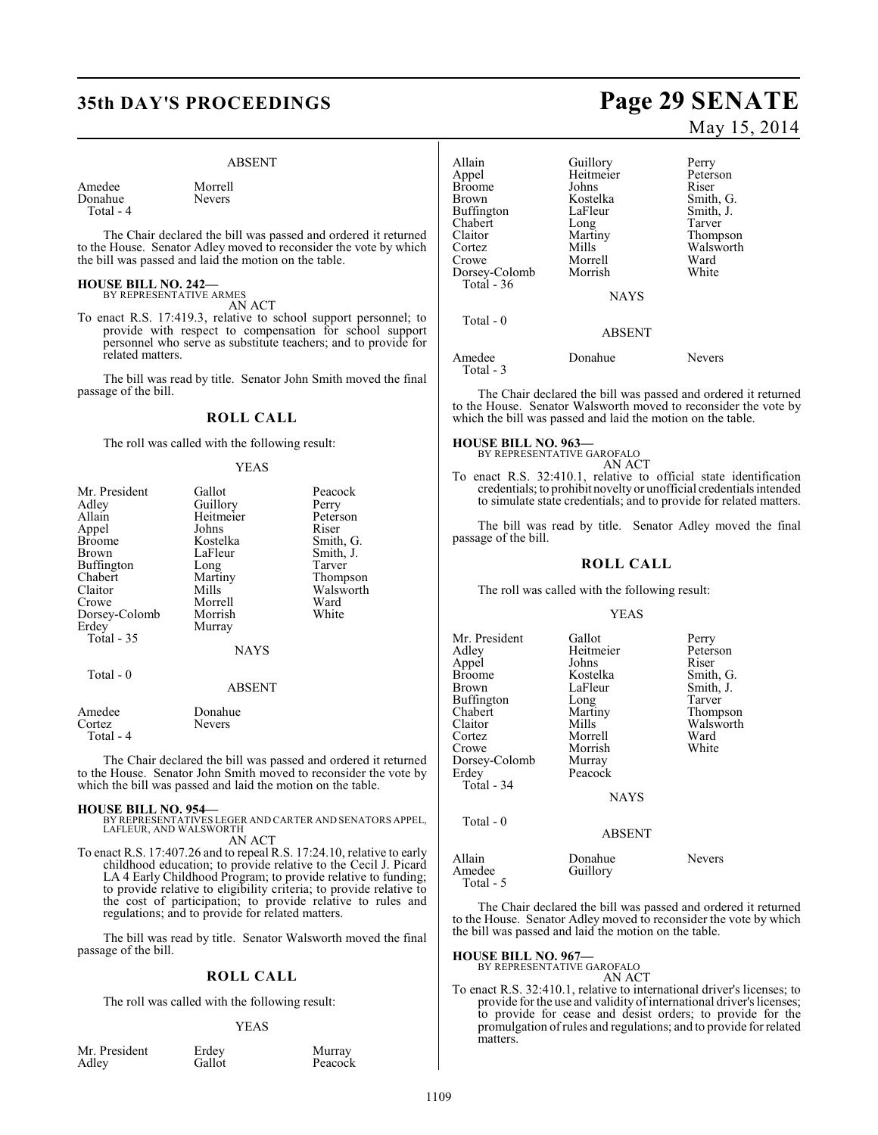# **35th DAY'S PROCEEDINGS Page 29 SENATE**

#### ABSENT

Amedee Morrell<br>Donahue Nevers Donahue Total - 4

The Chair declared the bill was passed and ordered it returned to the House. Senator Adley moved to reconsider the vote by which the bill was passed and laid the motion on the table.

#### **HOUSE BILL NO. 242—** BY REPRESENTATIVE ARMES

AN ACT

To enact R.S. 17:419.3, relative to school support personnel; to provide with respect to compensation for school support personnel who serve as substitute teachers; and to provide for related matters.

The bill was read by title. Senator John Smith moved the final passage of the bill.

## **ROLL CALL**

The roll was called with the following result:

#### YEAS

| Mr. President | Gallot        | Peacock   |
|---------------|---------------|-----------|
| Adley         | Guillory      | Perry     |
| Allain        | Heitmeier     | Peterson  |
| Appel         | Johns         | Riser     |
| Broome        | Kostelka      | Smith, G. |
| Brown         | LaFleur       | Smith, J. |
| Buffington    | Long          | Tarver    |
| Chabert       | Martiny       | Thompson  |
| Claitor       | Mills         | Walsworth |
| Crowe         | Morrell       | Ward      |
| Dorsey-Colomb | Morrish       | White     |
| Erdey         | Murray        |           |
| Total - 35    |               |           |
|               | <b>NAYS</b>   |           |
| Total - 0     |               |           |
|               | <b>ABSENT</b> |           |
| Amedee        | Donahue       |           |
| Cortez        | Nevers        |           |
| Total - 4     |               |           |

The Chair declared the bill was passed and ordered it returned to the House. Senator John Smith moved to reconsider the vote by which the bill was passed and laid the motion on the table.

**HOUSE BILL NO. 954—** BY REPRESENTATIVES LEGER AND CARTER AND SENATORS APPEL, LAFLEUR, AND WALSWORTH AN ACT

To enact R.S. 17:407.26 and to repeal R.S. 17:24.10, relative to early childhood education; to provide relative to the Cecil J. Picard LA 4 Early Childhood Program; to provide relative to funding; to provide relative to eligibility criteria; to provide relative to the cost of participation; to provide relative to rules and regulations; and to provide for related matters.

The bill was read by title. Senator Walsworth moved the final passage of the bill.

#### **ROLL CALL**

The roll was called with the following result:

#### YEAS

Peacock

| Mr. President | Erdey  | Murray |
|---------------|--------|--------|
| Adley         | Gallot | Peacoc |

# May 15, 2014

Allain Guillory Perry<br>
Appel Heitmeier Peterson Heitmeier Peters<br>Johns Riser Broome Johns<br>Brown Kostelka Kostelka Smith, G.<br>LaFleur Smith, J. Buffington LaFleur Smith,<br>
Chabert Long Tarver Chabert Long<br>Claitor Martiny Martiny Thompson<br>
Mills Walsworth Cortez Mills Walsworth<br>Crowe Morrell Ward Morrell Ward<br>
Morrish White Dorsey-Colomb Total - 36 **NAYS**  Total - 0 ABSENT

Amedee Donahue Nevers Total - 3

The Chair declared the bill was passed and ordered it returned to the House. Senator Walsworth moved to reconsider the vote by which the bill was passed and laid the motion on the table.

#### **HOUSE BILL NO. 963—**

BY REPRESENTATIVE GAROFALO AN ACT

To enact R.S. 32:410.1, relative to official state identification credentials; to prohibit novelty or unofficial credentials intended to simulate state credentials; and to provide for related matters.

The bill was read by title. Senator Adley moved the final passage of the bill.

#### **ROLL CALL**

The roll was called with the following result:

#### YEAS

| Mr. President | Gallot      | Perry     |
|---------------|-------------|-----------|
| Adley         | Heitmeier   | Peterson  |
| Appel         | Johns       | Riser     |
| <b>Broome</b> | Kostelka    | Smith, G. |
| Brown         | LaFleur     | Smith, J. |
| Buffington    | Long        | Tarver    |
| Chabert       | Martiny     | Thompson  |
| Claitor       | Mills       | Walsworth |
| Cortez        | Morrell     | Ward      |
| Crowe         | Morrish     | White     |
| Dorsey-Colomb | Murray      |           |
| Erdey         | Peacock     |           |
| Total - 34    |             |           |
|               | <b>NAYS</b> |           |
| Total - 0     |             |           |

#### ABSENT

Allain Donahue Nevers<br>Amedee Guillory Guillory Total - 5

The Chair declared the bill was passed and ordered it returned to the House. Senator Adley moved to reconsider the vote by which the bill was passed and laid the motion on the table.

#### **HOUSE BILL NO. 967—**

BY REPRESENTATIVE GAROFALO AN ACT

To enact R.S. 32:410.1, relative to international driver's licenses; to provide for the use and validity of international driver's licenses; to provide for cease and desist orders; to provide for the promulgation of rules and regulations; and to provide for related matters.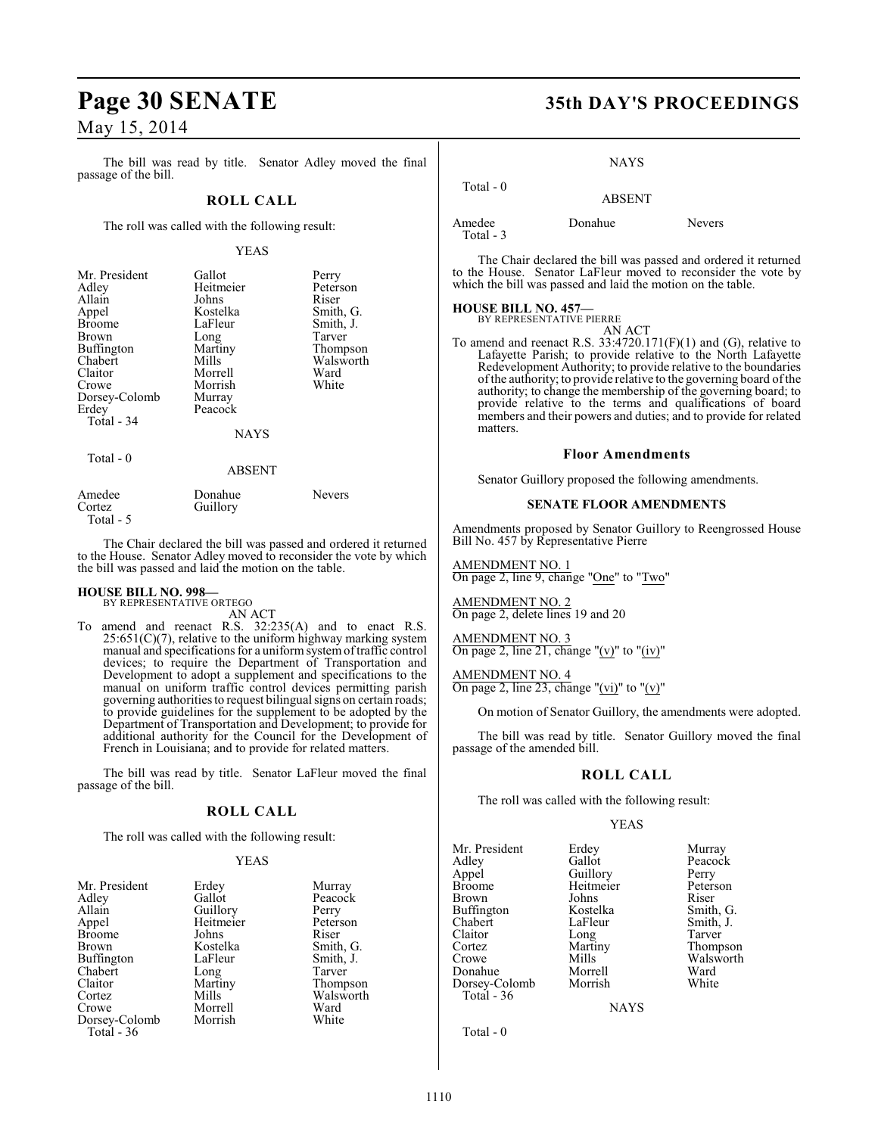The bill was read by title. Senator Adley moved the final passage of the bill.

#### **ROLL CALL**

The roll was called with the following result:

#### YEAS

| Mr. President | Gallot        | Perry         |
|---------------|---------------|---------------|
| Adley         | Heitmeier     | Peterson      |
| Allain        | Johns         | Riser         |
| Appel         | Kostelka      | Smith, G.     |
| <b>Broome</b> | LaFleur       | Smith, J.     |
| <b>Brown</b>  | Long          | Tarver        |
| Buffington    | Martiny       | Thompson      |
| Chabert       | Mills         | Walsworth     |
| Claitor       | Morrell       | Ward          |
| Crowe         | Morrish       | White         |
| Dorsey-Colomb | Murray        |               |
| Erdey         | Peacock       |               |
| Total - 34    |               |               |
|               | <b>NAYS</b>   |               |
| Total $-0$    |               |               |
|               | <b>ABSENT</b> |               |
| Amedee        | Donahue       | <b>Nevers</b> |

Cortez Guillory Total - 5 The Chair declared the bill was passed and ordered it returned

to the House. Senator Adley moved to reconsider the vote by which

# the bill was passed and laid the motion on the table.

**HOUSE BILL NO. 998—** BY REPRESENTATIVE ORTEGO AN ACT

To amend and reenact R.S. 32:235(A) and to enact R.S.  $25:651(C)(7)$ , relative to the uniform highway marking system manual and specifications for a uniform system of traffic control devices; to require the Department of Transportation and Development to adopt a supplement and specifications to the manual on uniform traffic control devices permitting parish governing authorities to request bilingual signs on certain roads; to provide guidelines for the supplement to be adopted by the Department of Transportation and Development; to provide for additional authority for the Council for the Development of French in Louisiana; and to provide for related matters.

The bill was read by title. Senator LaFleur moved the final passage of the bill.

#### **ROLL CALL**

The roll was called with the following result:

#### YEAS

| Mr. President | Erdey     | Murra  |
|---------------|-----------|--------|
| Adley         | Gallot    | Peaco  |
| Allain        | Guillory  | Perry  |
| Appel         | Heitmeier | Peters |
| <b>Broome</b> | Johns     | Riser  |
| <b>Brown</b>  | Kostelka  | Smith. |
| Buffington    | LaFleur   | Smith  |
| Chabert       | Long      | Tarver |
| Claitor       | Martiny   | Thom   |
| Cortez        | Mills     | Walsw  |
| Crowe         | Morrell   | Ward   |
| Dorsey-Colomb | Morrish   | White  |
| Total - 36    |           |        |
|               |           |        |

**Murray** Peacock<br>Perry Peterson<br>Riser Smith, G. Smith, J. Tarver Thompson Walsworth<br>Ward

# **Page 30 SENATE 35th DAY'S PROCEEDINGS**

#### **NAYS**

| Total $-0$           | <b>ABSENT</b> |               |
|----------------------|---------------|---------------|
| Amedee<br>Total $-3$ | Donahue       | <b>Nevers</b> |

The Chair declared the bill was passed and ordered it returned to the House. Senator LaFleur moved to reconsider the vote by which the bill was passed and laid the motion on the table.

# **HOUSE BILL NO. 457—** BY REPRESENTATIVE PIERRE

AN ACT

To amend and reenact R.S.  $33:4720.171(F)(1)$  and (G), relative to Lafayette Parish; to provide relative to the North Lafayette Redevelopment Authority; to provide relative to the boundaries of the authority; to provide relative to the governing board of the authority; to change the membership of the governing board; to provide relative to the terms and qualifications of board members and their powers and duties; and to provide for related matters.

#### **Floor Amendments**

Senator Guillory proposed the following amendments.

#### **SENATE FLOOR AMENDMENTS**

Amendments proposed by Senator Guillory to Reengrossed House Bill No. 457 by Representative Pierre

AMENDMENT NO. 1 On page 2, line 9, change "One" to "Two"

AMENDMENT NO. 2 On page 2, delete lines 19 and 20

## AMENDMENT NO. 3

On page 2, line 21, change "(v)" to "(iv)"

#### AMENDMENT NO. 4

On page 2, line 23, change "(vi)" to "(v)"

On motion of Senator Guillory, the amendments were adopted.

The bill was read by title. Senator Guillory moved the final passage of the amended bill.

#### **ROLL CALL**

The roll was called with the following result:

#### YEAS

Mr. President Erdey Murray<br>Adley Gallot Peacocl Adley Gallot Peacock Appel Guillory Perry Broome Heitmeier Peters<br>Brown Johns Riser Brown Johns Riser Buffington Kostelka Smith, G.<br>Chabert LaFleur Smith, J. Chabert LaFleur Smith, J.<br>Claitor Long Tarver Claitor Long Tarver<br>
Cortez Martiny Thomp Cortez Martiny Thompson<br>Crowe Mills Walsworth Crowe Mills Walsworth<br>
Donahue Morrell Ward Dorsey-Colomb Total - 36

Morrell Ward<br>
Morrish White

**NAYS** 

Total - 0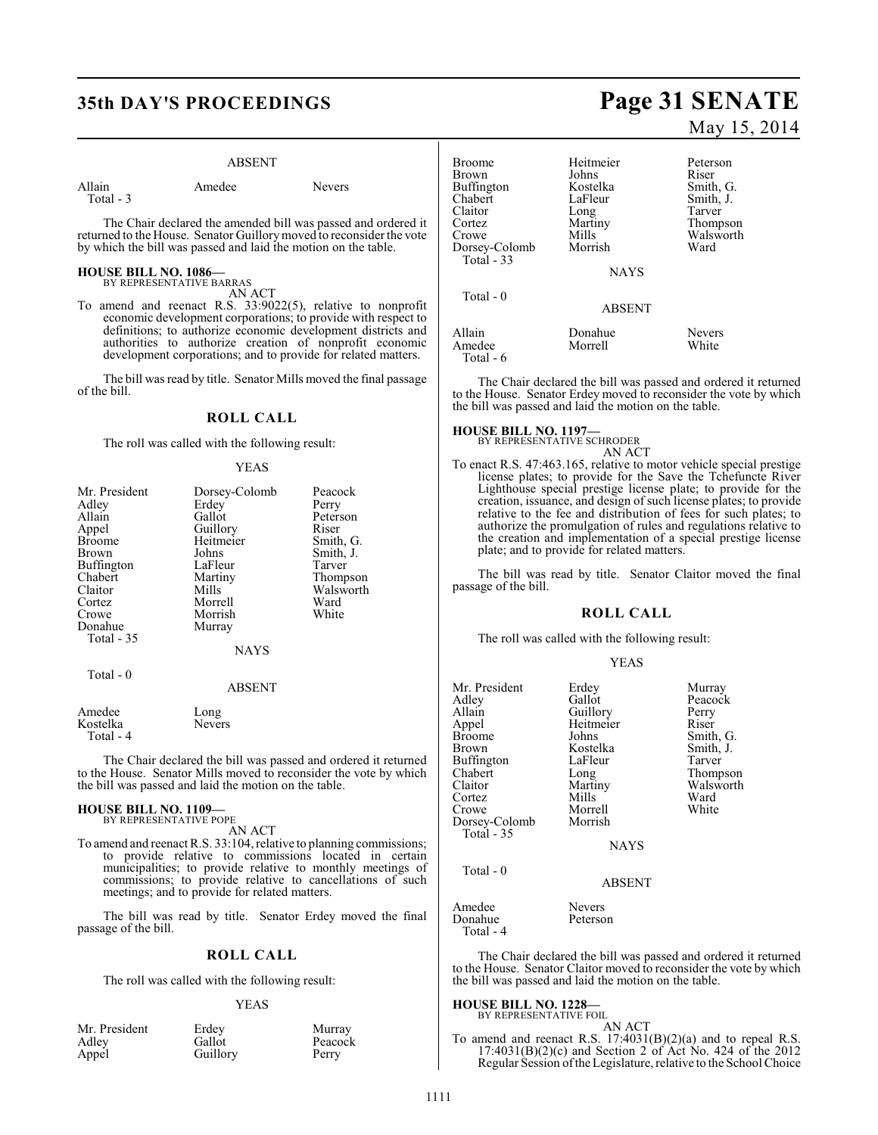# **35th DAY'S PROCEEDINGS Page 31 SENATE**

#### ABSENT

Nevers

| Allain    | Amedee |  |
|-----------|--------|--|
| Total - 3 |        |  |

The Chair declared the amended bill was passed and ordered it returned to the House. Senator Guillory moved to reconsider the vote by which the bill was passed and laid the motion on the table.

#### **HOUSE BILL NO. 1086—** BY REPRESENTATIVE BARRAS

AN ACT

To amend and reenact R.S. 33:9022(5), relative to nonprofit economic development corporations; to provide with respect to definitions; to authorize economic development districts and authorities to authorize creation of nonprofit economic development corporations; and to provide for related matters.

The bill was read by title. Senator Mills moved the final passage of the bill.

## **ROLL CALL**

The roll was called with the following result:

#### YEAS

| Mr. President | Dorsey-Colomb | Peacock   |
|---------------|---------------|-----------|
| Adley         | Erdey         | Perry     |
| Allain        | Gallot        | Peterson  |
| Appel         | Guillory      | Riser     |
| <b>Broome</b> | Heitmeier     | Smith, G. |
| Brown         | Johns         | Smith, J. |
| Buffington    | LaFleur       | Tarver    |
| Chabert       | Martiny       | Thompson  |
| Claitor       | Mills         | Walsworth |
| Cortez        | Morrell       | Ward      |
| Crowe         | Morrish       | White     |
| Donahue       | Murray        |           |
| Total - 35    |               |           |
|               | <b>NAYS</b>   |           |
| Total $-0$    |               |           |
|               | <b>ABSENT</b> |           |
| Amedee        | Long          |           |
| Kostelka      | Nevers        |           |

The Chair declared the bill was passed and ordered it returned to the House. Senator Mills moved to reconsider the vote by which the bill was passed and laid the motion on the table.

# **HOUSE BILL NO. 1109—** BY REPRESENTATIVE POPE

Total - 4

AN ACT

To amend and reenact R.S. 33:104, relative to planning commissions; to provide relative to commissions located in certain municipalities; to provide relative to monthly meetings of commissions; to provide relative to cancellations of such meetings; and to provide for related matters.

The bill was read by title. Senator Erdey moved the final passage of the bill.

#### **ROLL CALL**

The roll was called with the following result:

#### YEAS

| Mr. President | Erdey    | Murray  |
|---------------|----------|---------|
| Adley         | Gallot   | Peacock |
| Appel         | Guillory | Perry   |

# May 15, 2014

| Broome<br>Brown<br>Buffington<br>Chabert<br>Claitor<br>Cortez<br>Crowe<br>Dorsey-Colomb<br>Total $-33$ | Heitmeier<br>Johns<br>Kostelka<br>LaFleur<br>Long<br>Martiny<br>Mills<br>Morrish | Peterson<br>Riser<br>Smith, G.<br>Smith, J.<br>Tarver<br>Thompson<br>Walsworth<br>Ward |
|--------------------------------------------------------------------------------------------------------|----------------------------------------------------------------------------------|----------------------------------------------------------------------------------------|
|                                                                                                        | <b>NAYS</b>                                                                      |                                                                                        |
| Total $-0$                                                                                             | <b>ABSENT</b>                                                                    |                                                                                        |
| Allain<br>Amedee<br>Total - 6                                                                          | Donahue<br>Morrell                                                               | <b>Nevers</b><br>White                                                                 |

The Chair declared the bill was passed and ordered it returned to the House. Senator Erdey moved to reconsider the vote by which the bill was passed and laid the motion on the table.

**HOUSE BILL NO. 1197—** BY REPRESENTATIVE SCHRODER

AN ACT

To enact R.S. 47:463.165, relative to motor vehicle special prestige license plates; to provide for the Save the Tchefuncte River Lighthouse special prestige license plate; to provide for the creation, issuance, and design of such license plates; to provide relative to the fee and distribution of fees for such plates; to authorize the promulgation of rules and regulations relative to the creation and implementation of a special prestige license plate; and to provide for related matters.

The bill was read by title. Senator Claitor moved the final passage of the bill.

#### **ROLL CALL**

The roll was called with the following result:

| <b>YEAS</b> |
|-------------|
|             |

| Mr. President<br>Adley<br>Allain<br>Appel<br>Broome<br>Brown<br>Buffington<br>Chabert<br>Claitor<br>Cortez<br>Crowe<br>Dorsey-Colomb<br><b>Total - 35</b> | Erdey<br>Gallot<br>Guillory<br>Heitmeier<br>Johns<br>Kostelka<br>LaFleur<br>Long<br>Martiny<br>Mills<br>Morrell<br>Morrish<br><b>NAYS</b> | Murray<br>Peacock<br>Perry<br>Riser<br>Smith, G.<br>Smith, J.<br>Tarver<br>Thompson<br>Walsworth<br>Ward<br>White |
|-----------------------------------------------------------------------------------------------------------------------------------------------------------|-------------------------------------------------------------------------------------------------------------------------------------------|-------------------------------------------------------------------------------------------------------------------|
| Total - 0                                                                                                                                                 | <b>ABSENT</b>                                                                                                                             |                                                                                                                   |
| Amedee<br>Donahue<br>Total - 4                                                                                                                            | <b>Nevers</b><br>Peterson                                                                                                                 |                                                                                                                   |

The Chair declared the bill was passed and ordered it returned to the House. Senator Claitor moved to reconsider the vote by which the bill was passed and laid the motion on the table.

# **HOUSE BILL NO. 1228—** BY REPRESENTATIVE FOIL

AN ACT To amend and reenact R.S. 17:4031(B)(2)(a) and to repeal R.S. 17:4031(B)(2)(c) and Section 2 of Act No. 424 of the 2012 Regular Session of the Legislature, relative to the School Choice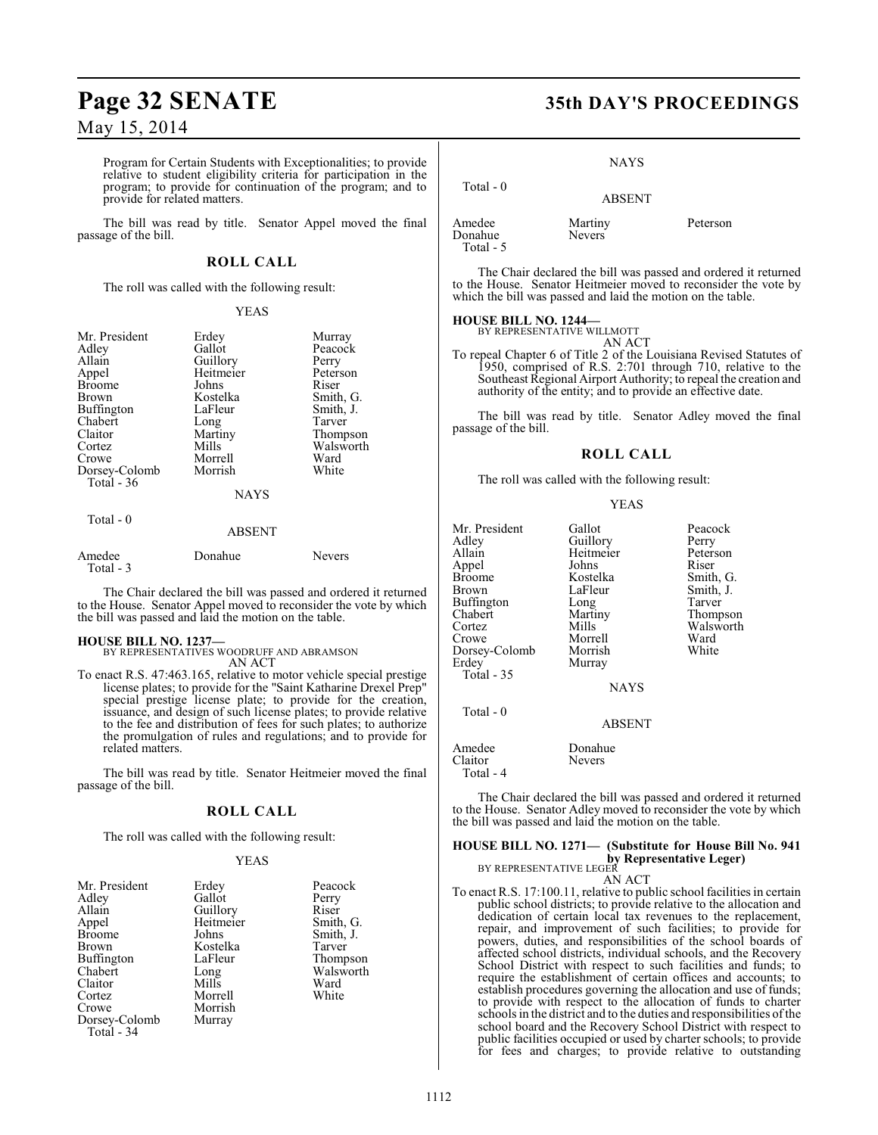# **Page 32 SENATE 35th DAY'S PROCEEDINGS**

## May 15, 2014

Program for Certain Students with Exceptionalities; to provide relative to student eligibility criteria for participation in the program; to provide for continuation of the program; and to provide for related matters.

The bill was read by title. Senator Appel moved the final passage of the bill.

#### **ROLL CALL**

The roll was called with the following result:

#### YEAS

| Mr. President<br>Adley<br>Allain | Erdey<br>Gallot<br>Guillory | Murray<br>Peacock<br>Perry |
|----------------------------------|-----------------------------|----------------------------|
| Appel                            | Heitmeier                   | Peterson                   |
| <b>Broome</b>                    | Johns                       | Riser                      |
| <b>Brown</b>                     | Kostelka                    | Smith, G.                  |
| Buffington                       | LaFleur                     | Smith, J.                  |
| Chabert                          | Long                        | Tarver                     |
| Claitor                          | Martiny                     | Thompson                   |
| Cortez                           | Mills                       | Walsworth                  |
| Crowe                            | Morrell                     | Ward                       |
| Dorsey-Colomb<br>Total - 36      | Morrish                     | White                      |
|                                  | <b>NAYS</b>                 |                            |
| Total - 0                        |                             |                            |

#### ABSENT

| Amedee<br>Total - 3 | Donahue | <b>Nevers</b> |
|---------------------|---------|---------------|
|                     |         |               |

The Chair declared the bill was passed and ordered it returned to the House. Senator Appel moved to reconsider the vote by which the bill was passed and laid the motion on the table.

**HOUSE BILL NO. 1237—** BY REPRESENTATIVES WOODRUFF AND ABRAMSON

AN ACT

To enact R.S. 47:463.165, relative to motor vehicle special prestige license plates; to provide for the "Saint Katharine Drexel Prep" special prestige license plate; to provide for the creation, issuance, and design of such license plates; to provide relative to the fee and distribution of fees for such plates; to authorize the promulgation of rules and regulations; and to provide for related matters.

The bill was read by title. Senator Heitmeier moved the final passage of the bill.

### **ROLL CALL**

The roll was called with the following result:

#### YEAS

| Mr. President<br>Adley<br>Allain<br>Appel<br><b>Broome</b><br><b>Brown</b><br><b>Buffington</b><br>Chabert<br>Claitor<br>Cortez<br>Crowe<br>Dorsey-Colomb<br>Total - 34 | Erdey<br>Gallot<br>Guillory<br>Heitmeier<br>Johns<br>Kostelka<br>LaFleur<br>Long<br>Mills<br>Morrell<br>Morrish<br>Murray | Peacock<br>Perry<br>Riser<br>Smith, G.<br>Smith, J.<br>Tarver<br>Thompson<br>Walsworth<br>Ward<br>White |
|-------------------------------------------------------------------------------------------------------------------------------------------------------------------------|---------------------------------------------------------------------------------------------------------------------------|---------------------------------------------------------------------------------------------------------|
|-------------------------------------------------------------------------------------------------------------------------------------------------------------------------|---------------------------------------------------------------------------------------------------------------------------|---------------------------------------------------------------------------------------------------------|

**NAYS** 

ABSENT

 Total - 0 Amedee Martiny Peterson<br>Donahue Nevers Nevers<sup>1</sup> Total - 5

The Chair declared the bill was passed and ordered it returned to the House. Senator Heitmeier moved to reconsider the vote by which the bill was passed and laid the motion on the table.

## **HOUSE BILL NO. 1244—**

BY REPRESENTATIVE WILLMOTT

AN ACT To repeal Chapter 6 of Title 2 of the Louisiana Revised Statutes of 1950, comprised of R.S. 2:701 through 710, relative to the Southeast Regional Airport Authority; to repeal the creation and authority of the entity; and to provide an effective date.

The bill was read by title. Senator Adley moved the final passage of the bill.

#### **ROLL CALL**

The roll was called with the following result:

#### YEAS

| Mr. President<br>Adlev<br>Allain<br>Appel<br>Broome<br>Brown<br>Buffington<br>Chabert<br>Cortez<br>Crowe<br>Dorsey-Colomb<br>Erdey<br>Total - 35 | Gallot<br>Guillory<br>Heitmeier<br>Johns<br>Kostelka<br>LaFleur<br>Long<br>Martiny<br>Mills<br>Morrell<br>Morrish<br>Murray | Peacock<br>Perry<br>Peterson<br>Riser<br>Smith, G.<br>Smith, J.<br>Tarver<br>Thompson<br>Walsworth<br>Ward<br>White |
|--------------------------------------------------------------------------------------------------------------------------------------------------|-----------------------------------------------------------------------------------------------------------------------------|---------------------------------------------------------------------------------------------------------------------|
|                                                                                                                                                  | <b>NAYS</b>                                                                                                                 |                                                                                                                     |
| Total - 0                                                                                                                                        | ABSENT                                                                                                                      |                                                                                                                     |

Amedee Donahue<br>Claitor Nevers Claitor

Total - 4

The Chair declared the bill was passed and ordered it returned to the House. Senator Adley moved to reconsider the vote by which the bill was passed and laid the motion on the table.

## **HOUSE BILL NO. 1271— (Substitute for House Bill No. 941 by Representative Leger)**<br>BY REPRESENTATIVE LEGER

AN ACT To enact R.S. 17:100.11, relative to public school facilities in certain public school districts; to provide relative to the allocation and dedication of certain local tax revenues to the replacement, repair, and improvement of such facilities; to provide for powers, duties, and responsibilities of the school boards of affected school districts, individual schools, and the Recovery School District with respect to such facilities and funds; to require the establishment of certain offices and accounts; to establish procedures governing the allocation and use of funds; to provide with respect to the allocation of funds to charter schools in the district and to the duties and responsibilities of the school board and the Recovery School District with respect to public facilities occupied or used by charter schools; to provide for fees and charges; to provide relative to outstanding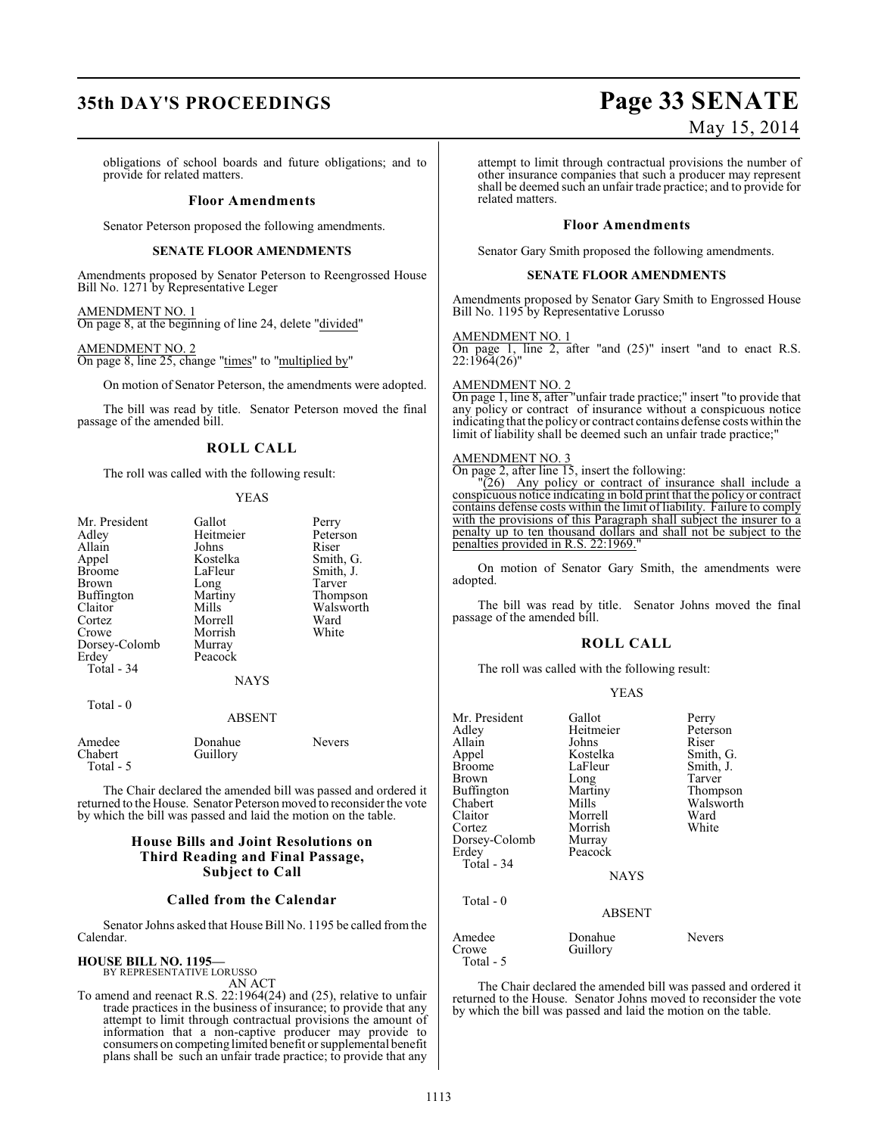# **35th DAY'S PROCEEDINGS Page 33 SENATE**

# May 15, 2014

obligations of school boards and future obligations; and to provide for related matters.

#### **Floor Amendments**

Senator Peterson proposed the following amendments.

#### **SENATE FLOOR AMENDMENTS**

Amendments proposed by Senator Peterson to Reengrossed House Bill No. 1271 by Representative Leger

#### AMENDMENT NO. 1

On page 8, at the beginning of line 24, delete "divided"

#### AMENDMENT NO. 2

On page 8, line 25, change "times" to "multiplied by"

On motion of Senator Peterson, the amendments were adopted.

The bill was read by title. Senator Peterson moved the final passage of the amended bill.

## **ROLL CALL**

The roll was called with the following result:

#### YEAS

| Mr. President<br>Adley<br>Allain<br>Appel<br><b>Broome</b><br><b>Brown</b><br>Buffington<br>Claitor<br>Cortez<br>Crowe<br>Dorsey-Colomb | Gallot<br>Heitmeier<br>Johns<br>Kostelka<br>LaFleur<br>Long<br>Martiny<br>Mills<br>Morrell<br>Morrish<br>Murray | Perry<br>Peterson<br>Riser<br>Smith, G.<br>Smith, J.<br>Tarver<br>Thompson<br>Walsworth<br>Ward<br>White |
|-----------------------------------------------------------------------------------------------------------------------------------------|-----------------------------------------------------------------------------------------------------------------|----------------------------------------------------------------------------------------------------------|
| Erdey<br>Total - 34                                                                                                                     | Peacock<br><b>NAYS</b>                                                                                          |                                                                                                          |
| $Total - 0$                                                                                                                             |                                                                                                                 |                                                                                                          |

#### ABSENT

| Amedee               | Donahue  | <b>Nevers</b> |  |
|----------------------|----------|---------------|--|
| Chabert<br>Total - 5 | Guillory |               |  |

The Chair declared the amended bill was passed and ordered it returned to the House. Senator Peterson moved to reconsider the vote by which the bill was passed and laid the motion on the table.

#### **House Bills and Joint Resolutions on Third Reading and Final Passage, Subject to Call**

#### **Called from the Calendar**

Senator Johns asked that House Bill No. 1195 be called from the Calendar.

# **HOUSE BILL NO. 1195—** BY REPRESENTATIVE LORUSSO

AN ACT

To amend and reenact R.S. 22:1964(24) and (25), relative to unfair trade practices in the business of insurance; to provide that any attempt to limit through contractual provisions the amount of information that a non-captive producer may provide to consumers on competing limited benefit or supplemental benefit plans shall be such an unfair trade practice; to provide that any

attempt to limit through contractual provisions the number of other insurance companies that such a producer may represent shall be deemed such an unfair trade practice; and to provide for related matters.

#### **Floor Amendments**

Senator Gary Smith proposed the following amendments.

#### **SENATE FLOOR AMENDMENTS**

Amendments proposed by Senator Gary Smith to Engrossed House Bill No. 1195 by Representative Lorusso

AMENDMENT NO. 1 On page 1, line 2, after "and (25)" insert "and to enact R.S. 22:1964(26)"

#### AMENDMENT NO. 2

On page 1, line 8, after "unfair trade practice;" insert "to provide that any policy or contract of insurance without a conspicuous notice indicating that the policy or contract contains defense costs within the limit of liability shall be deemed such an unfair trade practice;"

#### AMENDMENT NO. 3

On page 2, after line 15, insert the following:

 $(26)$  Any policy or contract of insurance shall include a conspicuous notice indicating in bold print that the policy or contract contains defense costs within the limit of liability. Failure to comply with the provisions of this Paragraph shall subject the insurer to a penalty up to ten thousand dollars and shall not be subject to the penalties provided in R.S.

On motion of Senator Gary Smith, the amendments were adopted.

The bill was read by title. Senator Johns moved the final passage of the amended bill.

#### **ROLL CALL**

The roll was called with the following result:

## YEAS

| Mr. President<br>Adley | Gallot<br>Heitmeier | Perry<br>Peterson |
|------------------------|---------------------|-------------------|
| Allain                 | Johns               | Riser             |
| Appel                  | Kostelka            | Smith, G.         |
| <b>Broome</b>          | LaFleur             | Smith, J.         |
| Brown                  | Long                | Tarver            |
| Buffington             | Martiny             | Thompson          |
| Chabert                | Mills               | Walsworth         |
| Claitor                | Morrell             | Ward              |
| Cortez                 | Morrish             | White             |
| Dorsey-Colomb          | Murray              |                   |
| Erdey                  | Peacock             |                   |
| Total - 34             |                     |                   |
|                        | NAYS                |                   |
| Total - 0              |                     |                   |
|                        | <b>ABSENT</b>       |                   |
| Amedee<br>Crowe        | Donahue<br>Guillory | <b>Nevers</b>     |
| Total - 5              |                     |                   |

The Chair declared the amended bill was passed and ordered it returned to the House. Senator Johns moved to reconsider the vote by which the bill was passed and laid the motion on the table.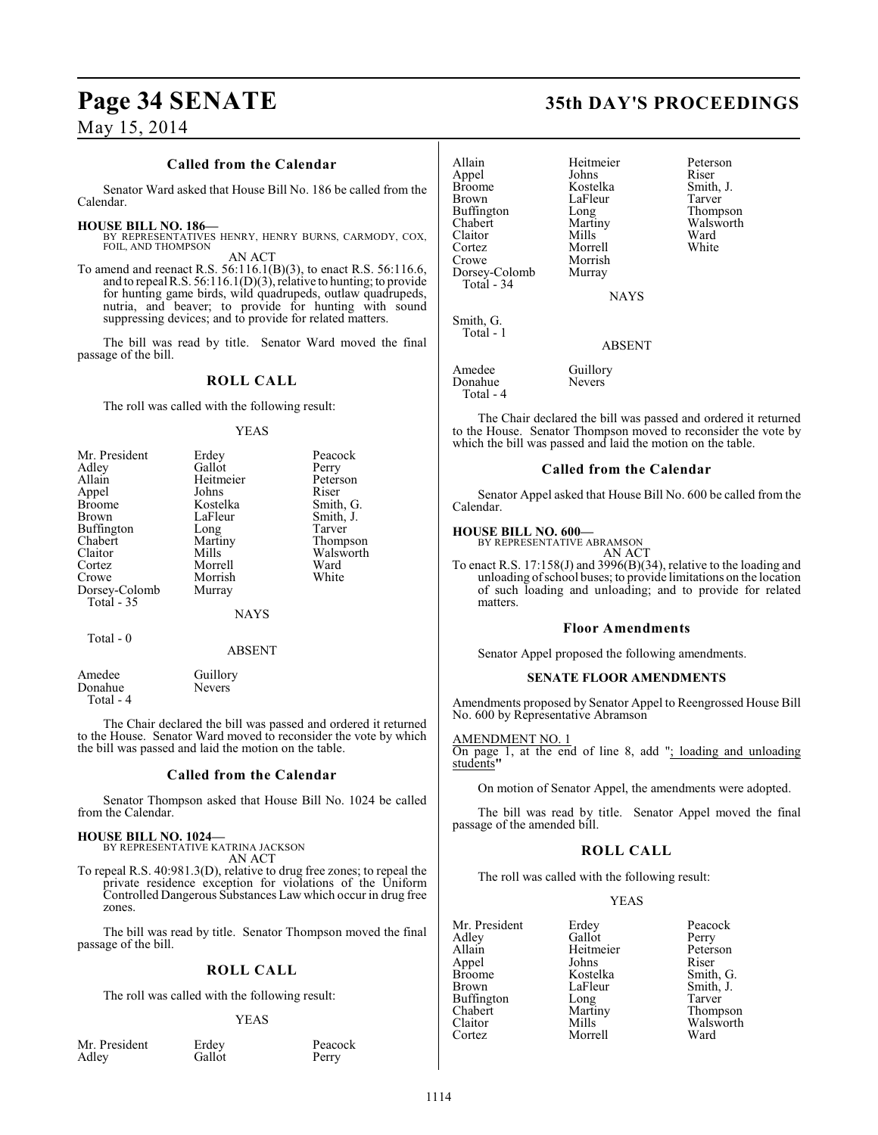#### **Called from the Calendar**

Senator Ward asked that House Bill No. 186 be called from the Calendar.

#### **HOUSE BILL NO. 186—**

BY REPRESENTATIVES HENRY, HENRY BURNS, CARMODY, COX, FOIL, AND THOMPSON AN ACT

To amend and reenact R.S. 56:116.1(B)(3), to enact R.S. 56:116.6, and to repeal R.S. 56:116.1(D)(3), relative to hunting; to provide for hunting game birds, wild quadrupeds, outlaw quadrupeds, nutria, and beaver; to provide for hunting with sound suppressing devices; and to provide for related matters.

The bill was read by title. Senator Ward moved the final passage of the bill.

#### **ROLL CALL**

The roll was called with the following result:

#### YEAS

| Mr. President | Erdey     | Peacock   |
|---------------|-----------|-----------|
| Adley         | Gallot    | Perry     |
| Allain        | Heitmeier | Peterson  |
| Appel         | Johns     | Riser     |
| <b>Broome</b> | Kostelka  | Smith, G. |
| <b>Brown</b>  | LaFleur   | Smith, J. |
| Buffington    | Long      | Tarver    |
| Chabert       | Martiny   | Thompson  |
| Claitor       | Mills     | Walsworth |
| Cortez        | Morrell   | Ward      |
| Crowe         | Morrish   | White     |
| Dorsey-Colomb | Murray    |           |
| Total - 35    |           |           |
|               | NAYS      |           |
| Total - 0     |           |           |

#### ABSENT

Amedee Guillory<br>Donahue Nevers Donahue Total - 4

The Chair declared the bill was passed and ordered it returned to the House. Senator Ward moved to reconsider the vote by which the bill was passed and laid the motion on the table.

#### **Called from the Calendar**

Senator Thompson asked that House Bill No. 1024 be called from the Calendar.

# **HOUSE BILL NO. 1024—** BY REPRESENTATIVE KATRINA JACKSON

AN ACT

To repeal R.S. 40:981.3(D), relative to drug free zones; to repeal the private residence exception for violations of the Uniform Controlled Dangerous Substances Law which occur in drug free zones.

The bill was read by title. Senator Thompson moved the final passage of the bill.

### **ROLL CALL**

The roll was called with the following result:

#### YEAS

Mr. President Erdey Peacock<br>Adley Gallot Perry Adley

Allain Heitmeier Peterson Appel Johns<br>Broome Kostelka Broome Kostelka Smith, J.<br>Brown LaFleur Tarver Buffington Long<br>Chabert Martiny Chabert Martiny Walsworth<br>Claitor Mills Ward Claitor Mills Ward Cortez Morrell White Crowe Morrish<br>Dorsey-Colomb Murray Dorsey-Colomb Total - 34 Smith, G. Total - 1

LaFleur Tarver<br>
Long Thompson

**NAYS** 

ABSENT

Amedee Guillory<br>Donahue Nevers Donahue Total - 4

The Chair declared the bill was passed and ordered it returned to the House. Senator Thompson moved to reconsider the vote by which the bill was passed and laid the motion on the table.

#### **Called from the Calendar**

Senator Appel asked that House Bill No. 600 be called from the Calendar.

#### **HOUSE BILL NO. 600—**

BY REPRESENTATIVE ABRAMSON AN ACT

To enact R.S. 17:158(J) and 3996(B)(34), relative to the loading and unloading of school buses; to provide limitations on the location of such loading and unloading; and to provide for related matters.

#### **Floor Amendments**

Senator Appel proposed the following amendments.

#### **SENATE FLOOR AMENDMENTS**

Amendments proposed by Senator Appel to Reengrossed House Bill No. 600 by Representative Abramson

#### AMENDMENT NO. 1

On page 1, at the end of line 8, add "; loading and unloading students**"**

On motion of Senator Appel, the amendments were adopted.

The bill was read by title. Senator Appel moved the final passage of the amended bill.

## **ROLL CALL**

The roll was called with the following result:

Morrell

#### YEAS

Mr. President Erdey Peacock<br>Adley Gallot Perry Adley Gallot Perry Appel Johns Riser Broome Kostelka<br>Brown LaFleur Buffington Long<br>Chabert Martiny Chabert Martiny Thompson Claitor Mills Walsworth<br>
Cortez Morrell Ward

Heitmeier Peters<br>Johns Riser LaFleur Smith, J.<br>Long Tarver

# **Page 34 SENATE 35th DAY'S PROCEEDINGS**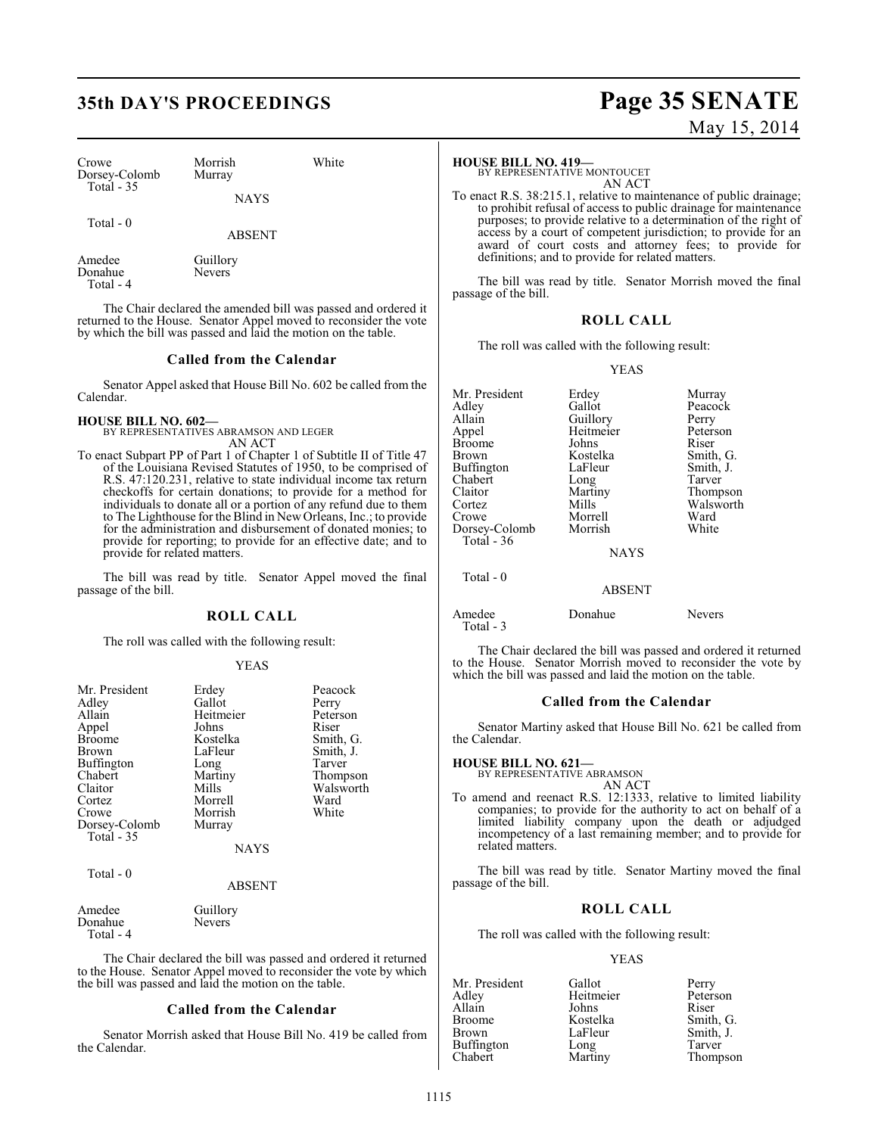# **35th DAY'S PROCEEDINGS Page 35 SENATE**

| Crowe         | Morrish     | White |
|---------------|-------------|-------|
| Dorsey-Colomb | Murray      |       |
| Total $-35$   | <b>NAYS</b> |       |

NAYS

Total - 0

ABSENT

| Amedee    | Guillory      |
|-----------|---------------|
| Donahue   | <b>Nevers</b> |
| Total - 4 |               |

The Chair declared the amended bill was passed and ordered it returned to the House. Senator Appel moved to reconsider the vote by which the bill was passed and laid the motion on the table.

#### **Called from the Calendar**

Senator Appel asked that House Bill No. 602 be called from the Calendar.

**HOUSE BILL NO. 602—** BY REPRESENTATIVES ABRAMSON AND LEGER AN ACT

To enact Subpart PP of Part 1 of Chapter 1 of Subtitle II of Title 47 of the Louisiana Revised Statutes of 1950, to be comprised of R.S. 47:120.231, relative to state individual income tax return checkoffs for certain donations; to provide for a method for individuals to donate all or a portion of any refund due to them to The Lighthouse for the Blind in New Orleans, Inc.; to provide for the administration and disbursement of donated monies; to provide for reporting; to provide for an effective date; and to provide for related matters.

The bill was read by title. Senator Appel moved the final passage of the bill.

#### **ROLL CALL**

The roll was called with the following result:

#### YEAS

| Mr. President<br>Adley<br>Allain<br>Appel<br><b>Broome</b><br><b>Brown</b><br><b>Buffington</b><br>Chabert<br>Claitor<br>Cortez | Erdey<br>Gallot<br>Heitmeier<br>Johns<br>Kostelka<br>LaFleur<br>Long<br>Martiny<br>Mills<br>Morrell | Peacock<br>Perry<br>Peterson<br>Riser<br>Smith, G.<br>Smith, J.<br>Tarver<br>Thompson<br>Walsworth<br>Ward |
|---------------------------------------------------------------------------------------------------------------------------------|-----------------------------------------------------------------------------------------------------|------------------------------------------------------------------------------------------------------------|
| Crowe<br>Dorsey-Colomb<br>Total $-35$                                                                                           | Morrish<br>Murray                                                                                   | White                                                                                                      |
|                                                                                                                                 | <b>NAYS</b>                                                                                         |                                                                                                            |
| Total $-0$                                                                                                                      | <b>ABSENT</b>                                                                                       |                                                                                                            |
|                                                                                                                                 |                                                                                                     |                                                                                                            |

| Amedee     | Guillory      |
|------------|---------------|
| Donahue    | <b>Nevers</b> |
| Total $-4$ |               |

The Chair declared the bill was passed and ordered it returned to the House. Senator Appel moved to reconsider the vote by which the bill was passed and laid the motion on the table.

#### **Called from the Calendar**

Senator Morrish asked that House Bill No. 419 be called from the Calendar.

# May 15, 2014

#### **HOUSE BILL NO. 419—**

BY REPRESENTATIVE MONTOUCET AN ACT

To enact R.S. 38:215.1, relative to maintenance of public drainage; to prohibit refusal of access to public drainage for maintenance purposes; to provide relative to a determination of the right of access by a court of competent jurisdiction; to provide for an award of court costs and attorney fees; to provide for definitions; and to provide for related matters.

The bill was read by title. Senator Morrish moved the final passage of the bill.

### **ROLL CALL**

The roll was called with the following result:

#### YEAS

| Mr. President<br>Adley<br>Allain<br>Appel<br><b>Broome</b><br>Brown<br>Buffington<br>Chabert<br>Claitor<br>Cortez<br>Crowe<br>Dorsey-Colomb<br>Total $-36$ | Erdey<br>Gallot<br>Guillory<br>Heitmeier<br>Johns<br>Kostelka<br>LaFleur<br>Long<br>Martiny<br>Mills<br>Morrell<br>Morrish | Murray<br>Peacock<br>Perry<br>Peterson<br>Riser<br>Smith, G.<br>Smith, J.<br>Tarver<br>Thompson<br>Walsworth<br>Ward<br>White |
|------------------------------------------------------------------------------------------------------------------------------------------------------------|----------------------------------------------------------------------------------------------------------------------------|-------------------------------------------------------------------------------------------------------------------------------|
|                                                                                                                                                            | <b>NAYS</b>                                                                                                                |                                                                                                                               |
| Total - 0                                                                                                                                                  | <b>ABSENT</b>                                                                                                              |                                                                                                                               |
| Amedee                                                                                                                                                     | Donahue                                                                                                                    | Nevers                                                                                                                        |

Total - 3

The Chair declared the bill was passed and ordered it returned to the House. Senator Morrish moved to reconsider the vote by which the bill was passed and laid the motion on the table.

#### **Called from the Calendar**

Senator Martiny asked that House Bill No. 621 be called from the Calendar.

#### **HOUSE BILL NO. 621—**

BY REPRESENTATIVE ABRAMSON AN ACT

To amend and reenact R.S. 12:1333, relative to limited liability companies; to provide for the authority to act on behalf of a limited liability company upon the death or adjudged incompetency of a last remaining member; and to provide for related matters.

The bill was read by title. Senator Martiny moved the final passage of the bill.

### **ROLL CALL**

The roll was called with the following result:

#### YEAS

Mr. President Gallot Perry<br>Adley Heitmeier Peterson Heitmeier Peters<br>Johns Riser Allain Johns<br>Broome Kostelka Broome Kostelka Smith, G.<br>Brown LaFleur Smith, J. LaFleur Smith, J.<br>Long Tarver Buffington<br>Chabert Martiny Thompson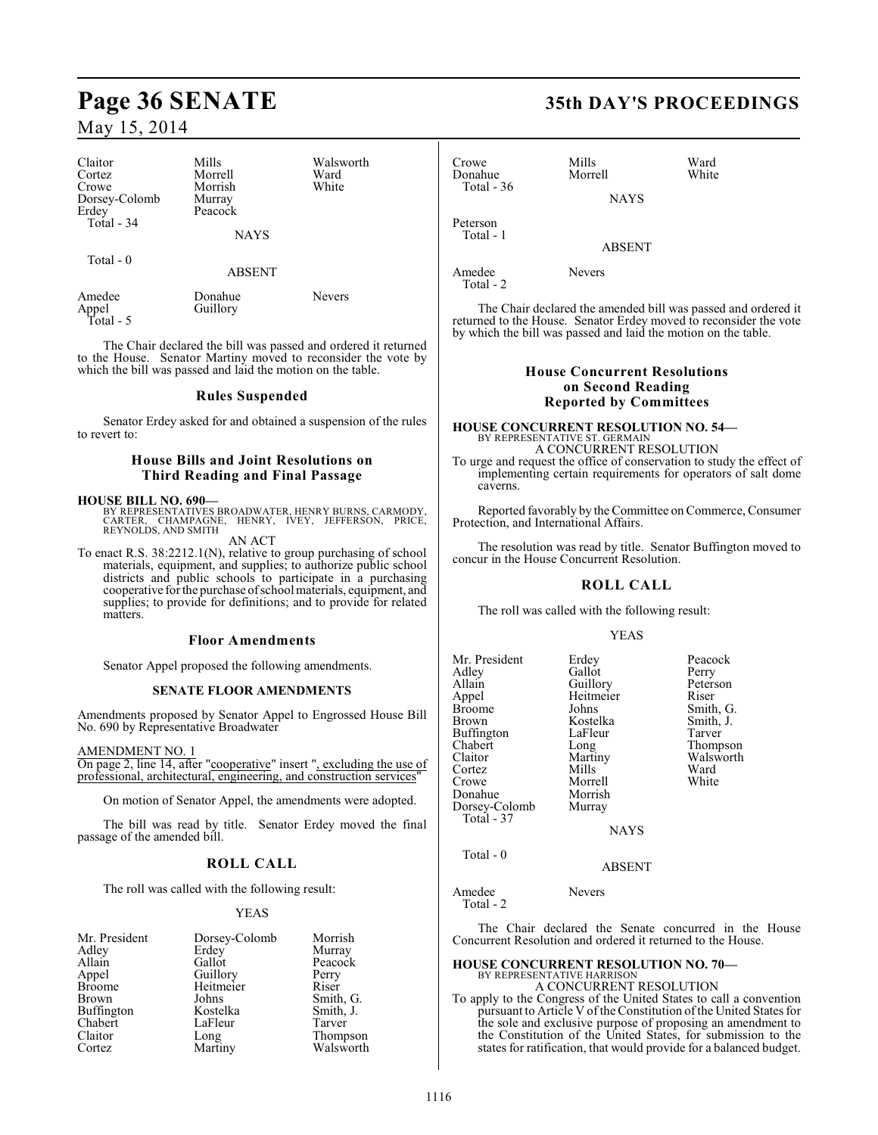| Claitor<br>Cortez<br>Crowe<br>Dorsey-Colomb<br>Erdey<br>Total - 34<br>Total $-0$ | Mills<br>Morrell<br>Morrish<br>Murray<br>Peacock<br><b>NAYS</b><br><b>ABSENT</b> | Walsworth<br>Ward<br>White |
|----------------------------------------------------------------------------------|----------------------------------------------------------------------------------|----------------------------|
| Amedee<br>Appel                                                                  | Donahue<br>Guillory                                                              | Nevers                     |

Total - 5

The Chair declared the bill was passed and ordered it returned to the House. Senator Martiny moved to reconsider the vote by which the bill was passed and laid the motion on the table.

#### **Rules Suspended**

Senator Erdey asked for and obtained a suspension of the rules to revert to:

## **House Bills and Joint Resolutions on Third Reading and Final Passage**

**HOUSE BILL NO. 690—** BY REPRESENTATIVES BROADWATER, HENRY BURNS, CARMODY, CARTER, CHAMPAGNE, HENRY, IVEY, JEFFERSON, PRICE, REYNOLDS, AND SMITH

AN ACT

To enact R.S. 38:2212.1(N), relative to group purchasing of school materials, equipment, and supplies; to authorize public school districts and public schools to participate in a purchasing cooperative for the purchase of school materials, equipment, and supplies; to provide for definitions; and to provide for related matters.

#### **Floor Amendments**

Senator Appel proposed the following amendments.

#### **SENATE FLOOR AMENDMENTS**

Amendments proposed by Senator Appel to Engrossed House Bill No. 690 by Representative Broadwater

AMENDMENT NO. 1

On page 2, line 14, after "cooperative" insert ", excluding the use of professional, architectural, engineering, and construction services"

On motion of Senator Appel, the amendments were adopted.

The bill was read by title. Senator Erdey moved the final passage of the amended bill.

## **ROLL CALL**

The roll was called with the following result:

#### YEAS

| Mr. President | Dorsey-Colomb | Morrish               |
|---------------|---------------|-----------------------|
| Adley         | Erdey         | Murray                |
| Allain        | Gallot        | Peacock               |
| Appel         | Guillory      | Perry                 |
| <b>Broome</b> | Heitmeier     | Riser                 |
| <b>Brown</b>  | Johns         | Smith, G.             |
| Buffington    | Kostelka      | Smith, J.             |
| Chabert       | LaFleur       | Tarver                |
| Claitor       | Long          | Thompson<br>Walsworth |
| Cortez        | Martiny       |                       |

# **Page 36 SENATE 35th DAY'S PROCEEDINGS**

| Crowe<br>Donahue<br>Total - $36$ | Mills<br>Morrell | Ward<br>White |  |
|----------------------------------|------------------|---------------|--|
|                                  | <b>NAYS</b>      |               |  |
| Peterson<br>Total - 1            |                  |               |  |
|                                  | <b>ABSENT</b>    |               |  |
| Amedee                           | <b>Nevers</b>    |               |  |

Total - 2

The Chair declared the amended bill was passed and ordered it returned to the House. Senator Erdey moved to reconsider the vote by which the bill was passed and laid the motion on the table.

### **House Concurrent Resolutions on Second Reading Reported by Committees**

#### **HOUSE CONCURRENT RESOLUTION NO. 54—** BY REPRESENTATIVE ST. GERMAIN

A CONCURRENT RESOLUTION To urge and request the office of conservation to study the effect of implementing certain requirements for operators of salt dome caverns.

Reported favorably by the Committee on Commerce, Consumer Protection, and International Affairs.

The resolution was read by title. Senator Buffington moved to concur in the House Concurrent Resolution.

## **ROLL CALL**

The roll was called with the following result:

#### YEAS

| Mr. President<br>Adlev<br>Allain<br>Appel<br>Broome<br>Brown<br>Buffington<br>Chabert<br>Claitor<br>Cortez<br>Crowe<br>Donahue<br>Dorsey-Colomb<br>Total - 37 | Erdey<br>Gallot<br>Guillory<br>Heitmeier<br>Johns<br>Kostelka<br>LaFleur<br>Long<br>Martiny<br>Mills<br>Morrell<br>Morrish<br>Murray | Peacock<br>Perry<br>Peterson<br>Riser<br>Smith, G.<br>Smith, J.<br>Tarver<br>Thompson<br>Walsworth<br>Ward<br>White |
|---------------------------------------------------------------------------------------------------------------------------------------------------------------|--------------------------------------------------------------------------------------------------------------------------------------|---------------------------------------------------------------------------------------------------------------------|
|                                                                                                                                                               |                                                                                                                                      |                                                                                                                     |
|                                                                                                                                                               | <b>NAYS</b>                                                                                                                          |                                                                                                                     |
|                                                                                                                                                               |                                                                                                                                      |                                                                                                                     |

#### ABSENT

Amedee Nevers Total - 2

Total - 0

The Chair declared the Senate concurred in the House Concurrent Resolution and ordered it returned to the House.

## **HOUSE CONCURRENT RESOLUTION NO. 70—** BY REPRESENTATIVE HARRISON A CONCURRENT RESOLUTION

To apply to the Congress of the United States to call a convention pursuant to Article V of the Constitution of the United States for the sole and exclusive purpose of proposing an amendment to the Constitution of the United States, for submission to the states for ratification, that would provide for a balanced budget.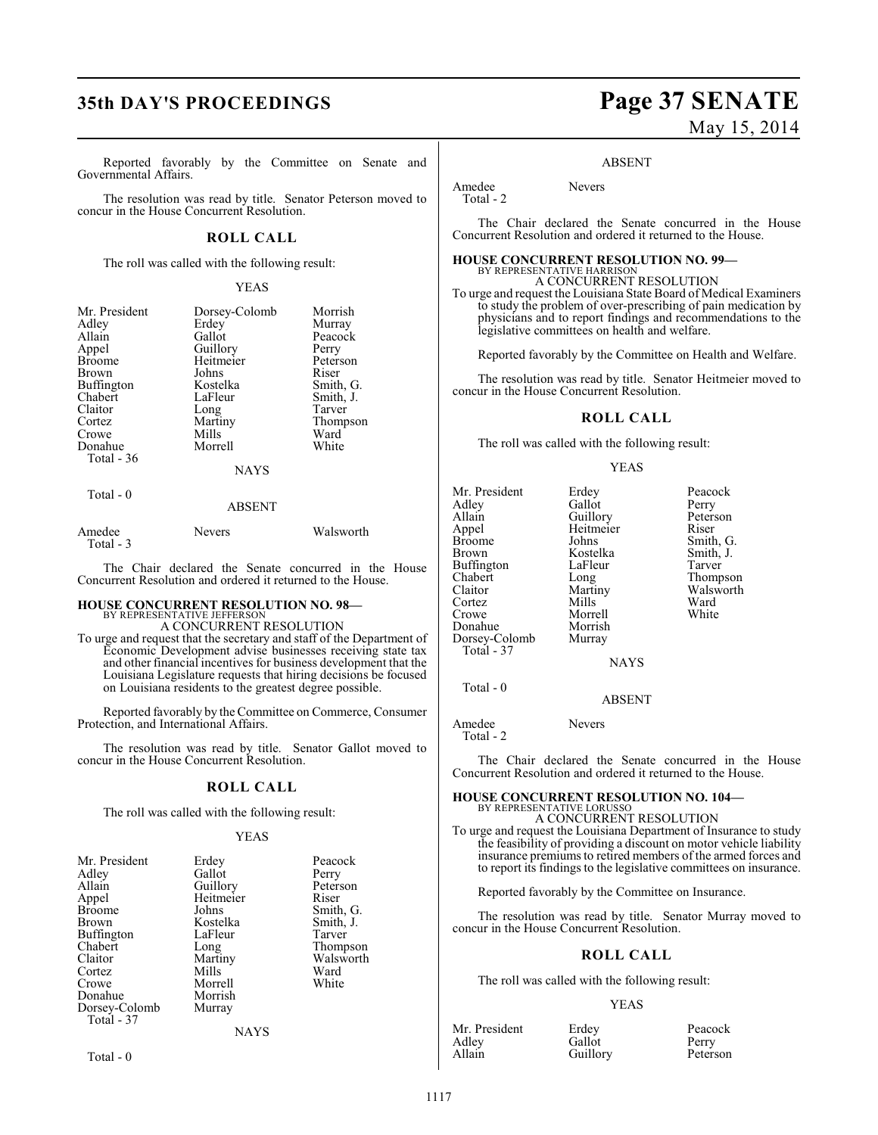# **35th DAY'S PROCEEDINGS Page 37 SENATE**

Reported favorably by the Committee on Senate and Governmental Affairs.

The resolution was read by title. Senator Peterson moved to concur in the House Concurrent Resolution.

#### **ROLL CALL**

The roll was called with the following result:

#### YEAS

| Mr. President<br>Adley<br>Allain<br>Appel<br><b>Broome</b><br><b>Brown</b><br>Buffington<br>Chabert<br>Claitor<br>Cortez<br>Crowe<br>Donahue<br>Total - 36 | Dorsey-Colomb<br>Erdey<br>Gallot<br>Guillory<br>Heitmeier<br>Johns<br>Kostelka<br>LaFleur<br>Long<br>Martiny<br>Mills<br>Morrell | Morrish<br>Murray<br>Peacock<br>Perry<br>Peterson<br>Riser<br>Smith, G.<br>Smith, J.<br>Tarver<br>Thompson<br>Ward<br>White |
|------------------------------------------------------------------------------------------------------------------------------------------------------------|----------------------------------------------------------------------------------------------------------------------------------|-----------------------------------------------------------------------------------------------------------------------------|
|                                                                                                                                                            | <b>NAYS</b>                                                                                                                      |                                                                                                                             |

#### ABSENT

| Amedee    | <b>Nevers</b> | Walsworth |
|-----------|---------------|-----------|
| Total - 3 |               |           |

The Chair declared the Senate concurred in the House Concurrent Resolution and ordered it returned to the House.

# **HOUSE CONCURRENT RESOLUTION NO. 98—**

BY REPRESENTATIVE JEFFERSON A CONCURRENT RESOLUTION

To urge and request that the secretary and staff of the Department of Economic Development advise businesses receiving state tax and other financial incentives for business development that the Louisiana Legislature requests that hiring decisions be focused on Louisiana residents to the greatest degree possible.

Reported favorably by the Committee on Commerce, Consumer Protection, and International Affairs.

The resolution was read by title. Senator Gallot moved to concur in the House Concurrent Resolution.

#### **ROLL CALL**

The roll was called with the following result:

#### YEAS

| Mr. President<br>Adley<br>Allain<br>Appel<br><b>Broome</b><br><b>Brown</b><br>Buffington<br>Chabert<br>Claitor<br>Cortez<br>Crowe<br>Donahue<br>Dorsey-Colomb<br>Total - 37 | Erdey<br>Gallot<br>Guillory<br>Heitmeier<br>Johns<br>Kostelka<br>LaFleur<br>Long<br>Martiny<br>Mills<br>Morrell<br>Morrish<br>Murray | Peacock<br>Perry<br>Peterson<br>Riser<br>Smith, G.<br>Smith, J.<br>Tarver<br>Thompson<br>Walsworth<br>Ward<br>White |
|-----------------------------------------------------------------------------------------------------------------------------------------------------------------------------|--------------------------------------------------------------------------------------------------------------------------------------|---------------------------------------------------------------------------------------------------------------------|
|                                                                                                                                                                             | <b>NAYS</b>                                                                                                                          |                                                                                                                     |
|                                                                                                                                                                             |                                                                                                                                      |                                                                                                                     |

Total - 0

Total - 0

# May 15, 2014

Peacock Perry Peterson Riser Smith, G. Smith, J.<br>Tarver

Thompson Walsworth<br>Ward

#### ABSENT

Amedee Nevers Total - 2

The Chair declared the Senate concurred in the House Concurrent Resolution and ordered it returned to the House.

#### **HOUSE CONCURRENT RESOLUTION NO. 99—** BY REPRESENTATIVE HARRISON

A CONCURRENT RESOLUTION

To urge and request the Louisiana State Board of Medical Examiners to study the problem of over-prescribing of pain medication by physicians and to report findings and recommendations to the legislative committees on health and welfare.

Reported favorably by the Committee on Health and Welfare.

The resolution was read by title. Senator Heitmeier moved to concur in the House Concurrent Resolution.

### **ROLL CALL**

The roll was called with the following result:

#### YEAS

| Mr. President | Erdey       | Peacoo  |
|---------------|-------------|---------|
| Adley         | Gallot      | Perry   |
| Allain        | Guillory    | Peterso |
| Appel         | Heitmeier   | Riser   |
| <b>Broome</b> | Johns       | Smith,  |
| Brown         | Kostelka    | Smith,  |
| Buffington    | LaFleur     | Tarver  |
| Chabert       | Long        | Thomp   |
| Claitor       | Martiny     | Walsw   |
| Cortez        | Mills       | Ward    |
| Crowe         | Morrell     | White   |
| Donahue       | Morrish     |         |
| Dorsey-Colomb | Murray      |         |
| Total - 37    |             |         |
|               | <b>NAYS</b> |         |
| Total - 0     |             |         |
|               | 1.72.022.77 |         |

ABSENT

Amedee Nevers Total - 2

The Chair declared the Senate concurred in the House Concurrent Resolution and ordered it returned to the House.

## **HOUSE CONCURRENT RESOLUTION NO. 104—** BY REPRESENTATIVE LORUSSO A CONCURRENT RESOLUTION

To urge and request the Louisiana Department of Insurance to study the feasibility of providing a discount on motor vehicle liability insurance premiums to retired members of the armed forces and to report its findings to the legislative committees on insurance.

Reported favorably by the Committee on Insurance.

The resolution was read by title. Senator Murray moved to concur in the House Concurrent Resolution.

#### **ROLL CALL**

The roll was called with the following result:

#### YEAS

| Mr. President | Erdey    | Peacock  |
|---------------|----------|----------|
| Adley         | Gallot   | Perry    |
| Allain        | Guillory | Peterson |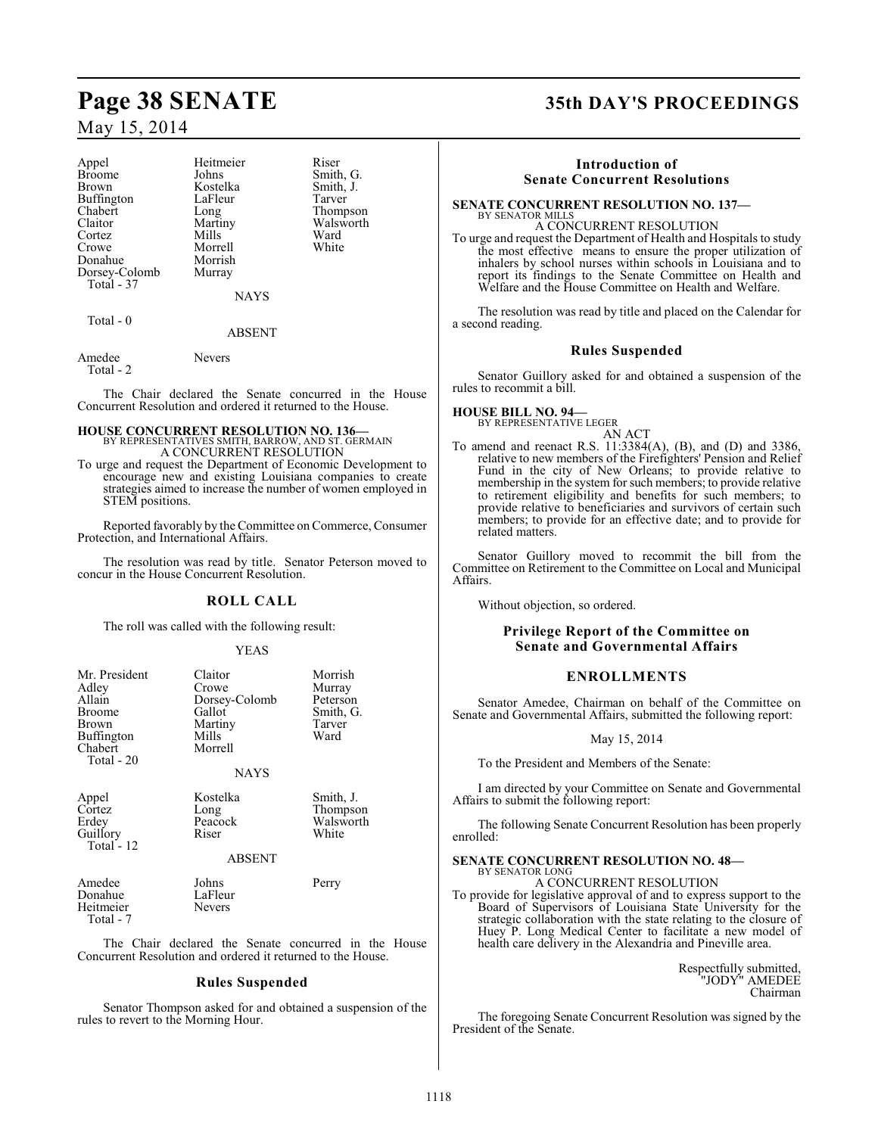Appel Heitmeier Riser<br>Broome Johns Smith Broome Johns Smith, G.<br>Brown Kostelka Smith I Buffington LaFle<br>Chabert Long Chabert Long Thompson<br>Claitor Martiny Walsworth Claitor Martiny Walsworth<br>Cortez Mills Ward Cortez Mills Ward Crowe Morrell White<br>
Donahue Morrish White Donahue Morrish<br>Dorsey-Colomb Murray Dorsey-Colomb Total - 37

Exercise<br>
Rostelka Smith, J.<br>
LaFleur Tarver

NAYS

Total - 0

#### ABSENT

Amedee Nevers Total - 2

The Chair declared the Senate concurred in the House Concurrent Resolution and ordered it returned to the House.

#### **HOUSE CONCURRENT RESOLUTION NO. 136—** BY REPRESENTATIVES SMITH, BARROW, AND ST. GERMAIN A CONCURRENT RESOLUTION

To urge and request the Department of Economic Development to encourage new and existing Louisiana companies to create strategies aimed to increase the number of women employed in STEM positions.

Reported favorably by the Committee on Commerce, Consumer Protection, and International Affairs.

The resolution was read by title. Senator Peterson moved to concur in the House Concurrent Resolution.

## **ROLL CALL**

The roll was called with the following result:

#### YEAS

| Mr. President<br>Adley<br>Allain<br>Broome<br>Brown<br>Buffington<br>Chabert<br>Total - 20 | Claitor<br>Crowe<br>Dorsey-Colomb<br>Gallot<br>Martiny<br>Mills<br>Morrell | Morrish<br>Murray<br>Peterson<br>Smith, G.<br>Tarver<br>Ward |
|--------------------------------------------------------------------------------------------|----------------------------------------------------------------------------|--------------------------------------------------------------|
|                                                                                            | <b>NAYS</b>                                                                |                                                              |
| Appel<br>Cortez<br>Erdey<br>Guillory<br>Total - 12                                         | Kostelka<br>Long<br>Peacock<br>Riser<br>ABSENT                             | Smith, J.<br>Thompson<br>Walsworth<br>White                  |
| Amedee<br>Donahue<br>Heitmeier<br>Total - 7                                                | Johns<br>LaFleur<br><b>Nevers</b>                                          | Perry                                                        |
| The                                                                                        | Chair declared the Senate concurred in the                                 |                                                              |

The Chair declared the Senate concurred in the House Concurrent Resolution and ordered it returned to the House.

#### **Rules Suspended**

Senator Thompson asked for and obtained a suspension of the rules to revert to the Morning Hour.

# **Page 38 SENATE 35th DAY'S PROCEEDINGS**

## **Introduction of Senate Concurrent Resolutions**

#### **SENATE CONCURRENT RESOLUTION NO. 137—** BY SENATOR MILLS

A CONCURRENT RESOLUTION To urge and request the Department of Health and Hospitals to study the most effective means to ensure the proper utilization of inhalers by school nurses within schools in Louisiana and to report its findings to the Senate Committee on Health and Welfare and the House Committee on Health and Welfare.

The resolution was read by title and placed on the Calendar for a second reading.

### **Rules Suspended**

Senator Guillory asked for and obtained a suspension of the rules to recommit a bill.

### **HOUSE BILL NO. 94—**



To amend and reenact R.S. 11:3384(A), (B), and (D) and 3386, relative to new members of the Firefighters' Pension and Relief Fund in the city of New Orleans; to provide relative to membership in the system for such members; to provide relative to retirement eligibility and benefits for such members; to provide relative to beneficiaries and survivors of certain such members; to provide for an effective date; and to provide for related matters.

Senator Guillory moved to recommit the bill from the Committee on Retirement to the Committee on Local and Municipal Affairs.

Without objection, so ordered.

### **Privilege Report of the Committee on Senate and Governmental Affairs**

#### **ENROLLMENTS**

Senator Amedee, Chairman on behalf of the Committee on Senate and Governmental Affairs, submitted the following report:

#### May 15, 2014

To the President and Members of the Senate:

I am directed by your Committee on Senate and Governmental Affairs to submit the following report:

The following Senate Concurrent Resolution has been properly enrolled:

#### **SENATE CONCURRENT RESOLUTION NO. 48—** BY SENATOR LONG

A CONCURRENT RESOLUTION

To provide for legislative approval of and to express support to the Board of Supervisors of Louisiana State University for the strategic collaboration with the state relating to the closure of Huey P. Long Medical Center to facilitate a new model of health care delivery in the Alexandria and Pineville area.

> Respectfully submitted, "JODY" AMEDEE Chairman

The foregoing Senate Concurrent Resolution was signed by the President of the Senate.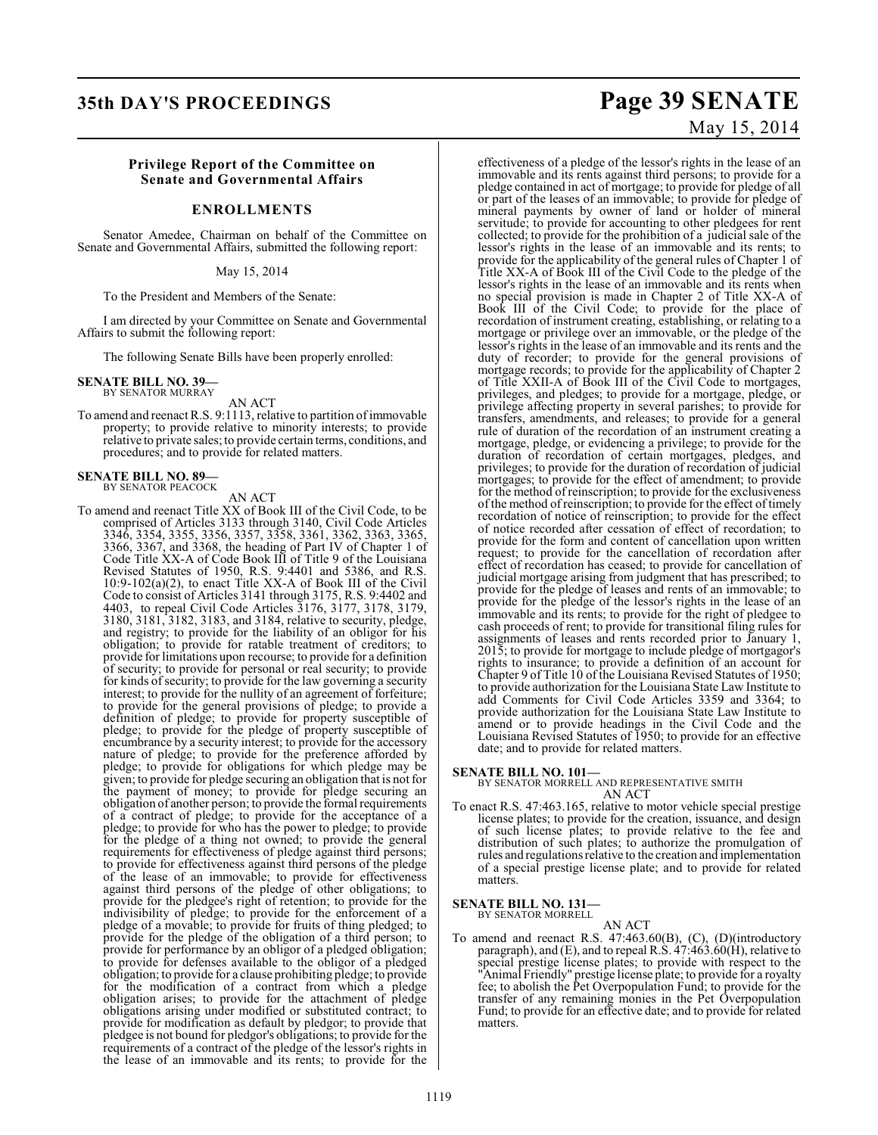# **35th DAY'S PROCEEDINGS Page 39 SENATE**

#### **Privilege Report of the Committee on Senate and Governmental Affairs**

#### **ENROLLMENTS**

Senator Amedee, Chairman on behalf of the Committee on Senate and Governmental Affairs, submitted the following report:

#### May 15, 2014

To the President and Members of the Senate:

I am directed by your Committee on Senate and Governmental Affairs to submit the following report:

The following Senate Bills have been properly enrolled:

#### **SENATE BILL NO. 39—** BY SENATOR MURRAY

AN ACT

To amend and reenact R.S. 9:1113, relative to partition of immovable property; to provide relative to minority interests; to provide relative to private sales; to provide certain terms, conditions, and procedures; and to provide for related matters.

# **SENATE BILL NO. 89—** BY SENATOR PEACOCK

AN ACT

To amend and reenact Title XX of Book III of the Civil Code, to be comprised of Articles 3133 through 3140, Civil Code Articles 3346, 3354, 3355, 3356, 3357, 3358, 3361, 3362, 3363, 3365, 3366, 3367, and 3368, the heading of Part IV of Chapter 1 of Code Title XX-A of Code Book III of Title 9 of the Louisiana Revised Statutes of 1950, R.S. 9:4401 and 5386, and R.S. 10:9-102(a)(2), to enact Title XX-A of Book III of the Civil Code to consist of Articles 3141 through 3175, R.S. 9:4402 and 4403, to repeal Civil Code Articles 3176, 3177, 3178, 3179, 3180, 3181, 3182, 3183, and 3184, relative to security, pledge, and registry; to provide for the liability of an obligor for his obligation; to provide for ratable treatment of creditors; to provide for limitations upon recourse; to provide for a definition of security; to provide for personal or real security; to provide for kinds of security; to provide for the law governing a security interest; to provide for the nullity of an agreement of forfeiture; to provide for the general provisions of pledge; to provide a definition of pledge; to provide for property susceptible of pledge; to provide for the pledge of property susceptible of encumbrance by a security interest; to provide for the accessory nature of pledge; to provide for the preference afforded by pledge; to provide for obligations for which pledge may be given; to provide for pledge securing an obligation that is not for the payment of money; to provide for pledge securing an obligation of another person; to provide the formal requirements of a contract of pledge; to provide for the acceptance of a pledge; to provide for who has the power to pledge; to provide for the pledge of a thing not owned; to provide the general requirements for effectiveness of pledge against third persons; to provide for effectiveness against third persons of the pledge of the lease of an immovable; to provide for effectiveness against third persons of the pledge of other obligations; to provide for the pledgee's right of retention; to provide for the indivisibility of pledge; to provide for the enforcement of a pledge of a movable; to provide for fruits of thing pledged; to provide for the pledge of the obligation of a third person; to provide for performance by an obligor of a pledged obligation; to provide for defenses available to the obligor of a pledged obligation; to provide for a clause prohibiting pledge; to provide for the modification of a contract from which a pledge obligation arises; to provide for the attachment of pledge obligations arising under modified or substituted contract; to provide for modification as default by pledgor; to provide that pledgee is not bound for pledgor's obligations; to provide for the requirements of a contract of the pledge of the lessor's rights in the lease of an immovable and its rents; to provide for the

# May 15, 2014

effectiveness of a pledge of the lessor's rights in the lease of an immovable and its rents against third persons; to provide for a pledge contained in act of mortgage; to provide for pledge of all or part of the leases of an immovable; to provide for pledge of mineral payments by owner of land or holder of mineral servitude; to provide for accounting to other pledgees for rent collected; to provide for the prohibition of a judicial sale of the lessor's rights in the lease of an immovable and its rents; to provide for the applicability of the general rules of Chapter 1 of Title XX-A of Book III of the Civil Code to the pledge of the lessor's rights in the lease of an immovable and its rents when no special provision is made in Chapter 2 of Title XX-A of Book III of the Civil Code; to provide for the place of recordation of instrument creating, establishing, or relating to a mortgage or privilege over an immovable, or the pledge of the lessor's rights in the lease of an immovable and its rents and the duty of recorder; to provide for the general provisions of mortgage records; to provide for the applicability of Chapter 2 of Title XXII-A of Book III of the Civil Code to mortgages, privileges, and pledges; to provide for a mortgage, pledge, or privilege affecting property in several parishes; to provide for transfers, amendments, and releases; to provide for a general rule of duration of the recordation of an instrument creating a mortgage, pledge, or evidencing a privilege; to provide for the duration of recordation of certain mortgages, pledges, and privileges; to provide for the duration of recordation of judicial mortgages; to provide for the effect of amendment; to provide for the method of reinscription; to provide for the exclusiveness of the method ofreinscription; to provide for the effect of timely recordation of notice of reinscription; to provide for the effect of notice recorded after cessation of effect of recordation; to provide for the form and content of cancellation upon written request; to provide for the cancellation of recordation after effect of recordation has ceased; to provide for cancellation of judicial mortgage arising from judgment that has prescribed; to provide for the pledge of leases and rents of an immovable; to provide for the pledge of the lessor's rights in the lease of an immovable and its rents; to provide for the right of pledgee to cash proceeds of rent; to provide for transitional filing rules for assignments of leases and rents recorded prior to January 1, 2015; to provide for mortgage to include pledge of mortgagor's rights to insurance; to provide a definition of an account for Chapter 9 of Title 10 of the Louisiana Revised Statutes of 1950; to provide authorization for the Louisiana State Law Institute to add Comments for Civil Code Articles 3359 and 3364; to provide authorization for the Louisiana State Law Institute to amend or to provide headings in the Civil Code and the Louisiana Revised Statutes of 1950; to provide for an effective date; and to provide for related matters.

**SENATE BILL NO. 101—** BY SENATOR MORRELL AND REPRESENTATIVE SMITH AN ACT

To enact R.S. 47:463.165, relative to motor vehicle special prestige license plates; to provide for the creation, issuance, and design of such license plates; to provide relative to the fee and distribution of such plates; to authorize the promulgation of rules and regulations relative to the creation and implementation of a special prestige license plate; and to provide for related matters.

**SENATE BILL NO. 131—** BY SENATOR MORRELL

AN ACT

To amend and reenact R.S. 47:463.60(B), (C), (D)(introductory paragraph), and (E), and to repeal R.S.  $47:463.60(\text{H})$ , relative to special prestige license plates; to provide with respect to the "Animal Friendly" prestige license plate; to provide for a royalty fee; to abolish the Pet Overpopulation Fund; to provide for the transfer of any remaining monies in the Pet Overpopulation Fund; to provide for an effective date; and to provide for related matters.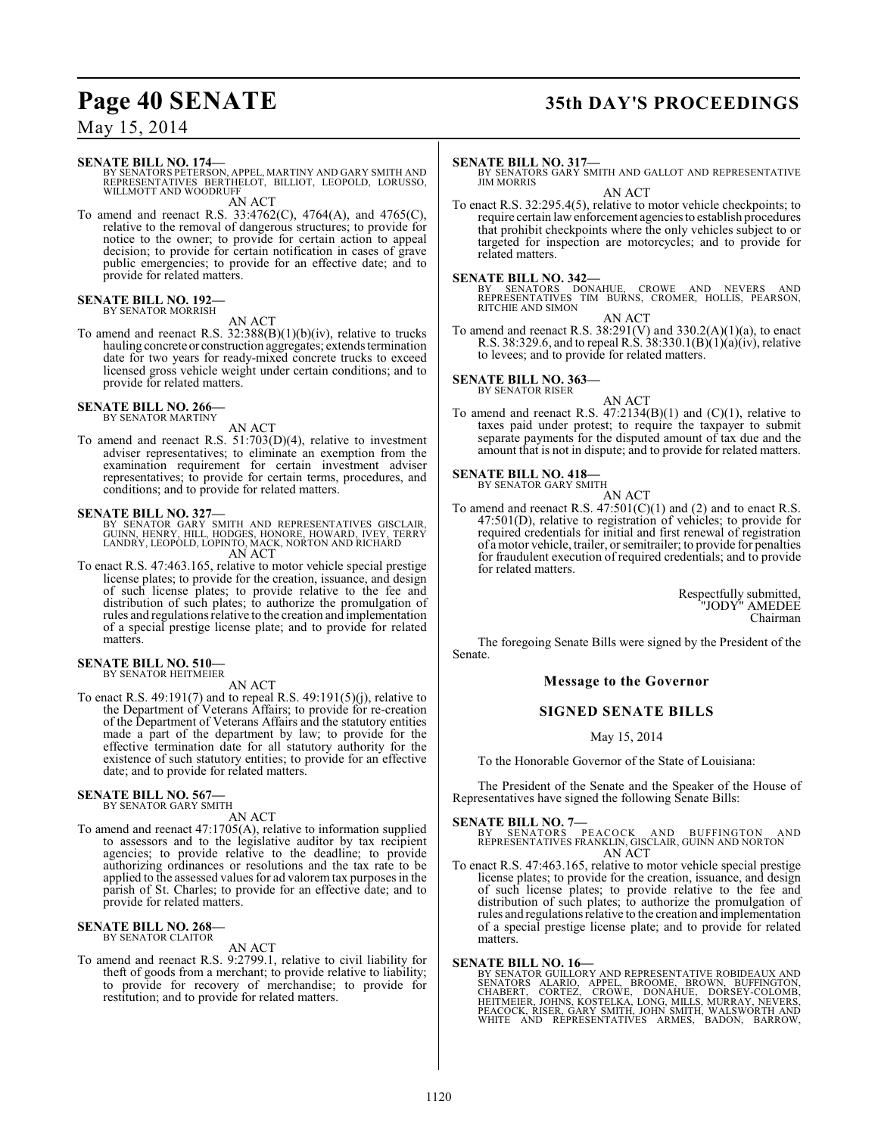# **Page 40 SENATE 35th DAY'S PROCEEDINGS**

## May 15, 2014

#### **SENATE BILL NO. 174—**

BY SENATORS PETERSON, APPEL, MARTINY AND GARY SMITH AND<br>REPRESENTATIVES BERTHELOT, BILLIOT, LEOPOLD, LORUSSO,<br>WILLMOTT AND WOODRUFF AN ACT

To amend and reenact R.S. 33:4762(C), 4764(A), and 4765(C), relative to the removal of dangerous structures; to provide for notice to the owner; to provide for certain action to appeal decision; to provide for certain notification in cases of grave public emergencies; to provide for an effective date; and to provide for related matters.

#### **SENATE BILL NO. 192—** BY SENATOR MORRISH

AN ACT

To amend and reenact R.S. 32:388(B)(1)(b)(iv), relative to trucks hauling concrete or construction aggregates; extends termination date for two years for ready-mixed concrete trucks to exceed licensed gross vehicle weight under certain conditions; and to provide for related matters.

#### **SENATE BILL NO. 266—** BY SENATOR MARTINY

AN ACT

To amend and reenact R.S. 51:703(D)(4), relative to investment adviser representatives; to eliminate an exemption from the examination requirement for certain investment adviser representatives; to provide for certain terms, procedures, and conditions; and to provide for related matters.

#### **SENATE BILL NO. 327—**

- BY SENATOR GARY SMITH AND REPRESENTATIVES GISCLAIR,<br>GUINN, HENRY, HILL, HODGES, HONORE, HOWARD, IVEY, TERRY<br>LANDRY, LEOPOLD, LOPINTO, MACK, NORTON AND RICHARD AN ACT
- To enact R.S. 47:463.165, relative to motor vehicle special prestige license plates; to provide for the creation, issuance, and design of such license plates; to provide relative to the fee and distribution of such plates; to authorize the promulgation of rules and regulations relative to the creation and implementation of a special prestige license plate; and to provide for related matters.

#### **SENATE BILL NO. 510—** BY SENATOR HEITMEIER

AN ACT

To enact R.S. 49:191(7) and to repeal R.S. 49:191(5)(j), relative to the Department of Veterans Affairs; to provide for re-creation of the Department of Veterans Affairs and the statutory entities made a part of the department by law; to provide for the effective termination date for all statutory authority for the existence of such statutory entities; to provide for an effective date; and to provide for related matters.

# **SENATE BILL NO. 567—** BY SENATOR GARY SMITH

AN ACT

To amend and reenact 47:1705(A), relative to information supplied to assessors and to the legislative auditor by tax recipient agencies; to provide relative to the deadline; to provide authorizing ordinances or resolutions and the tax rate to be applied to the assessed values for ad valorem tax purposes in the parish of St. Charles; to provide for an effective date; and to provide for related matters.

#### **SENATE BILL NO. 268—** BY SENATOR CLAITOR

AN ACT

To amend and reenact R.S. 9:2799.1, relative to civil liability for theft of goods from a merchant; to provide relative to liability; to provide for recovery of merchandise; to provide for restitution; and to provide for related matters.

#### **SENATE BILL NO. 317—**

BY SENATORS GARY SMITH AND GALLOT AND REPRESENTATIVE JIM MORRIS

AN ACT

To enact R.S. 32:295.4(5), relative to motor vehicle checkpoints; to require certain law enforcement agencies to establish procedures that prohibit checkpoints where the only vehicles subject to or targeted for inspection are motorcycles; and to provide for related matters.

**SENATE BILL NO. 342—**<br>BY SENATORS DONAHUE, CROWE AND NEVERS AND<br>REPRESENTATIVES TIM BURNS, CROMER, HOLLIS, PEARSON,<br>RITCHIE AND SIMON AN ACT

To amend and reenact R.S.  $38:291(V)$  and  $330.2(A)(1)(a)$ , to enact R.S. 38:329.6, and to repeal R.S. 38:330.1(B)(1)(a)(iv), relative to levees; and to provide for related matters.

# **SENATE BILL NO. 363—** BY SENATOR RISER

AN ACT

To amend and reenact R.S.  $47:2134(B)(1)$  and  $(C)(1)$ , relative to taxes paid under protest; to require the taxpayer to submit separate payments for the disputed amount of tax due and the amount that is not in dispute; and to provide for related matters.

# **SENATE BILL NO. 418-**<br>BY SENATOR GARY SMITH

AN ACT

To amend and reenact R.S. 47:501(C)(1) and (2) and to enact R.S. 47:501(D), relative to registration of vehicles; to provide for required credentials for initial and first renewal of registration of a motor vehicle, trailer, or semitrailer; to provide for penalties for fraudulent execution of required credentials; and to provide for related matters.

> Respectfully submitted, "JODY" AMEDEE Chairman

The foregoing Senate Bills were signed by the President of the Senate.

#### **Message to the Governor**

#### **SIGNED SENATE BILLS**

May 15, 2014

To the Honorable Governor of the State of Louisiana:

The President of the Senate and the Speaker of the House of Representatives have signed the following Senate Bills:

**SENATE BILL NO. 7—**<br>BY SENATORS PEACOCK AND BUFFINGTON AND<br>REPRESENTATIVES FRANKLIN, GISCLAIR, GUINN AND NORTON AN ACT

To enact R.S. 47:463.165, relative to motor vehicle special prestige license plates; to provide for the creation, issuance, and design of such license plates; to provide relative to the fee and distribution of such plates; to authorize the promulgation of rules and regulations relative to the creation and implementation of a special prestige license plate; and to provide for related matters.

**SENATE BILL NO. 16—**<br>BY SENATOR GUILLORY AND REPRESENTATIVE ROBIDEAUX AND<br>SENATORS ALARIO, APPEL, BROOME, BROWN, BUFFINGTON,<br>CHABERT, CORTEZ, CROWE, DONAHUE, DORSEY-COLOMB,<br>HEITMEIER, JOHNS, KOSTELKA, LONG, MILLS, MURRAY,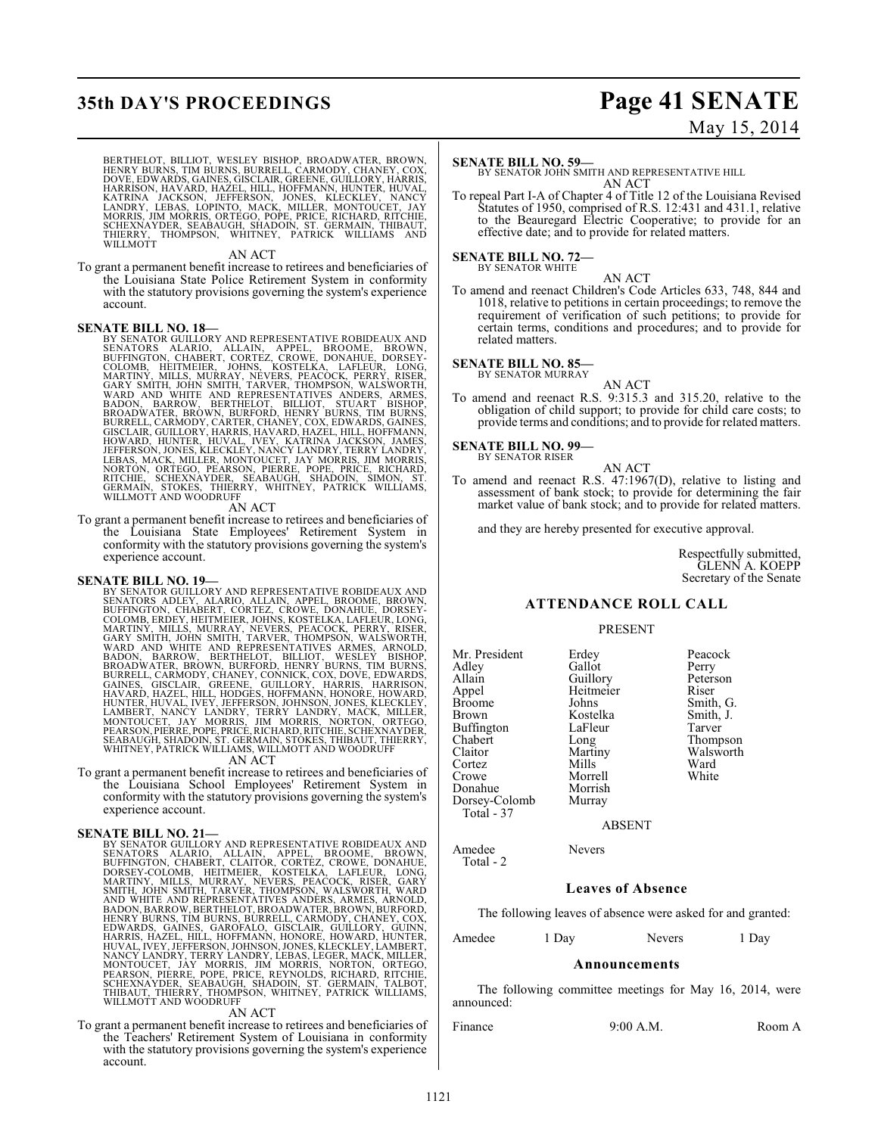# **35th DAY'S PROCEEDINGS Page 41 SENATE**

# May 15, 2014

BERTHELOT, BILLIOT, WESLEY BISHOP, BROADWATER, BROWN,<br>HENRY BURNS, TIM BURNS, BURRELL, CARMODY, CHANEY, COX,<br>DOVE, EDWARDS, GAINES, GISCLAIR, GREENE, GUILLORY, HARRIS,<br>HARRISON, HAVARD, HAZEL, HILL, HOFFMANN, HUNTER, HUVAL

#### AN ACT

To grant a permanent benefit increase to retirees and beneficiaries of the Louisiana State Police Retirement System in conformity with the statutory provisions governing the system's experience account.

#### **SENATE BILL NO. 18—**

BY SENATOR GUILLORY AND REPRESENTATIVE ROBIDEAUX AND SENATORS ALARIO, ALLAIN, APPEL, BROOME, BROWN, BUFFINGTON, CHABERT, CORTEZ, CROWE, DONAHUE, DORSEY-COLOMB, HEITMEIER, JOHNS, KOSTELKA, LAFLEUR, LONG<br>MARTINY, MILLS, MURR

To grant a permanent benefit increase to retirees and beneficiaries of the Louisiana State Employees' Retirement System in conformity with the statutory provisions governing the system's experience account.

**SENATE BILL NO. 19—**<br>BY SENATOR GUILLORY AND REPRESENTATIVE ROBIDEAUX AND<br>BY SENATOR GUILLORY AND REPRESENTATIVE ROBIDEAUX AND<br>ENATORS ADLEY, ALARIO, ALLAIN, APPEL, BROOME, BROWN,<br>COLOMB, ERDEY, HEITMEIER, JOHNS, KOSTELKA SEABAUGH, SHADOIN, ST. GERMAIN, STOKES, THIBAUT, THIERRY, WHITNEY, PATRICK WILLIAMS, WILLMOTT AND WOODRUFF

#### AN ACT

To grant a permanent benefit increase to retirees and beneficiaries of the Louisiana School Employees' Retirement System in conformity with the statutory provisions governing the system's experience account.

**SENATE BILL NO. 21—**<br>BY SENATOR GUILLORY AND REPRESENTATIVE ROBIDEAUX AND<br>SENATORS ALARIO, ALLAIN, APPEL, BROOME, BROWN,<br>BUFFINGTON, CHABERT, CLAITOR, CORTEZ, CROWE, DONAHUE,<br>DORSEY-COLOMB, HEITMEIER, KOSTELKA, LAFLEUR, L HENRY BURNS, TIM BURNS, BURRELL, CARMODY, CHANEY, COX,<br>EDWARDS, GAINES, GAROFALO, GISCLAIR, GUILLORY, GUINN,<br>HARRIS, HAZEL, HILL, HOFFMANN, HONORE, HOWARD, HUNTER,<br>HUVAL, IVEY, JEFFERSON, JOHNSON, JONES, KLECKLEY, LAMBERT,

#### AN ACT

To grant a permanent benefit increase to retirees and beneficiaries of the Teachers' Retirement System of Louisiana in conformity with the statutory provisions governing the system's experience account.

#### **SENATE BILL NO. 59—**

BY SENATOR JOHN SMITH AND REPRESENTATIVE HILL AN ACT

To repeal Part I-A of Chapter 4 of Title 12 of the Louisiana Revised Statutes of 1950, comprised of R.S. 12:431 and 431.1, relative to the Beauregard Electric Cooperative; to provide for an effective date; and to provide for related matters.

#### **SENATE BILL NO. 72—**

BY SENATOR WHITE

AN ACT To amend and reenact Children's Code Articles 633, 748, 844 and 1018, relative to petitions in certain proceedings; to remove the requirement of verification of such petitions; to provide for certain terms, conditions and procedures; and to provide for related matters.

# **SENATE BILL NO. 85—** BY SENATOR MURRAY

- 
- AN ACT To amend and reenact R.S. 9:315.3 and 315.20, relative to the obligation of child support; to provide for child care costs; to provide terms and conditions; and to provide for related matters.

#### **SENATE BILL NO. 99—** BY SENATOR RISER

AN ACT

To amend and reenact R.S. 47:1967(D), relative to listing and assessment of bank stock; to provide for determining the fair market value of bank stock; and to provide for related matters.

and they are hereby presented for executive approval.

Respectfully submitted, GLENN A. KOEPP Secretary of the Senate

#### **ATTENDANCE ROLL CALL**

#### PRESENT

| Mr. President<br>Adley<br>Allain<br>Appel<br><b>Broome</b><br>Brown<br>Buffington<br>Chabert<br>Claitor<br>Cortez<br>Crowe | Erdey<br>Gallot<br>Guillory<br>Heitmeier<br>Johns<br>Kostelka<br>LaFleur<br>Long<br>Martiny<br>Mills<br>Morrell | Peacock<br>Perry<br>Peterson<br>Riser<br>Smith, G.<br>Smith, J.<br>Tarver<br>Thompson<br>Walsworth<br>Ward<br>White |
|----------------------------------------------------------------------------------------------------------------------------|-----------------------------------------------------------------------------------------------------------------|---------------------------------------------------------------------------------------------------------------------|
|                                                                                                                            |                                                                                                                 |                                                                                                                     |
| Donahue                                                                                                                    | Morrish                                                                                                         |                                                                                                                     |
| Dorsey-Colomb<br>Total - 37                                                                                                | Murray                                                                                                          |                                                                                                                     |

Amedee Nevers

Total - 2

ABSENT

## **Leaves of Absence**

The following leaves of absence were asked for and granted:

Amedee 1 Day Nevers 1 Day

#### **Announcements**

The following committee meetings for May 16, 2014, were announced:

Finance 9:00 A.M. Room A